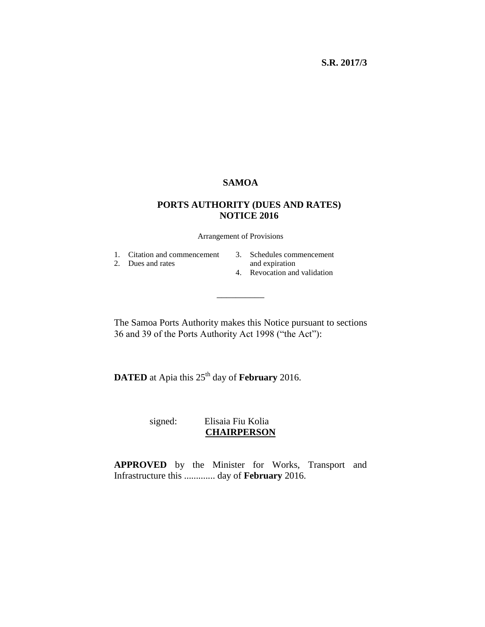### **SAMOA**

### **PORTS AUTHORITY (DUES AND RATES) NOTICE 2016**

Arrangement of Provisions

1. Citation and commencement

- 2. Dues and rates
- 3. Schedules commencement
- and expiration
- 4. Revocation and validation

The Samoa Ports Authority makes this Notice pursuant to sections 36 and 39 of the Ports Authority Act 1998 ("the Act"):

\_\_\_\_\_\_\_\_\_\_

**DATED** at Apia this 25<sup>th</sup> day of **February** 2016.

 signed: Elisaia Fiu Kolia **CHAIRPERSON**

**APPROVED** by the Minister for Works, Transport and Infrastructure this ............. day of **February** 2016.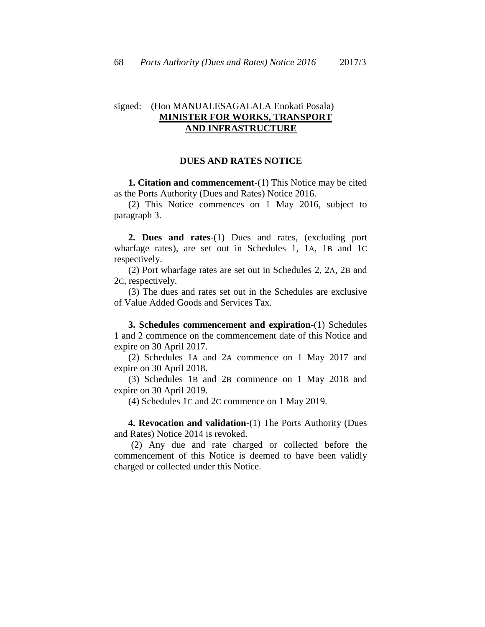#### signed: (Hon MANUALESAGALALA Enokati Posala) **MINISTER FOR WORKS, TRANSPORT AND INFRASTRUCTURE**

#### **DUES AND RATES NOTICE**

**1. Citation and commencement**-(1) This Notice may be cited as the Ports Authority (Dues and Rates) Notice 2016.

(2) This Notice commences on 1 May 2016, subject to paragraph 3.

**2. Dues and rates**-(1) Dues and rates, (excluding port wharfage rates), are set out in Schedules 1, 1A, 1B and 1C respectively.

(2) Port wharfage rates are set out in Schedules 2, 2A, 2B and 2C, respectively.

(3) The dues and rates set out in the Schedules are exclusive of Value Added Goods and Services Tax.

**3. Schedules commencement and expiration**-(1) Schedules 1 and 2 commence on the commencement date of this Notice and expire on 30 April 2017.

(2) Schedules 1A and 2A commence on 1 May 2017 and expire on 30 April 2018.

(3) Schedules 1B and 2B commence on 1 May 2018 and expire on 30 April 2019.

(4) Schedules 1C and 2C commence on 1 May 2019.

**4. Revocation and validation**-(1) The Ports Authority (Dues and Rates) Notice 2014 is revoked.

(2) Any due and rate charged or collected before the commencement of this Notice is deemed to have been validly charged or collected under this Notice.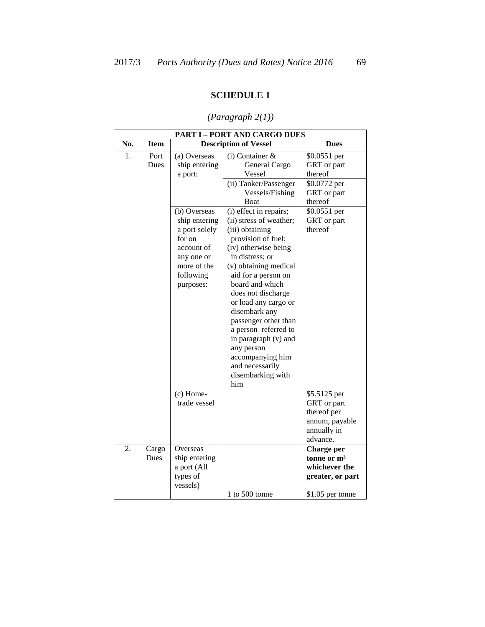### **SCHEDULE 1**

|     | <b>PART I - PORT AND CARGO DUES</b> |                                                                                                                                                                           |                                                                                                                                                                                                                                                                                                                                                                                                                                                                                                                                      |                                                                                                                            |  |  |  |  |
|-----|-------------------------------------|---------------------------------------------------------------------------------------------------------------------------------------------------------------------------|--------------------------------------------------------------------------------------------------------------------------------------------------------------------------------------------------------------------------------------------------------------------------------------------------------------------------------------------------------------------------------------------------------------------------------------------------------------------------------------------------------------------------------------|----------------------------------------------------------------------------------------------------------------------------|--|--|--|--|
| No. | <b>Item</b>                         |                                                                                                                                                                           | <b>Description of Vessel</b>                                                                                                                                                                                                                                                                                                                                                                                                                                                                                                         | <b>Dues</b>                                                                                                                |  |  |  |  |
| 1.  | Port<br>Dues                        | (a) Overseas<br>ship entering<br>a port:<br>(b) Overseas<br>ship entering<br>a port solely<br>for on<br>account of<br>any one or<br>more of the<br>following<br>purposes: | $(i)$ Container &<br>General Cargo<br>Vessel<br>(ii) Tanker/Passenger<br>Vessels/Fishing<br><b>Boat</b><br>(i) effect in repairs;<br>(ii) stress of weather;<br>(iii) obtaining<br>provision of fuel;<br>(iv) otherwise being<br>in distress; or<br>(v) obtaining medical<br>aid for a person on<br>board and which<br>does not discharge<br>or load any cargo or<br>disembark any<br>passenger other than<br>a person referred to<br>in paragraph (v) and<br>any person<br>accompanying him<br>and necessarily<br>disembarking with | \$0.0551 per<br>GRT or part<br>thereof<br>\$0.0772 per<br>GRT or part<br>thereof<br>\$0.0551 per<br>GRT or part<br>thereof |  |  |  |  |
|     |                                     | $(c)$ Home-<br>trade vessel                                                                                                                                               | him                                                                                                                                                                                                                                                                                                                                                                                                                                                                                                                                  | \$5.5125 per<br>GRT or part<br>thereof per<br>annum, payable<br>annually in<br>advance.                                    |  |  |  |  |
| 2.  | Cargo<br>Dues                       | Overseas<br>ship entering<br>a port (All<br>types of<br>vessels)                                                                                                          | 1 to $500$ tonne                                                                                                                                                                                                                                                                                                                                                                                                                                                                                                                     | Charge per<br>tonne or $m3$<br>whichever the<br>greater, or part<br>\$1.05 per tonne                                       |  |  |  |  |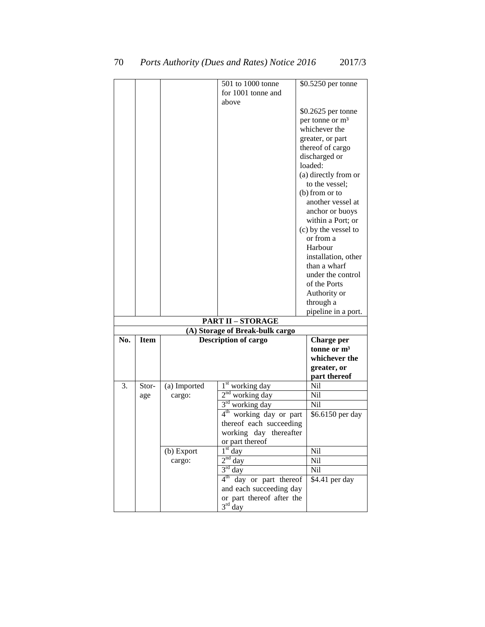| for 1001 tonne and<br>above<br>\$0.2625 per tonne<br>per tonne or m <sup>3</sup><br>whichever the<br>greater, or part<br>thereof of cargo<br>discharged or<br>loaded:<br>(a) directly from or<br>to the vessel;<br>$(b)$ from or to<br>another vessel at<br>anchor or buoys<br>within a Port; or<br>(c) by the vessel to<br>or from a<br>Harbour<br>installation, other<br>than a wharf<br>under the control<br>of the Ports<br>Authority or<br>through a<br>pipeline in a port.<br><b>PART II - STORAGE</b><br>(A) Storage of Break-bulk cargo<br><b>Item</b><br><b>Description of cargo</b><br>No.<br>Charge per<br>tonne or $m3$<br>whichever the<br>greater, or<br>part thereof<br>3.<br>1 <sup>st</sup> working day<br>Nil<br>Stor-<br>(a) Imported<br>$2nd$ working day<br>Nil<br>age<br>cargo:<br>$3rd$ working day<br>Nil<br>$4^{\text{th}}$<br>working day or part<br>\$6.6150 per day<br>thereof each succeeding<br>working day thereafter<br>or part thereof<br>$1st$ day<br>Nil<br>(b) Export<br>$2nd$ day<br>Nil<br>cargo:<br>$3rd$ day<br>Nil<br>4 <sup>th</sup> day or part thereof<br>\$4.41 per day<br>and each succeeding day |  | 501 to 1000 tonne         | \$0.5250 per tonne |
|-------------------------------------------------------------------------------------------------------------------------------------------------------------------------------------------------------------------------------------------------------------------------------------------------------------------------------------------------------------------------------------------------------------------------------------------------------------------------------------------------------------------------------------------------------------------------------------------------------------------------------------------------------------------------------------------------------------------------------------------------------------------------------------------------------------------------------------------------------------------------------------------------------------------------------------------------------------------------------------------------------------------------------------------------------------------------------------------------------------------------------------------------|--|---------------------------|--------------------|
|                                                                                                                                                                                                                                                                                                                                                                                                                                                                                                                                                                                                                                                                                                                                                                                                                                                                                                                                                                                                                                                                                                                                                 |  |                           |                    |
|                                                                                                                                                                                                                                                                                                                                                                                                                                                                                                                                                                                                                                                                                                                                                                                                                                                                                                                                                                                                                                                                                                                                                 |  |                           |                    |
|                                                                                                                                                                                                                                                                                                                                                                                                                                                                                                                                                                                                                                                                                                                                                                                                                                                                                                                                                                                                                                                                                                                                                 |  |                           |                    |
|                                                                                                                                                                                                                                                                                                                                                                                                                                                                                                                                                                                                                                                                                                                                                                                                                                                                                                                                                                                                                                                                                                                                                 |  |                           |                    |
|                                                                                                                                                                                                                                                                                                                                                                                                                                                                                                                                                                                                                                                                                                                                                                                                                                                                                                                                                                                                                                                                                                                                                 |  |                           |                    |
|                                                                                                                                                                                                                                                                                                                                                                                                                                                                                                                                                                                                                                                                                                                                                                                                                                                                                                                                                                                                                                                                                                                                                 |  |                           |                    |
|                                                                                                                                                                                                                                                                                                                                                                                                                                                                                                                                                                                                                                                                                                                                                                                                                                                                                                                                                                                                                                                                                                                                                 |  |                           |                    |
|                                                                                                                                                                                                                                                                                                                                                                                                                                                                                                                                                                                                                                                                                                                                                                                                                                                                                                                                                                                                                                                                                                                                                 |  |                           |                    |
|                                                                                                                                                                                                                                                                                                                                                                                                                                                                                                                                                                                                                                                                                                                                                                                                                                                                                                                                                                                                                                                                                                                                                 |  |                           |                    |
|                                                                                                                                                                                                                                                                                                                                                                                                                                                                                                                                                                                                                                                                                                                                                                                                                                                                                                                                                                                                                                                                                                                                                 |  |                           |                    |
|                                                                                                                                                                                                                                                                                                                                                                                                                                                                                                                                                                                                                                                                                                                                                                                                                                                                                                                                                                                                                                                                                                                                                 |  |                           |                    |
|                                                                                                                                                                                                                                                                                                                                                                                                                                                                                                                                                                                                                                                                                                                                                                                                                                                                                                                                                                                                                                                                                                                                                 |  |                           |                    |
|                                                                                                                                                                                                                                                                                                                                                                                                                                                                                                                                                                                                                                                                                                                                                                                                                                                                                                                                                                                                                                                                                                                                                 |  |                           |                    |
|                                                                                                                                                                                                                                                                                                                                                                                                                                                                                                                                                                                                                                                                                                                                                                                                                                                                                                                                                                                                                                                                                                                                                 |  |                           |                    |
|                                                                                                                                                                                                                                                                                                                                                                                                                                                                                                                                                                                                                                                                                                                                                                                                                                                                                                                                                                                                                                                                                                                                                 |  |                           |                    |
|                                                                                                                                                                                                                                                                                                                                                                                                                                                                                                                                                                                                                                                                                                                                                                                                                                                                                                                                                                                                                                                                                                                                                 |  |                           |                    |
|                                                                                                                                                                                                                                                                                                                                                                                                                                                                                                                                                                                                                                                                                                                                                                                                                                                                                                                                                                                                                                                                                                                                                 |  |                           |                    |
|                                                                                                                                                                                                                                                                                                                                                                                                                                                                                                                                                                                                                                                                                                                                                                                                                                                                                                                                                                                                                                                                                                                                                 |  |                           |                    |
|                                                                                                                                                                                                                                                                                                                                                                                                                                                                                                                                                                                                                                                                                                                                                                                                                                                                                                                                                                                                                                                                                                                                                 |  |                           |                    |
|                                                                                                                                                                                                                                                                                                                                                                                                                                                                                                                                                                                                                                                                                                                                                                                                                                                                                                                                                                                                                                                                                                                                                 |  |                           |                    |
|                                                                                                                                                                                                                                                                                                                                                                                                                                                                                                                                                                                                                                                                                                                                                                                                                                                                                                                                                                                                                                                                                                                                                 |  |                           |                    |
|                                                                                                                                                                                                                                                                                                                                                                                                                                                                                                                                                                                                                                                                                                                                                                                                                                                                                                                                                                                                                                                                                                                                                 |  |                           |                    |
|                                                                                                                                                                                                                                                                                                                                                                                                                                                                                                                                                                                                                                                                                                                                                                                                                                                                                                                                                                                                                                                                                                                                                 |  |                           |                    |
|                                                                                                                                                                                                                                                                                                                                                                                                                                                                                                                                                                                                                                                                                                                                                                                                                                                                                                                                                                                                                                                                                                                                                 |  |                           |                    |
|                                                                                                                                                                                                                                                                                                                                                                                                                                                                                                                                                                                                                                                                                                                                                                                                                                                                                                                                                                                                                                                                                                                                                 |  |                           |                    |
|                                                                                                                                                                                                                                                                                                                                                                                                                                                                                                                                                                                                                                                                                                                                                                                                                                                                                                                                                                                                                                                                                                                                                 |  |                           |                    |
|                                                                                                                                                                                                                                                                                                                                                                                                                                                                                                                                                                                                                                                                                                                                                                                                                                                                                                                                                                                                                                                                                                                                                 |  |                           |                    |
|                                                                                                                                                                                                                                                                                                                                                                                                                                                                                                                                                                                                                                                                                                                                                                                                                                                                                                                                                                                                                                                                                                                                                 |  |                           |                    |
|                                                                                                                                                                                                                                                                                                                                                                                                                                                                                                                                                                                                                                                                                                                                                                                                                                                                                                                                                                                                                                                                                                                                                 |  |                           |                    |
|                                                                                                                                                                                                                                                                                                                                                                                                                                                                                                                                                                                                                                                                                                                                                                                                                                                                                                                                                                                                                                                                                                                                                 |  |                           |                    |
|                                                                                                                                                                                                                                                                                                                                                                                                                                                                                                                                                                                                                                                                                                                                                                                                                                                                                                                                                                                                                                                                                                                                                 |  |                           |                    |
|                                                                                                                                                                                                                                                                                                                                                                                                                                                                                                                                                                                                                                                                                                                                                                                                                                                                                                                                                                                                                                                                                                                                                 |  |                           |                    |
|                                                                                                                                                                                                                                                                                                                                                                                                                                                                                                                                                                                                                                                                                                                                                                                                                                                                                                                                                                                                                                                                                                                                                 |  |                           |                    |
|                                                                                                                                                                                                                                                                                                                                                                                                                                                                                                                                                                                                                                                                                                                                                                                                                                                                                                                                                                                                                                                                                                                                                 |  |                           |                    |
|                                                                                                                                                                                                                                                                                                                                                                                                                                                                                                                                                                                                                                                                                                                                                                                                                                                                                                                                                                                                                                                                                                                                                 |  |                           |                    |
|                                                                                                                                                                                                                                                                                                                                                                                                                                                                                                                                                                                                                                                                                                                                                                                                                                                                                                                                                                                                                                                                                                                                                 |  |                           |                    |
|                                                                                                                                                                                                                                                                                                                                                                                                                                                                                                                                                                                                                                                                                                                                                                                                                                                                                                                                                                                                                                                                                                                                                 |  |                           |                    |
|                                                                                                                                                                                                                                                                                                                                                                                                                                                                                                                                                                                                                                                                                                                                                                                                                                                                                                                                                                                                                                                                                                                                                 |  |                           |                    |
|                                                                                                                                                                                                                                                                                                                                                                                                                                                                                                                                                                                                                                                                                                                                                                                                                                                                                                                                                                                                                                                                                                                                                 |  |                           |                    |
|                                                                                                                                                                                                                                                                                                                                                                                                                                                                                                                                                                                                                                                                                                                                                                                                                                                                                                                                                                                                                                                                                                                                                 |  |                           |                    |
|                                                                                                                                                                                                                                                                                                                                                                                                                                                                                                                                                                                                                                                                                                                                                                                                                                                                                                                                                                                                                                                                                                                                                 |  |                           |                    |
|                                                                                                                                                                                                                                                                                                                                                                                                                                                                                                                                                                                                                                                                                                                                                                                                                                                                                                                                                                                                                                                                                                                                                 |  |                           |                    |
|                                                                                                                                                                                                                                                                                                                                                                                                                                                                                                                                                                                                                                                                                                                                                                                                                                                                                                                                                                                                                                                                                                                                                 |  |                           |                    |
|                                                                                                                                                                                                                                                                                                                                                                                                                                                                                                                                                                                                                                                                                                                                                                                                                                                                                                                                                                                                                                                                                                                                                 |  |                           |                    |
|                                                                                                                                                                                                                                                                                                                                                                                                                                                                                                                                                                                                                                                                                                                                                                                                                                                                                                                                                                                                                                                                                                                                                 |  | or part thereof after the |                    |
| $3rd$ day                                                                                                                                                                                                                                                                                                                                                                                                                                                                                                                                                                                                                                                                                                                                                                                                                                                                                                                                                                                                                                                                                                                                       |  |                           |                    |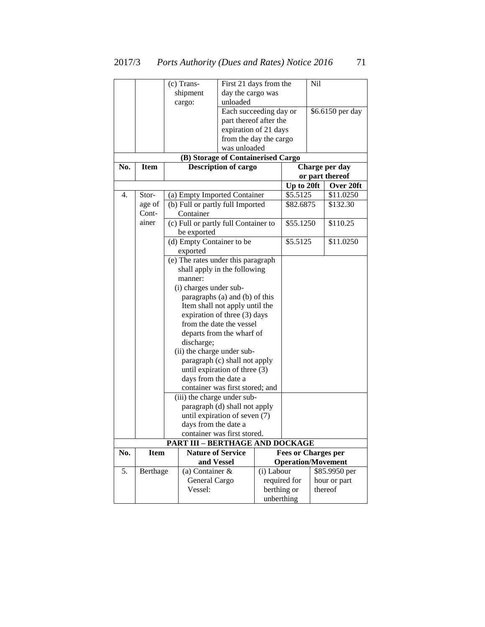|     |             | (c) Trans-                             | First 21 days from the             |             |                            | Nil |                  |
|-----|-------------|----------------------------------------|------------------------------------|-------------|----------------------------|-----|------------------|
|     |             | shipment                               | day the cargo was                  |             |                            |     |                  |
|     |             | cargo:                                 | unloaded                           |             |                            |     |                  |
|     |             |                                        | Each succeeding day or             |             |                            |     | \$6.6150 per day |
|     |             |                                        | part thereof after the             |             |                            |     |                  |
|     |             |                                        | expiration of 21 days              |             |                            |     |                  |
|     |             |                                        | from the day the cargo             |             |                            |     |                  |
|     |             |                                        | was unloaded                       |             |                            |     |                  |
|     |             |                                        | (B) Storage of Containerised Cargo |             |                            |     |                  |
| No. | <b>Item</b> |                                        | <b>Description of cargo</b>        |             |                            |     | Charge per day   |
|     |             |                                        |                                    |             |                            |     | or part thereof  |
|     |             |                                        |                                    |             | Up to 20ft                 |     | Over 20ft        |
| 4.  | Stor-       | (a) Empty Imported Container           |                                    |             | \$5.5125                   |     | \$11.0250        |
|     | age of      | (b) Full or partly full Imported       |                                    |             | \$82.6875                  |     | \$132.30         |
|     | Cont-       | Container                              |                                    |             |                            |     |                  |
|     | ainer       | (c) Full or partly full Container to   |                                    |             | \$55.1250                  |     | \$110.25         |
|     |             | be exported                            |                                    |             |                            |     |                  |
|     |             | (d) Empty Container to be              |                                    |             | \$5.5125                   |     | \$11.0250        |
|     |             | exported                               |                                    |             |                            |     |                  |
|     |             | (e) The rates under this paragraph     |                                    |             |                            |     |                  |
|     |             | shall apply in the following           |                                    |             |                            |     |                  |
|     |             | manner:                                |                                    |             |                            |     |                  |
|     |             | (i) charges under sub-                 |                                    |             |                            |     |                  |
|     |             |                                        | paragraphs (a) and (b) of this     |             |                            |     |                  |
|     |             |                                        | Item shall not apply until the     |             |                            |     |                  |
|     |             |                                        | expiration of three (3) days       |             |                            |     |                  |
|     |             |                                        | from the date the vessel           |             |                            |     |                  |
|     |             |                                        | departs from the wharf of          |             |                            |     |                  |
|     |             | discharge;                             |                                    |             |                            |     |                  |
|     |             | (ii) the charge under sub-             |                                    |             |                            |     |                  |
|     |             |                                        | paragraph (c) shall not apply      |             |                            |     |                  |
|     |             |                                        | until expiration of three (3)      |             |                            |     |                  |
|     |             | days from the date a                   |                                    |             |                            |     |                  |
|     |             |                                        | container was first stored; and    |             |                            |     |                  |
|     |             | (iii) the charge under sub-            |                                    |             |                            |     |                  |
|     |             |                                        | paragraph (d) shall not apply      |             |                            |     |                  |
|     |             | days from the date a                   | until expiration of seven (7)      |             |                            |     |                  |
|     |             |                                        | container was first stored.        |             |                            |     |                  |
|     |             | <b>PART III - BERTHAGE AND DOCKAGE</b> |                                    |             |                            |     |                  |
| No. | <b>Item</b> | <b>Nature of Service</b>               |                                    |             | <b>Fees or Charges per</b> |     |                  |
|     |             | and Vessel                             |                                    |             | <b>Operation/Movement</b>  |     |                  |
| 5.  | Berthage    | (a) Container $\&$                     |                                    | (i) Labour  |                            |     | \$85.9950 per    |
|     |             | General Cargo                          |                                    |             | required for               |     | hour or part     |
|     |             | Vessel:                                |                                    | berthing or |                            |     | thereof          |
|     |             |                                        |                                    | unberthing  |                            |     |                  |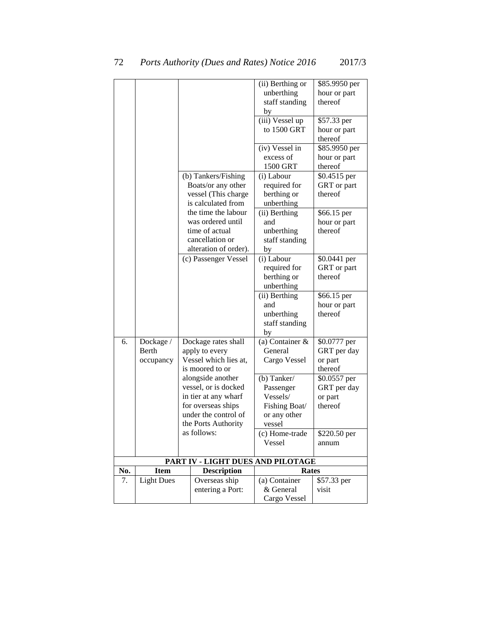|     |                   |                                   | (ii) Berthing or              | \$85.9950 per           |
|-----|-------------------|-----------------------------------|-------------------------------|-------------------------|
|     |                   |                                   | unberthing                    | hour or part            |
|     |                   |                                   | staff standing                | thereof                 |
|     |                   |                                   | by                            |                         |
|     |                   |                                   | (iii) Vessel up               | \$57.33 per             |
|     |                   |                                   | to 1500 GRT                   | hour or part            |
|     |                   |                                   |                               | thereof                 |
|     |                   |                                   | (iv) Vessel in                | \$85.9950 per           |
|     |                   |                                   | excess of                     | hour or part            |
|     |                   |                                   | 1500 GRT                      | thereof                 |
|     |                   | (b) Tankers/Fishing               | (i) Labour                    | \$0.4515 per            |
|     |                   | Boats/or any other                | required for                  | GRT or part             |
|     |                   | vessel (This charge               | berthing or                   | thereof                 |
|     |                   | is calculated from                | unberthing                    |                         |
|     |                   | the time the labour               | (ii) Berthing                 | \$66.15 per             |
|     |                   | was ordered until                 | and                           | hour or part            |
|     |                   | time of actual                    | unberthing                    | thereof                 |
|     |                   | cancellation or                   | staff standing                |                         |
|     |                   | alteration of order).             | by                            |                         |
|     |                   | (c) Passenger Vessel              | (i) Labour                    | \$0.0441 per            |
|     |                   |                                   | required for                  | GRT or part             |
|     |                   |                                   | berthing or                   | thereof                 |
|     |                   |                                   | unberthing                    |                         |
|     |                   |                                   | (ii) Berthing                 | \$66.15 per             |
|     |                   |                                   | and                           | hour or part<br>thereof |
|     |                   |                                   | unberthing                    |                         |
|     |                   |                                   | staff standing<br>by          |                         |
| 6.  | Dockage /         | Dockage rates shall               | (a) Container $\overline{\&}$ | \$0.0777 per            |
|     | Berth             | apply to every                    | General                       | GRT per day             |
|     | occupancy         | Vessel which lies at,             | Cargo Vessel                  | or part                 |
|     |                   | is moored to or                   |                               | thereof                 |
|     |                   | alongside another                 | (b) Tanker/                   | \$0.0557 per            |
|     |                   | vessel, or is docked              | Passenger                     | GRT per day             |
|     |                   | in tier at any wharf              | Vessels/                      | or part                 |
|     |                   | for overseas ships                | Fishing Boat/                 | thereof                 |
|     |                   | under the control of              | or any other                  |                         |
|     |                   | the Ports Authority               | vessel                        |                         |
|     |                   | as follows:                       | (c) Home-trade                | \$220.50 per            |
|     |                   |                                   | Vessel                        | annum                   |
|     |                   | PART IV - LIGHT DUES AND PILOTAGE |                               |                         |
| No. | <b>Item</b>       | <b>Description</b>                | <b>Rates</b>                  |                         |
| 7.  | <b>Light Dues</b> | Overseas ship                     | (a) Container                 | \$57.33 per             |
|     |                   | entering a Port:                  | & General                     | visit                   |
|     |                   |                                   | Cargo Vessel                  |                         |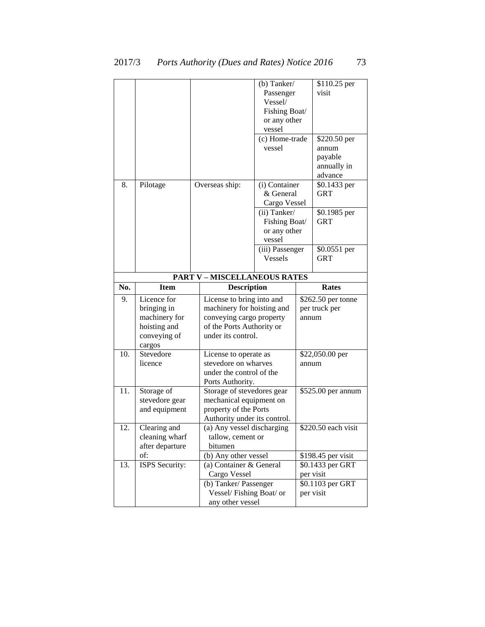| 8.                                                                            | Pilotage                                                               |  | Overseas ship:                                                                                                 | (b) Tanker/<br>Passenger<br>Vessel/<br>Fishing Boat/<br>or any other<br>vessel<br>(c) Home-trade<br>vessel<br>(i) Container<br>& General<br>Cargo Vessel<br>(ii) Tanker/<br>Fishing Boat/<br>or any other<br>vessel<br>(iii) Passenger |       | \$110.25 per<br>visit<br>\$220.50 per<br>annum<br>payable<br>annually in<br>advance<br>\$0.1433 per<br>GRT<br>\$0.1985 per<br><b>GRT</b><br>\$0.0551 per |
|-------------------------------------------------------------------------------|------------------------------------------------------------------------|--|----------------------------------------------------------------------------------------------------------------|----------------------------------------------------------------------------------------------------------------------------------------------------------------------------------------------------------------------------------------|-------|----------------------------------------------------------------------------------------------------------------------------------------------------------|
|                                                                               |                                                                        |  |                                                                                                                | <b>Vessels</b>                                                                                                                                                                                                                         |       | <b>GRT</b>                                                                                                                                               |
| <b>PART V-MISCELLANEOUS RATES</b><br>No.<br><b>Item</b><br><b>Description</b> |                                                                        |  |                                                                                                                |                                                                                                                                                                                                                                        |       | Rates                                                                                                                                                    |
| 9.                                                                            | Licence for                                                            |  | License to bring into and                                                                                      |                                                                                                                                                                                                                                        |       | \$262.50 per tonne                                                                                                                                       |
|                                                                               | bringing in<br>machinery for<br>hoisting and<br>conveying of<br>cargos |  | machinery for hoisting and<br>conveying cargo property<br>of the Ports Authority or<br>under its control.      |                                                                                                                                                                                                                                        | annum | per truck per                                                                                                                                            |
| 10.                                                                           | Stevedore<br>licence                                                   |  | License to operate as<br>stevedore on wharves<br>under the control of the<br>Ports Authority.                  |                                                                                                                                                                                                                                        | annum | \$22,050.00 per                                                                                                                                          |
| 11.                                                                           | Storage of<br>stevedore gear<br>and equipment                          |  | Storage of stevedores gear<br>mechanical equipment on<br>property of the Ports<br>Authority under its control. |                                                                                                                                                                                                                                        |       | \$525.00 per annum                                                                                                                                       |
| 12.                                                                           | Clearing and<br>cleaning wharf<br>after departure                      |  | (a) Any vessel discharging<br>tallow, cement or<br>bitumen                                                     |                                                                                                                                                                                                                                        |       | \$220.50 each visit                                                                                                                                      |
| 13.                                                                           | of:<br>ISPS Security:                                                  |  | (b) Any other vessel<br>(a) Container & General                                                                |                                                                                                                                                                                                                                        |       | \$198.45 per visit<br>\$0.1433 per GRT                                                                                                                   |
|                                                                               |                                                                        |  | Cargo Vessel                                                                                                   |                                                                                                                                                                                                                                        |       | per visit                                                                                                                                                |
|                                                                               |                                                                        |  | (b) Tanker/ Passenger<br>Vessel/Fishing Boat/ or<br>any other vessel                                           |                                                                                                                                                                                                                                        |       | \$0.1103 per GRT<br>per visit                                                                                                                            |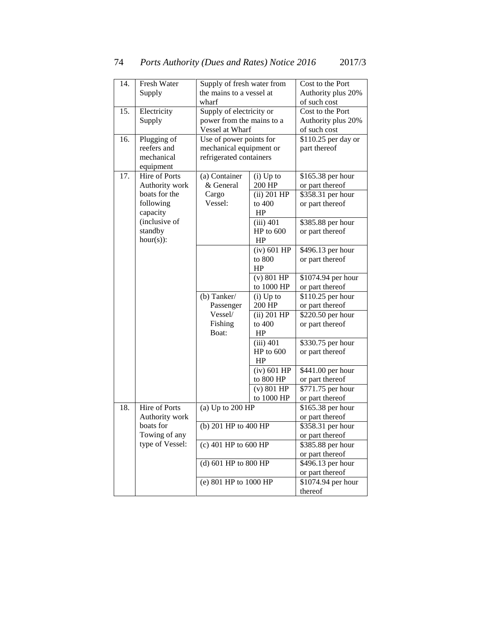| 14. | Fresh Water<br>Supply of fresh water from |                           |               | Cost to the Port    |
|-----|-------------------------------------------|---------------------------|---------------|---------------------|
|     | Supply                                    | the mains to a vessel at  |               | Authority plus 20%  |
|     |                                           | wharf                     |               | of such cost        |
| 15. | Electricity                               | Supply of electricity or  |               | Cost to the Port    |
|     | Supply                                    | power from the mains to a |               | Authority plus 20%  |
|     |                                           | Vessel at Wharf           |               | of such cost        |
| 16. | Plugging of                               | Use of power points for   |               | \$110.25 per day or |
|     | reefers and                               | mechanical equipment or   |               | part thereof        |
|     | mechanical                                | refrigerated containers   |               |                     |
|     | equipment                                 |                           |               |                     |
| 17. | <b>Hire of Ports</b>                      | (a) Container             | $(i)$ Up to   | \$165.38 per hour   |
|     | Authority work                            | & General                 | 200 HP        | or part thereof     |
|     | boats for the                             | Cargo                     | $(ii)$ 201 HP | \$358.31 per hour   |
|     | following                                 | Vessel:                   | to $400$      | or part thereof     |
|     | capacity                                  |                           | HP            |                     |
|     | (inclusive of                             |                           | $(iii)$ 401   | \$385.88 per hour   |
|     | standby                                   |                           | HP to 600     | or part thereof     |
|     | $hour(s)$ :                               |                           | HP            |                     |
|     |                                           |                           | $(iv)$ 601 HP | \$496.13 per hour   |
|     |                                           |                           | to 800        | or part thereof     |
|     |                                           |                           | HP            |                     |
|     |                                           |                           | $(v)$ 801 HP  | \$1074.94 per hour  |
|     |                                           |                           | to 1000 HP    | or part thereof     |
|     |                                           | (b) Tanker/               | $(i)$ Up to   | \$110.25 per hour   |
|     |                                           | Passenger                 | 200 HP        | or part thereof     |
|     |                                           | Vessel/                   | $(ii)$ 201 HP | \$220.50 per hour   |
|     |                                           | Fishing                   | to 400        | or part thereof     |
|     |                                           | Boat:                     | HP            |                     |
|     |                                           |                           | $(iii)$ 401   | \$330.75 per hour   |
|     |                                           |                           | $HP$ to $600$ | or part thereof     |
|     |                                           |                           | HP            |                     |
|     |                                           |                           | $(iv)$ 601 HP | \$441.00 per hour   |
|     |                                           |                           | to 800 HP     | or part thereof     |

(v) 801 HP to 1000 HP

(b)  $201$  HP to  $400$  HP

 $(c)$  401 HP to 600 HP

(d)  $601$  HP to  $800$  HP

(a) Up to  $200$  HP  $\qquad$  \$165.38 per hour

(e) 801 HP to 1000 HP \$1074.94 per hour

18. Hire of Ports

Authority work boats for Towing of any type of Vessel:

\$771.75 per hour or part thereof

or part thereof<br>\$358.31 per hour

or part thereof<br>\$385.88 per hour

or part thereof<br>\$496.13 per hour

or part thereof

thereof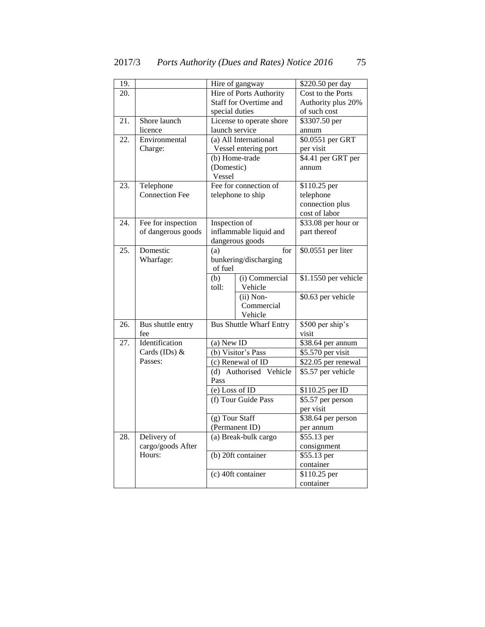| 19.               |                          |                        | Hire of gangway                | \$220.50 per day          |
|-------------------|--------------------------|------------------------|--------------------------------|---------------------------|
| 20.               |                          |                        | <b>Hire of Ports Authority</b> | Cost to the Ports         |
|                   |                          | Staff for Overtime and |                                | Authority plus 20%        |
|                   |                          | special duties         |                                | of such cost              |
| $\overline{21}$ . | Shore launch             |                        | License to operate shore       | \$3307.50 per             |
|                   | licence                  | launch service         |                                | annum                     |
| 22.               | Environmental            |                        | (a) All International          | \$0.0551 per GRT          |
|                   | Charge:                  |                        | Vessel entering port           | per visit                 |
|                   |                          |                        | (b) Home-trade                 | \$4.41 per GRT per        |
|                   |                          | (Domestic)             |                                | annum                     |
|                   |                          | Vessel                 |                                |                           |
| 23.               | Telephone                |                        | Fee for connection of          | \$110.25 per              |
|                   | <b>Connection Fee</b>    |                        | telephone to ship              | telephone                 |
|                   |                          |                        |                                | connection plus           |
|                   |                          |                        |                                | cost of labor             |
| 24.               | Fee for inspection       | Inspection of          |                                | \$33.08 per hour or       |
|                   | of dangerous goods       |                        | inflammable liquid and         | part thereof              |
|                   |                          | dangerous goods        |                                |                           |
| 25.               | Domestic                 | (a)                    | for                            | \$0.0551 per liter        |
|                   | Wharfage:                |                        | bunkering/discharging          |                           |
|                   |                          | of fuel                |                                |                           |
|                   |                          | (b)                    | (i) Commercial                 | \$1.1550 per vehicle      |
|                   |                          | toll:                  | Vehicle                        |                           |
|                   |                          |                        | (ii) Non-                      | \$0.63 per vehicle        |
|                   |                          |                        | Commercial                     |                           |
|                   |                          |                        | Vehicle                        |                           |
| 26.               | Bus shuttle entry<br>fee |                        | <b>Bus Shuttle Wharf Entry</b> | \$500 per ship's<br>visit |
| 27.               | Identification           | (a) New ID             |                                | \$38.64 per annum         |
|                   | Cards (IDs) &            |                        | (b) Visitor's Pass             | \$5.570 per visit         |
|                   | Passes:                  |                        | (c) Renewal of ID              | \$22.05 per renewal       |
|                   |                          |                        | (d) Authorised Vehicle         | \$5.57 per vehicle        |
|                   |                          | Pass                   |                                |                           |
|                   |                          | (e) Loss of $ID$       |                                | \$110.25 per ID           |
|                   |                          |                        | (f) Tour Guide Pass            | \$5.57 per person         |
|                   |                          |                        |                                | per visit                 |
|                   |                          | (g) Tour Staff         |                                | \$38.64 per person        |
|                   |                          |                        | (Permanent ID)                 | per annum                 |
| 28.               | Delivery of              |                        | (a) Break-bulk cargo           | \$55.13 per               |
|                   | cargo/goods After        |                        |                                | consignment               |
|                   | Hours:                   |                        | (b) 20ft container             | \$55.13 per               |
|                   |                          |                        |                                | container                 |
|                   |                          |                        | (c) 40ft container             | \$110.25 per              |
|                   |                          |                        |                                | container                 |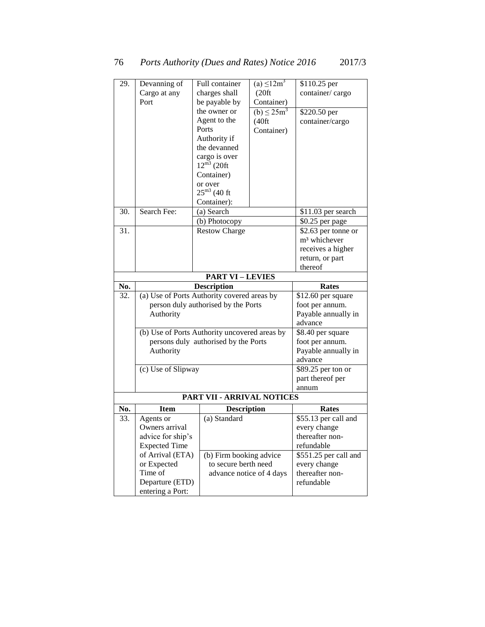| 29. | Devanning of                                  | Full container                       | $(a) \leq 12m^3$            | \$110.25 per                   |
|-----|-----------------------------------------------|--------------------------------------|-----------------------------|--------------------------------|
|     | Cargo at any                                  | charges shall                        | (20 <sup>ft</sup> )         | container/cargo                |
|     | Port                                          | be payable by                        | Container)                  |                                |
|     |                                               | the owner or                         | (b) $\leq$ 25m <sup>3</sup> | \$220.50 per                   |
|     |                                               | Agent to the                         | (40 ft)                     | container/cargo                |
|     |                                               | Ports                                | Container)                  |                                |
|     |                                               | Authority if                         |                             |                                |
|     |                                               | the devanned                         |                             |                                |
|     |                                               | cargo is over                        |                             |                                |
|     |                                               | $12^{\overline{m3}}$ (20ft           |                             |                                |
|     |                                               | Container)                           |                             |                                |
|     |                                               | or over                              |                             |                                |
|     |                                               | $25^{\rm m3}$ (40 ft                 |                             |                                |
|     |                                               | Container):                          |                             |                                |
| 30. | Search Fee:                                   | (a) Search                           |                             | \$11.03 per search             |
|     |                                               | (b) Photocopy                        |                             | \$0.25 per page                |
| 31. |                                               | <b>Restow Charge</b>                 |                             | \$2.63 per tonne or            |
|     |                                               |                                      |                             | m <sup>3</sup> whichever       |
|     |                                               |                                      |                             | receives a higher              |
|     |                                               |                                      |                             | return, or part                |
|     |                                               |                                      |                             | thereof                        |
|     |                                               | <b>PART VI-LEVIES</b>                |                             |                                |
| No. |                                               | <b>Description</b>                   |                             | <b>Rates</b>                   |
| 32. | (a) Use of Ports Authority covered areas by   |                                      |                             | $\overline{$}12.60$ per square |
|     |                                               | person duly authorised by the Ports  |                             | foot per annum.                |
|     | Authority                                     |                                      |                             | Payable annually in            |
|     |                                               |                                      |                             | advance                        |
|     | (b) Use of Ports Authority uncovered areas by |                                      |                             | \$8.40 per square              |
|     |                                               | persons duly authorised by the Ports |                             | foot per annum.                |
|     | Authority                                     |                                      |                             | Payable annually in            |
|     |                                               |                                      |                             | advance                        |
|     | (c) Use of Slipway                            |                                      |                             | \$89.25 per ton or             |
|     |                                               |                                      |                             | part thereof per               |
|     |                                               |                                      |                             | annum                          |
|     |                                               | PART VII - ARRIVAL NOTICES           |                             |                                |
| No. | <b>Item</b>                                   | <b>Description</b>                   |                             | Rates                          |
| 33. | Agents or                                     | (a) Standard                         |                             | \$55.13 per call and           |
|     | Owners arrival                                |                                      |                             | every change                   |
|     | advice for ship's                             |                                      |                             | thereafter non-                |
|     | <b>Expected Time</b>                          |                                      |                             | refundable                     |
|     | of Arrival (ETA)                              | (b) Firm booking advice              |                             | \$551.25 per call and          |
|     | or Expected                                   | to secure berth need                 |                             | every change                   |
|     | Time of                                       | advance notice of 4 days             |                             | thereafter non-                |
|     | Departure (ETD)                               |                                      |                             | refundable                     |
|     | entering a Port:                              |                                      |                             |                                |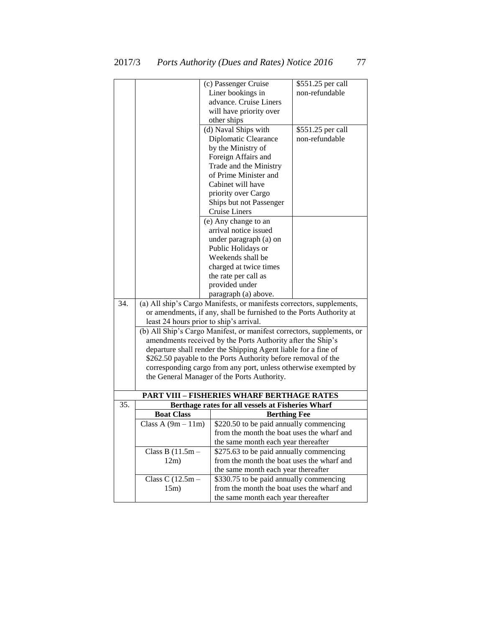|     |                                         | (c) Passenger Cruise                                                                                   | \$551.25 per call |  |
|-----|-----------------------------------------|--------------------------------------------------------------------------------------------------------|-------------------|--|
|     |                                         | Liner bookings in                                                                                      | non-refundable    |  |
|     |                                         | advance. Cruise Liners                                                                                 |                   |  |
|     |                                         | will have priority over                                                                                |                   |  |
|     |                                         | other ships                                                                                            |                   |  |
|     |                                         | (d) Naval Ships with                                                                                   | \$551.25 per call |  |
|     |                                         | Diplomatic Clearance                                                                                   | non-refundable    |  |
|     |                                         | by the Ministry of                                                                                     |                   |  |
|     |                                         | Foreign Affairs and                                                                                    |                   |  |
|     |                                         | Trade and the Ministry                                                                                 |                   |  |
|     |                                         | of Prime Minister and                                                                                  |                   |  |
|     |                                         | Cabinet will have                                                                                      |                   |  |
|     |                                         | priority over Cargo                                                                                    |                   |  |
|     |                                         | Ships but not Passenger                                                                                |                   |  |
|     |                                         | <b>Cruise Liners</b>                                                                                   |                   |  |
|     |                                         | (e) Any change to an                                                                                   |                   |  |
|     |                                         | arrival notice issued                                                                                  |                   |  |
|     |                                         | under paragraph (a) on                                                                                 |                   |  |
|     |                                         | Public Holidays or                                                                                     |                   |  |
|     |                                         | Weekends shall be                                                                                      |                   |  |
|     |                                         | charged at twice times                                                                                 |                   |  |
|     |                                         | the rate per call as                                                                                   |                   |  |
|     |                                         | provided under                                                                                         |                   |  |
|     |                                         | paragraph (a) above.                                                                                   |                   |  |
| 34. |                                         | (a) All ship's Cargo Manifests, or manifests correctors, supplements,                                  |                   |  |
|     |                                         | or amendments, if any, shall be furnished to the Ports Authority at                                    |                   |  |
|     | least 24 hours prior to ship's arrival. |                                                                                                        |                   |  |
|     |                                         | (b) All Ship's Cargo Manifest, or manifest correctors, supplements, or                                 |                   |  |
|     |                                         | amendments received by the Ports Authority after the Ship's                                            |                   |  |
|     |                                         | departure shall render the Shipping Agent liable for a fine of                                         |                   |  |
|     |                                         | \$262.50 payable to the Ports Authority before removal of the                                          |                   |  |
|     |                                         | corresponding cargo from any port, unless otherwise exempted by                                        |                   |  |
|     |                                         | the General Manager of the Ports Authority.                                                            |                   |  |
|     |                                         |                                                                                                        |                   |  |
| 35. |                                         | <b>PART VIII - FISHERIES WHARF BERTHAGE RATES</b><br>Berthage rates for all vessels at Fisheries Wharf |                   |  |
|     | <b>Boat Class</b>                       | <b>Berthing Fee</b>                                                                                    |                   |  |
|     | Class A $(9m - 11m)$                    | \$220.50 to be paid annually commencing                                                                |                   |  |
|     |                                         |                                                                                                        |                   |  |
|     |                                         | from the month the boat uses the wharf and<br>the same month each year thereafter                      |                   |  |
|     | Class B $(11.5m -$                      | \$275.63 to be paid annually commencing                                                                |                   |  |
|     | 12m)                                    | from the month the boat uses the wharf and                                                             |                   |  |
|     |                                         | the same month each year thereafter                                                                    |                   |  |
|     | Class C $(12.5m -$                      | \$330.75 to be paid annually commencing                                                                |                   |  |
|     | 15m)                                    | from the month the boat uses the wharf and                                                             |                   |  |
|     |                                         | the same month each year thereafter                                                                    |                   |  |
|     |                                         |                                                                                                        |                   |  |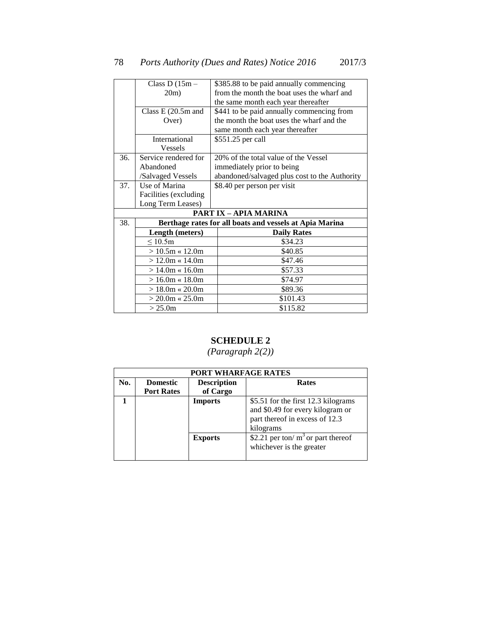|     | Class D $(15m -$       | \$385.88 to be paid annually commencing                 |
|-----|------------------------|---------------------------------------------------------|
|     | 20m)                   | from the month the boat uses the wharf and              |
|     |                        | the same month each year thereafter                     |
|     | Class E (20.5m and     | \$441 to be paid annually commencing from               |
|     | Over)                  | the month the boat uses the wharf and the               |
|     |                        | same month each year thereafter                         |
|     | International          | \$551.25 per call                                       |
|     | <b>Vessels</b>         |                                                         |
| 36. | Service rendered for   | 20% of the total value of the Vessel                    |
|     | Abandoned              | immediately prior to being                              |
|     | /Salvaged Vessels      | abandoned/salvaged plus cost to the Authority           |
| 37. | Use of Marina          | \$8.40 per person per visit                             |
|     | Facilities (excluding) |                                                         |
|     | Long Term Leases)      |                                                         |
|     |                        | <b>PART IX - APIA MARINA</b>                            |
| 38. |                        | Berthage rates for all boats and vessels at Apia Marina |
|     | Length (meters)        | <b>Daily Rates</b>                                      |
|     | $\leq 10.5m$           | \$34.23                                                 |
|     | $> 10.5m \times 12.0m$ | \$40.85                                                 |
|     | $> 12.0m \times 14.0m$ | \$47.46                                                 |
|     | $>14.0m \times 16.0m$  | \$57.33                                                 |
|     | $> 16.0m \times 18.0m$ | \$74.97                                                 |
|     | $> 18.0m \times 20.0m$ | \$89.36                                                 |
|     | $> 20.0$ m « 25.0m     | \$101.43                                                |
|     | > 25.0m                | \$115.82                                                |

### **SCHEDULE 2**

| PORT WHARFAGE RATES |                   |                    |                                                                                                                        |  |  |
|---------------------|-------------------|--------------------|------------------------------------------------------------------------------------------------------------------------|--|--|
| No.                 | <b>Domestic</b>   | <b>Description</b> | <b>Rates</b>                                                                                                           |  |  |
|                     | <b>Port Rates</b> | of Cargo           |                                                                                                                        |  |  |
|                     |                   | <b>Imports</b>     | \$5.51 for the first 12.3 kilograms<br>and \$0.49 for every kilogram or<br>part thereof in excess of 12.3<br>kilograms |  |  |
|                     |                   | <b>Exports</b>     | \$2.21 per ton/ $m3$ or part thereof<br>whichever is the greater                                                       |  |  |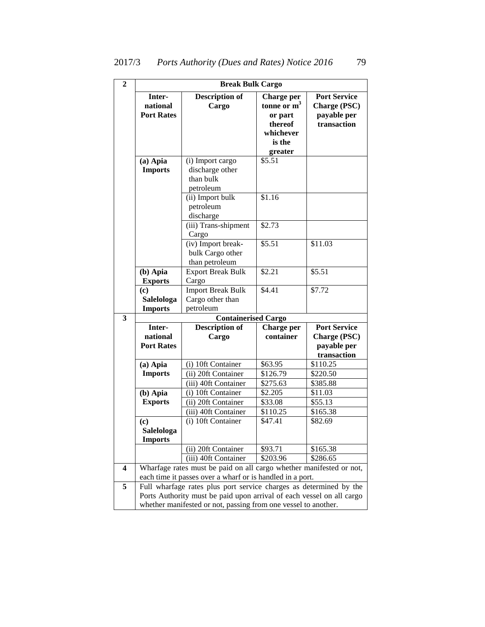| 2                       | <b>Break Bulk Cargo</b>                 |                                                                                                                                             |                                                                                     |                                                                          |  |  |  |
|-------------------------|-----------------------------------------|---------------------------------------------------------------------------------------------------------------------------------------------|-------------------------------------------------------------------------------------|--------------------------------------------------------------------------|--|--|--|
|                         | Inter-<br>national<br><b>Port Rates</b> | <b>Description of</b><br>Cargo                                                                                                              | Charge per<br>tonne or $m3$<br>or part<br>thereof<br>whichever<br>is the<br>greater | <b>Port Service</b><br><b>Charge (PSC)</b><br>payable per<br>transaction |  |  |  |
|                         | $(a)$ Apia<br><b>Imports</b>            | (i) Import cargo<br>discharge other<br>than bulk<br>petroleum                                                                               | \$5.51                                                                              |                                                                          |  |  |  |
|                         |                                         | (ii) Import bulk<br>petroleum<br>discharge                                                                                                  | \$1.16                                                                              |                                                                          |  |  |  |
|                         |                                         | (iii) Trans-shipment<br>Cargo                                                                                                               | \$2.73                                                                              |                                                                          |  |  |  |
|                         |                                         | (iv) Import break-<br>bulk Cargo other<br>than petroleum                                                                                    | \$5.51                                                                              | \$11.03                                                                  |  |  |  |
|                         | (b) Apia<br><b>Exports</b>              | <b>Export Break Bulk</b><br>Cargo                                                                                                           | \$2.21                                                                              | $$5.\overline{51}$                                                       |  |  |  |
|                         | (c)<br>Salelologa<br><b>Imports</b>     | <b>Import Break Bulk</b><br>Cargo other than<br>petroleum                                                                                   | \$4.41                                                                              | \$7.72                                                                   |  |  |  |
| 3                       |                                         | <b>Containerised Cargo</b>                                                                                                                  |                                                                                     |                                                                          |  |  |  |
|                         | Inter-<br>national<br><b>Port Rates</b> | <b>Description of</b><br>Cargo                                                                                                              | Charge per<br>container                                                             | <b>Port Service</b><br><b>Charge (PSC)</b><br>payable per<br>transaction |  |  |  |
|                         | $(a)$ Apia<br><b>Imports</b>            | (i) 10ft Container<br>(ii) 20ft Container<br>(iii) 40ft Container                                                                           | \$63.95<br>\$126.79<br>\$275.63                                                     | \$110.25<br>\$220.50<br>\$385.88                                         |  |  |  |
|                         | (b) Apia<br><b>Exports</b>              | (i) 10ft Container<br>(ii) 20ft Container<br>(iii) 40ft Container                                                                           | \$2.205<br>\$33.08<br>\$110.25                                                      | \$11.03<br>\$55.13<br>\$165.38                                           |  |  |  |
|                         | (c)<br>Salelologa<br><b>Imports</b>     | (i) 10ft Container                                                                                                                          | \$47.41                                                                             | \$82.69                                                                  |  |  |  |
|                         |                                         | (ii) 20ft Container<br>(iii) 40ft Container                                                                                                 | \$93.71<br>\$203.96                                                                 | \$165.38<br>\$286.65                                                     |  |  |  |
| $\overline{\mathbf{4}}$ |                                         | Wharfage rates must be paid on all cargo whether manifested or not,<br>each time it passes over a wharf or is handled in a port.            |                                                                                     |                                                                          |  |  |  |
| 5                       |                                         | Full wharfage rates plus port service charges as determined by the<br>Ports Authority must be paid upon arrival of each vessel on all cargo |                                                                                     |                                                                          |  |  |  |

whether manifested or not, passing from one vessel to another.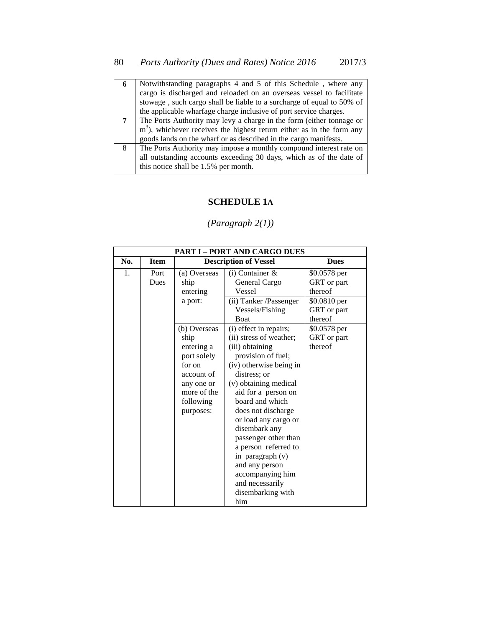| 6 | Notwithstanding paragraphs 4 and 5 of this Schedule, where any          |
|---|-------------------------------------------------------------------------|
|   | cargo is discharged and reloaded on an overseas vessel to facilitate    |
|   | stowage, such cargo shall be liable to a surcharge of equal to 50% of   |
|   | the applicable wharfage charge inclusive of port service charges.       |
| 7 | The Ports Authority may levy a charge in the form (either tonnage or    |
|   | $m3$ ), whichever receives the highest return either as in the form any |
|   | goods lands on the wharf or as described in the cargo manifests.        |
| 8 | The Ports Authority may impose a monthly compound interest rate on      |
|   | all outstanding accounts exceeding 30 days, which as of the date of     |
|   | this notice shall be 1.5% per month.                                    |

### **SCHEDULE 1A**

|                | <b>PART I - PORT AND CARGO DUES</b> |                                                                                                                                  |                                                                                                                                                                                                                                                                                                                                                                                                                                    |                                                        |  |
|----------------|-------------------------------------|----------------------------------------------------------------------------------------------------------------------------------|------------------------------------------------------------------------------------------------------------------------------------------------------------------------------------------------------------------------------------------------------------------------------------------------------------------------------------------------------------------------------------------------------------------------------------|--------------------------------------------------------|--|
| No.            | <b>Item</b>                         | <b>Description of Vessel</b>                                                                                                     |                                                                                                                                                                                                                                                                                                                                                                                                                                    | <b>Dues</b>                                            |  |
| $\mathbf{1}$ . | Port<br>Dues                        | (a) Overseas<br>ship<br>entering<br>a port:                                                                                      | $(i)$ Container $\&$<br>General Cargo<br>Vessel<br>(ii) Tanker /Passenger                                                                                                                                                                                                                                                                                                                                                          | \$0.0578 per<br>GRT or part<br>thereof<br>\$0.0810 per |  |
|                |                                     |                                                                                                                                  | Vessels/Fishing<br>Boat                                                                                                                                                                                                                                                                                                                                                                                                            | GRT or part<br>thereof                                 |  |
|                |                                     | (b) Overseas<br>ship<br>entering a<br>port solely<br>for on<br>account of<br>any one or<br>more of the<br>following<br>purposes: | (i) effect in repairs;<br>(ii) stress of weather;<br>(iii) obtaining<br>provision of fuel;<br>(iv) otherwise being in<br>distress: or<br>(v) obtaining medical<br>aid for a person on<br>board and which<br>does not discharge<br>or load any cargo or<br>disembark any<br>passenger other than<br>a person referred to<br>in paragraph $(v)$<br>and any person<br>accompanying him<br>and necessarily<br>disembarking with<br>him | \$0.0578 per<br>GRT or part<br>thereof                 |  |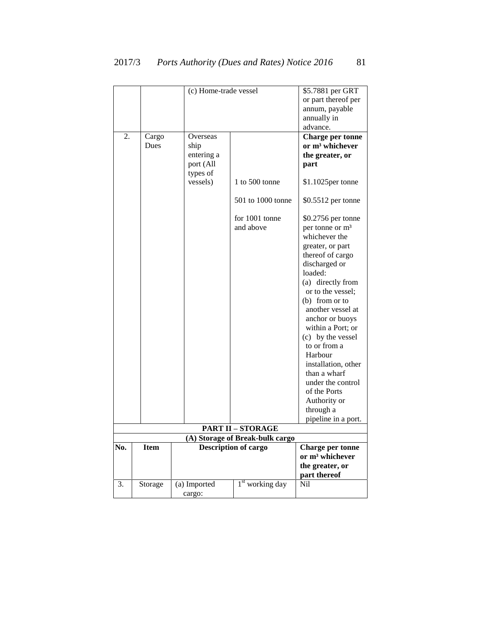|     |             |              | (c) Home-trade vessel           |                                       |  |
|-----|-------------|--------------|---------------------------------|---------------------------------------|--|
|     |             |              |                                 |                                       |  |
|     |             |              |                                 | or part thereof per<br>annum, payable |  |
|     |             |              |                                 | annually in                           |  |
|     |             |              |                                 | advance.                              |  |
| 2.  | Cargo       | Overseas     |                                 | <b>Charge per tonne</b>               |  |
|     | Dues        | ship         |                                 | or m <sup>3</sup> whichever           |  |
|     |             | entering a   |                                 | the greater, or                       |  |
|     |             | port (All    |                                 | part                                  |  |
|     |             | types of     |                                 |                                       |  |
|     |             | vessels)     |                                 |                                       |  |
|     |             |              | 1 to 500 tonne                  | \$1.1025per tonne                     |  |
|     |             |              | 501 to 1000 tonne               | \$0.5512 per tonne                    |  |
|     |             |              | for 1001 tonne                  | \$0.2756 per tonne                    |  |
|     |             |              | and above                       | per tonne or m <sup>3</sup>           |  |
|     |             |              |                                 | whichever the                         |  |
|     |             |              |                                 | greater, or part                      |  |
|     |             |              |                                 | thereof of cargo                      |  |
|     |             |              |                                 |                                       |  |
|     |             |              |                                 | discharged or                         |  |
|     |             |              |                                 | loaded:                               |  |
|     |             |              |                                 | (a) directly from                     |  |
|     |             |              |                                 | or to the vessel;                     |  |
|     |             |              |                                 | $(b)$ from or to                      |  |
|     |             |              |                                 | another vessel at                     |  |
|     |             |              |                                 | anchor or buoys                       |  |
|     |             |              |                                 | within a Port; or                     |  |
|     |             |              |                                 | (c) by the vessel                     |  |
|     |             |              |                                 | to or from a                          |  |
|     |             |              |                                 | Harbour                               |  |
|     |             |              |                                 | installation, other                   |  |
|     |             |              |                                 | than a wharf                          |  |
|     |             |              |                                 | under the control                     |  |
|     |             |              |                                 | of the Ports                          |  |
|     |             |              |                                 | Authority or                          |  |
|     |             |              |                                 | through a                             |  |
|     |             |              |                                 | pipeline in a port.                   |  |
|     |             |              | <b>PART II - STORAGE</b>        |                                       |  |
|     |             |              | (A) Storage of Break-bulk cargo |                                       |  |
| No. | <b>Item</b> |              | <b>Description of cargo</b>     | <b>Charge per tonne</b>               |  |
|     |             |              |                                 | or m <sup>3</sup> whichever           |  |
|     |             |              |                                 | the greater, or                       |  |
|     |             |              |                                 | part thereof                          |  |
| 3.  | Storage     | (a) Imported | $1st$ working day               | Nil                                   |  |
|     |             | cargo:       |                                 |                                       |  |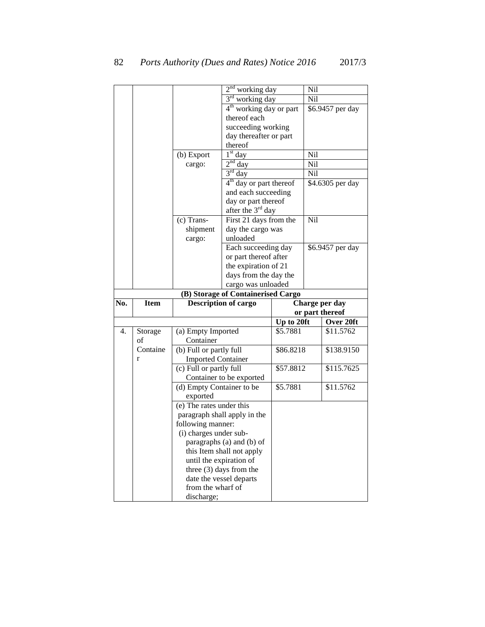|     |               |                                             | $2nd$ working day                   |            | Nil |                  |
|-----|---------------|---------------------------------------------|-------------------------------------|------------|-----|------------------|
|     |               |                                             | $3rd$ working day                   |            | Nil |                  |
|     |               |                                             | 4 <sup>th</sup> working day or part |            |     | \$6.9457 per day |
|     |               |                                             | thereof each                        |            |     |                  |
|     |               |                                             | succeeding working                  |            |     |                  |
|     |               |                                             | day thereafter or part              |            |     |                  |
|     |               |                                             | thereof                             |            |     |                  |
|     |               | (b) Export                                  | $1st$ day                           |            | Nil |                  |
|     |               | cargo:                                      | $2nd$ day                           |            | Nil |                  |
|     |               |                                             | $3rd$ day                           |            | Nil |                  |
|     |               |                                             | $4th$ day or part thereof           |            |     | \$4.6305 per day |
|     |               |                                             | and each succeeding                 |            |     |                  |
|     |               |                                             | day or part thereof                 |            |     |                  |
|     |               |                                             | after the 3 <sup>rd</sup> day       |            |     |                  |
|     |               | (c) Trans-                                  | First 21 days from the              |            | Nil |                  |
|     |               | shipment                                    | day the cargo was                   |            |     |                  |
|     |               | cargo:                                      | unloaded                            |            |     |                  |
|     |               |                                             | Each succeeding day                 |            |     | \$6.9457 per day |
|     |               |                                             | or part thereof after               |            |     |                  |
|     |               |                                             | the expiration of 21                |            |     |                  |
|     |               |                                             | days from the day the               |            |     |                  |
|     |               |                                             | cargo was unloaded                  |            |     |                  |
|     |               |                                             | (B) Storage of Containerised Cargo  |            |     |                  |
| No. | <b>Item</b>   |                                             | <b>Description of cargo</b>         |            |     | Charge per day   |
|     |               |                                             |                                     |            |     | or part thereof  |
|     |               |                                             |                                     | Up to 20ft |     | Over 20ft        |
|     |               | (a) Empty Imported                          |                                     |            |     |                  |
| 4.  |               |                                             |                                     |            |     |                  |
|     | Storage<br>of | Container                                   |                                     | \$5.7881   |     | \$11.5762        |
|     | Containe      |                                             |                                     | \$86.8218  |     | \$138.9150       |
|     | r             | (b) Full or partly full                     |                                     |            |     |                  |
|     |               | <b>Imported Container</b>                   |                                     |            |     |                  |
|     |               | (c) Full or partly full                     |                                     | \$57.8812  |     | \$115.7625       |
|     |               |                                             | Container to be exported            |            |     |                  |
|     |               | (d) Empty Container to be                   |                                     | \$5.7881   |     | \$11.5762        |
|     |               | exported                                    |                                     |            |     |                  |
|     |               | (e) The rates under this                    |                                     |            |     |                  |
|     |               |                                             | paragraph shall apply in the        |            |     |                  |
|     |               | following manner:<br>(i) charges under sub- |                                     |            |     |                  |
|     |               |                                             | paragraphs (a) and (b) of           |            |     |                  |
|     |               |                                             |                                     |            |     |                  |
|     |               |                                             | this Item shall not apply           |            |     |                  |
|     |               | until the expiration of                     |                                     |            |     |                  |
|     |               |                                             | three $(3)$ days from the           |            |     |                  |
|     |               | from the wharf of                           | date the vessel departs             |            |     |                  |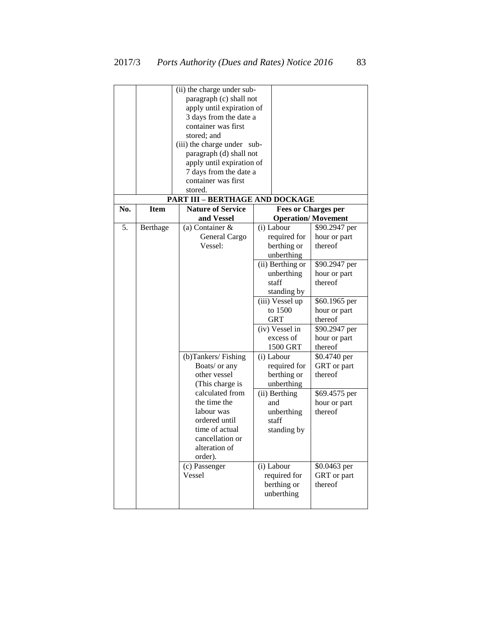|     |             | (ii) the charge under sub-      |  |                            |                           |
|-----|-------------|---------------------------------|--|----------------------------|---------------------------|
|     |             |                                 |  |                            |                           |
|     |             | paragraph (c) shall not         |  |                            |                           |
|     |             | apply until expiration of       |  |                            |                           |
|     |             | 3 days from the date a          |  |                            |                           |
|     |             | container was first             |  |                            |                           |
|     |             | stored; and                     |  |                            |                           |
|     |             | (iii) the charge under sub-     |  |                            |                           |
|     |             | paragraph (d) shall not         |  |                            |                           |
|     |             | apply until expiration of       |  |                            |                           |
|     |             | 7 days from the date a          |  |                            |                           |
|     |             | container was first             |  |                            |                           |
|     |             | stored.                         |  |                            |                           |
|     |             | PART III - BERTHAGE AND DOCKAGE |  |                            |                           |
| No. | <b>Item</b> | <b>Nature of Service</b>        |  | <b>Fees or Charges per</b> |                           |
|     |             | and Vessel                      |  |                            | <b>Operation/Movement</b> |
| 5.  | Berthage    | (a) Container &                 |  | (i) Labour                 | \$90.2947 per             |
|     |             | General Cargo                   |  | required for               | hour or part              |
|     |             | Vessel:                         |  | berthing or                | thereof                   |
|     |             |                                 |  | unberthing                 |                           |
|     |             |                                 |  | (ii) Berthing or           | \$90.2947 per             |
|     |             |                                 |  |                            |                           |
|     |             |                                 |  | unberthing<br>staff        | hour or part<br>thereof   |
|     |             |                                 |  |                            |                           |
|     |             |                                 |  | standing by                |                           |
|     |             |                                 |  | (iii) Vessel up            | \$60.1965 per             |
|     |             |                                 |  | to 1500                    | hour or part              |
|     |             |                                 |  | <b>GRT</b>                 | thereof                   |
|     |             |                                 |  | (iv) Vessel in             | \$90.2947 per             |
|     |             |                                 |  | excess of                  | hour or part              |
|     |             |                                 |  | 1500 GRT                   | thereof                   |
|     |             | (b)Tankers/Fishing              |  | (i) Labour                 | \$0.4740 per              |
|     |             | Boats/ or any                   |  | required for               | GRT or part               |
|     |             | other vessel                    |  | berthing or                | thereof                   |
|     |             | (This charge is                 |  | unberthing                 |                           |
|     |             | calculated from                 |  | (ii) Berthing              | \$69.4575 per             |
|     |             | the time the                    |  | and                        | hour or part              |
|     |             | labour was                      |  | unberthing                 | thereof                   |
|     |             | ordered until                   |  | staff                      |                           |
|     |             | time of actual                  |  | standing by                |                           |
|     |             | cancellation or                 |  |                            |                           |
|     |             | alteration of                   |  |                            |                           |
|     |             | order).                         |  |                            |                           |
|     |             | (c) Passenger                   |  | (i) Labour                 | \$0.0463 per              |
|     |             | Vessel                          |  | required for               | GRT or part               |
|     |             |                                 |  |                            | thereof                   |
|     |             |                                 |  | berthing or                |                           |
|     |             |                                 |  | unberthing                 |                           |
|     |             |                                 |  |                            |                           |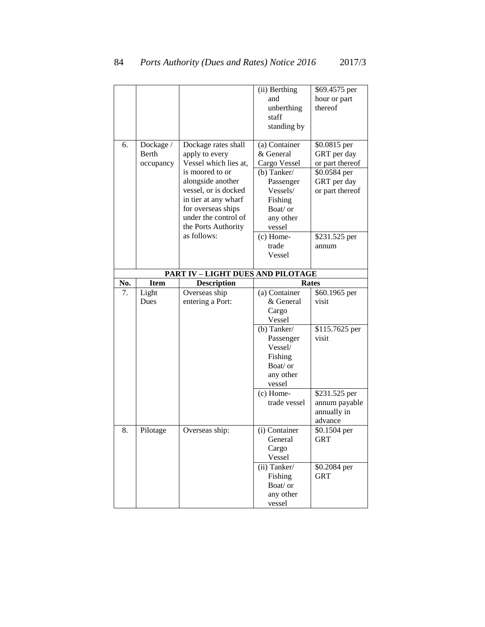|     |             |                                   | (ii) Berthing         | \$69.4575 per   |
|-----|-------------|-----------------------------------|-----------------------|-----------------|
|     |             |                                   | and                   | hour or part    |
|     |             |                                   | unberthing            | thereof         |
|     |             |                                   | staff                 |                 |
|     |             |                                   | standing by           |                 |
|     |             |                                   |                       |                 |
| 6.  | Dockage /   | Dockage rates shall               | (a) Container         | \$0.0815 per    |
|     | Berth       | apply to every                    | & General             | GRT per day     |
|     | occupancy   | Vessel which lies at,             | Cargo Vessel          | or part thereof |
|     |             | is moored to or                   | (b) Tanker/           | \$0.0584 per    |
|     |             | alongside another                 | Passenger             | GRT per day     |
|     |             | vessel, or is docked              | Vessels/              | or part thereof |
|     |             | in tier at any wharf              | Fishing               |                 |
|     |             | for overseas ships                | Boat/ or              |                 |
|     |             | under the control of              | any other             |                 |
|     |             | the Ports Authority               | vessel                |                 |
|     |             | as follows:                       | (c) Home-             | \$231.525 per   |
|     |             |                                   | trade                 | annum           |
|     |             |                                   | Vessel                |                 |
|     |             |                                   |                       |                 |
|     |             | PART IV - LIGHT DUES AND PILOTAGE |                       |                 |
| No. | <b>Item</b> | <b>Description</b>                | <b>Rates</b>          |                 |
| 7.  | Light       | Overseas ship                     | (a) Container         | \$60.1965 per   |
|     | Dues        | entering a Port:                  | & General             | visit           |
|     |             |                                   |                       |                 |
|     |             |                                   | Cargo                 |                 |
|     |             |                                   | Vessel                |                 |
|     |             |                                   | (b) Tanker/           | \$115.7625 per  |
|     |             |                                   | Passenger             | visit           |
|     |             |                                   | Vessel/               |                 |
|     |             |                                   | Fishing               |                 |
|     |             |                                   | Boat/ or              |                 |
|     |             |                                   | any other             |                 |
|     |             |                                   | vessel                |                 |
|     |             |                                   | $(c)$ Home-           | \$231.525 per   |
|     |             |                                   | trade vessel          | annum payable   |
|     |             |                                   |                       | annually in     |
|     |             |                                   |                       | advance         |
| 8.  | Pilotage    | Overseas ship:                    | (i) Container         | \$0.1504 per    |
|     |             |                                   | General               | GRT             |
|     |             |                                   | Cargo                 |                 |
|     |             |                                   | Vessel                |                 |
|     |             |                                   | (ii) Tanker/          | \$0.2084 per    |
|     |             |                                   | Fishing               | <b>GRT</b>      |
|     |             |                                   | Boat/ or<br>any other |                 |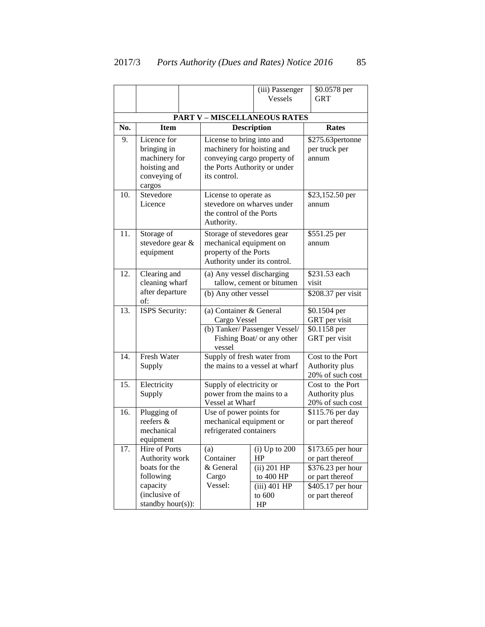|     |                            |                                     | (iii) Passenger                         | \$0.0578 per                  |  |
|-----|----------------------------|-------------------------------------|-----------------------------------------|-------------------------------|--|
|     |                            |                                     | <b>Vessels</b>                          | GRT                           |  |
|     |                            |                                     |                                         |                               |  |
|     |                            | <b>PART V - MISCELLANEOUS RATES</b> |                                         |                               |  |
| No. | <b>Item</b>                | <b>Description</b>                  |                                         | Rates                         |  |
| 9.  | Licence for                | License to bring into and           |                                         | \$275.63pertonne              |  |
|     | bringing in                | machinery for hoisting and          |                                         | per truck per                 |  |
|     | machinery for              | conveying cargo property of         |                                         | annum                         |  |
|     | hoisting and               | the Ports Authority or under        |                                         |                               |  |
|     | conveying of               | its control.                        |                                         |                               |  |
|     | cargos                     |                                     |                                         |                               |  |
| 10. | Stevedore                  | License to operate as               |                                         | \$23,152.50 per               |  |
|     | Licence                    | stevedore on wharves under          |                                         | annum                         |  |
|     |                            | the control of the Ports            |                                         |                               |  |
|     |                            | Authority.                          |                                         |                               |  |
| 11. | Storage of                 | Storage of stevedores gear          |                                         | \$551.25 per                  |  |
|     | stevedore gear &           | mechanical equipment on             |                                         | annum                         |  |
|     | equipment                  | property of the Ports               |                                         |                               |  |
|     |                            | Authority under its control.        |                                         | \$231.53 each                 |  |
| 12. | Clearing and               |                                     | (a) Any vessel discharging              |                               |  |
|     | cleaning wharf             |                                     | tallow, cement or bitumen               |                               |  |
|     | after departure            |                                     | (b) Any other vessel                    |                               |  |
| 13. | of:                        |                                     |                                         | \$0.1504 per                  |  |
|     | ISPS Security:             |                                     | (a) Container & General<br>Cargo Vessel |                               |  |
|     |                            |                                     | (b) Tanker/ Passenger Vessel/           | GRT per visit<br>\$0.1158 per |  |
|     |                            |                                     | Fishing Boat/ or any other              | GRT per visit                 |  |
|     |                            | vessel                              |                                         |                               |  |
| 14. | <b>Fresh Water</b>         |                                     | Supply of fresh water from              |                               |  |
|     | Supply                     |                                     | the mains to a vessel at wharf          |                               |  |
|     |                            |                                     |                                         | 20% of such cost              |  |
| 15. | Electricity                | Supply of electricity or            |                                         | Cost to the Port              |  |
|     | Supply                     | power from the mains to a           |                                         | Authority plus                |  |
|     |                            | Vessel at Wharf                     |                                         | 20% of such cost              |  |
| 16. | Plugging of                | Use of power points for             |                                         | $\overline{$}115.76$ per day  |  |
|     | reefers &                  | mechanical equipment or             |                                         | or part thereof               |  |
|     | mechanical                 | refrigerated containers             |                                         |                               |  |
| 17. | equipment<br>Hire of Ports | (a)                                 | $(i)$ Up to 200                         | \$173.65 per hour             |  |
|     | Authority work             | Container                           | HP                                      | or part thereof               |  |
|     | boats for the              | & General                           | $(ii)$ 201 HP                           | \$376.23 per hour             |  |
|     | following                  | Cargo                               | to 400 HP                               | or part thereof               |  |
|     | capacity                   | Vessel:                             | $(iii)$ 401 HP                          | \$405.17 per hour             |  |
|     | (inclusive of              |                                     | to $600$                                | or part thereof               |  |
|     | standby hour(s)):          |                                     | HP                                      |                               |  |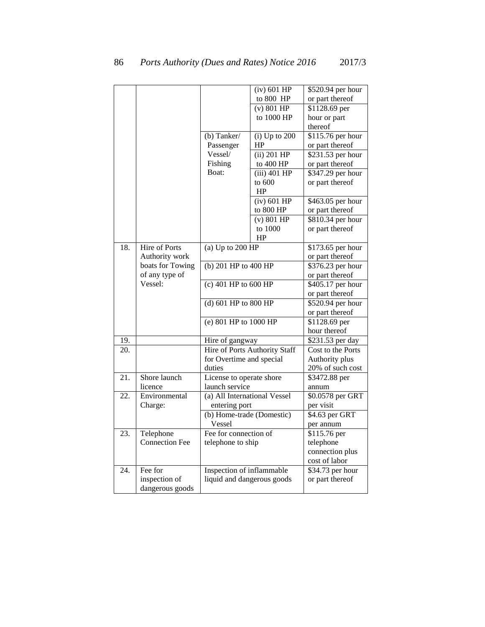|     |                       |                               | $(iv)$ 601 HP              | \$520.94 per hour  |
|-----|-----------------------|-------------------------------|----------------------------|--------------------|
|     |                       |                               | to 800 HP                  | or part thereof    |
|     |                       |                               | $(v)$ 801 HP               | $$1128.69$ per     |
|     |                       |                               | to 1000 HP                 | hour or part       |
|     |                       |                               |                            | thereof            |
|     |                       | (b) Tanker/                   | $(i)$ Up to 200            | \$115.76 per hour  |
|     |                       | Passenger                     | HP                         | or part thereof    |
|     |                       | Vessel/                       | $(ii)$ 201 HP              | \$231.53 per hour  |
|     |                       | Fishing                       | to 400 HP                  | or part thereof    |
|     |                       | Boat:                         | $(iii)$ 401 HP             | \$347.29 per hour  |
|     |                       |                               | to 600                     | or part thereof    |
|     |                       |                               | HP                         |                    |
|     |                       |                               | $(iv)$ 601 HP              | \$463.05 per hour  |
|     |                       |                               | to 800 HP                  | or part thereof    |
|     |                       |                               | (v) 801 HP                 | \$810.34 per hour  |
|     |                       |                               | to 1000                    | or part thereof    |
|     |                       |                               | HP                         |                    |
| 18. | Hire of Ports         | (a) $Up$ to $200$ HP          |                            | \$173.65 per hour  |
|     | Authority work        |                               |                            | or part thereof    |
|     | boats for Towing      | (b) 201 HP to 400 HP          |                            | $$376.23$ per hour |
|     | of any type of        |                               |                            | or part thereof    |
|     | Vessel:               | $(c)$ 401 HP to 600 HP        |                            | \$405.17 per hour  |
|     |                       |                               |                            | or part thereof    |
|     |                       | (d) 601 HP to 800 HP          |                            | \$520.94 per hour  |
|     |                       |                               |                            | or part thereof    |
|     |                       | (e) 801 HP to 1000 HP         |                            | $$1128.69$ per     |
|     |                       |                               |                            | hour thereof       |
| 19. |                       | Hire of gangway               |                            | \$231.53 per day   |
| 20. |                       | Hire of Ports Authority Staff |                            | Cost to the Ports  |
|     |                       | for Overtime and special      |                            | Authority plus     |
|     |                       | duties                        |                            | 20% of such cost   |
| 21. | Shore launch          | License to operate shore      |                            | \$3472.88 per      |
|     | licence               | launch service                |                            | annum              |
| 22. | Environmental         | (a) All International Vessel  |                            | \$0.0578 per GRT   |
|     | Charge:               | entering port                 |                            | per visit          |
|     |                       | (b) Home-trade (Domestic)     |                            | \$4.63 per GRT     |
|     |                       | Vessel                        |                            | per annum          |
| 23. | Telephone             | Fee for connection of         |                            | \$115.76 per       |
|     | <b>Connection Fee</b> | telephone to ship             |                            | telephone          |
|     |                       |                               |                            | connection plus    |
|     |                       |                               |                            | cost of labor      |
| 24. | Fee for               | Inspection of inflammable     |                            | \$34.73 per hour   |
|     | inspection of         |                               | liquid and dangerous goods | or part thereof    |
|     | dangerous goods       |                               |                            |                    |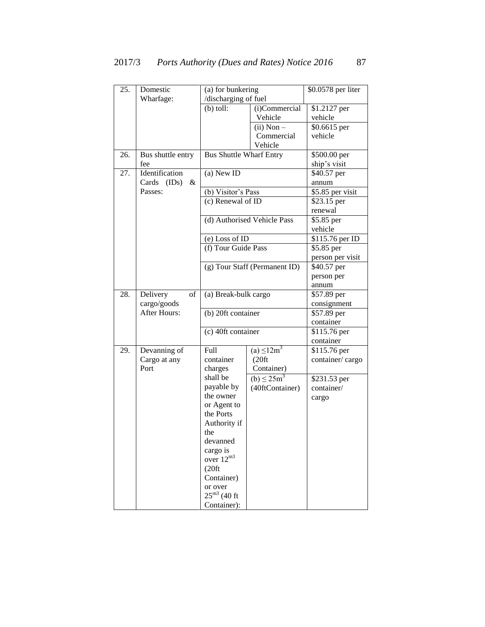| 25. | Domestic               | (a) for bunkering              |                               | \$0.0578 per liter |
|-----|------------------------|--------------------------------|-------------------------------|--------------------|
|     | Wharfage:              | /discharging of fuel           |                               |                    |
|     |                        | $(b)$ toll:                    | (i)Commercial                 | \$1.2127 per       |
|     |                        |                                | Vehicle                       | vehicle            |
|     |                        |                                | $(ii)$ Non $-$                | \$0.6615 per       |
|     |                        |                                | Commercial                    | vehicle            |
|     |                        |                                | Vehicle                       |                    |
| 26. | Bus shuttle entry      | <b>Bus Shuttle Wharf Entry</b> |                               | \$500.00 per       |
|     | fee                    |                                |                               | ship's visit       |
| 27. | Identification         | (a) New ID                     |                               | \$40.57 per        |
|     | Cards<br>(IDs)<br>$\&$ |                                |                               | annum              |
|     | Passes:                | (b) Visitor's Pass             |                               | \$5.85 per visit   |
|     |                        | (c) Renewal of $\overline{ID}$ |                               | \$23.15 per        |
|     |                        |                                |                               | renewal            |
|     |                        |                                | (d) Authorised Vehicle Pass   | \$5.85 per         |
|     |                        |                                |                               | vehicle            |
|     |                        | (e) Loss of ID                 |                               | \$115.76 per ID    |
|     |                        | (f) Tour Guide Pass            |                               | \$5.85 per         |
|     |                        |                                |                               | person per visit   |
|     |                        |                                | (g) Tour Staff (Permanent ID) | \$40.57 per        |
|     |                        |                                |                               | person per         |
|     |                        |                                |                               | annum              |
| 28. | of<br>Delivery         | (a) Break-bulk cargo           |                               | \$57.89 per        |
|     | cargo/goods            |                                |                               | consignment        |
|     | <b>After Hours:</b>    | (b) 20ft container             |                               | \$57.89 per        |
|     |                        |                                |                               | container          |
|     |                        | (c) 40ft container             |                               | \$115.76 per       |
|     |                        |                                |                               | container          |
| 29. | Devanning of           | Full                           | (a) $\leq 12m^3$              | \$115.76 per       |
|     | Cargo at any           | container                      | (20 ft)                       | container/cargo    |
|     | Port                   | charges                        | Container)                    |                    |
|     |                        | shall be                       | (b) $\leq 25m^3$              | \$231.53 per       |
|     |                        | payable by                     | (40ftContainer)               | container/         |
|     |                        | the owner                      |                               | cargo              |
|     |                        | or Agent to                    |                               |                    |
|     |                        | the Ports                      |                               |                    |
|     |                        | Authority if                   |                               |                    |
|     |                        | the                            |                               |                    |
|     |                        | devanned                       |                               |                    |
|     |                        | cargo is<br>over $12^{m3}$     |                               |                    |
|     |                        | (20 ft)                        |                               |                    |
|     |                        | Container)                     |                               |                    |
|     |                        | or over                        |                               |                    |
|     |                        | $25^{\rm m3}$ (40 ft           |                               |                    |
|     |                        | Container):                    |                               |                    |
|     |                        |                                |                               |                    |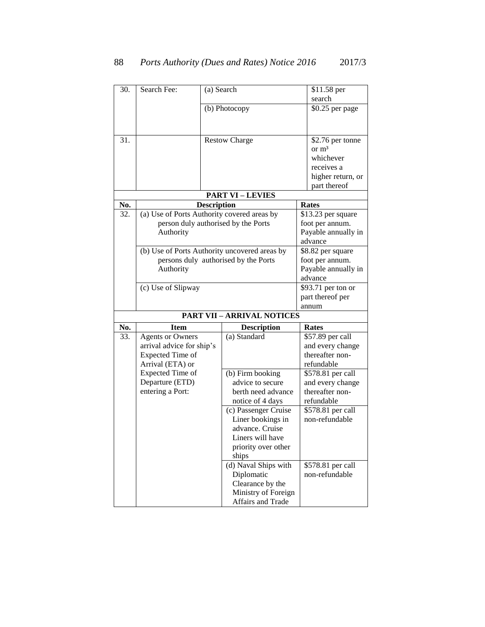| 30. | Search Fee:                                 | (a) Search                           |                                               |                  | \$11.58 per         |
|-----|---------------------------------------------|--------------------------------------|-----------------------------------------------|------------------|---------------------|
|     |                                             |                                      |                                               |                  | search              |
|     |                                             |                                      | (b) Photocopy                                 |                  | \$0.25 per page     |
|     |                                             |                                      |                                               |                  |                     |
|     |                                             |                                      |                                               |                  |                     |
| 31. |                                             |                                      | <b>Restow Charge</b>                          |                  | \$2.76 per tonne    |
|     |                                             |                                      |                                               |                  | or m <sup>3</sup>   |
|     |                                             |                                      |                                               |                  | whichever           |
|     |                                             |                                      |                                               |                  | receives a          |
|     |                                             |                                      |                                               |                  | higher return, or   |
|     |                                             |                                      |                                               |                  | part thereof        |
|     |                                             |                                      | <b>PART VI-LEVIES</b>                         |                  |                     |
| No. | <b>Description</b>                          |                                      |                                               |                  | Rates               |
| 32. | (a) Use of Ports Authority covered areas by |                                      |                                               |                  | \$13.23 per square  |
|     |                                             |                                      | person duly authorised by the Ports           |                  | foot per annum.     |
|     | Authority                                   |                                      |                                               |                  | Payable annually in |
|     |                                             |                                      |                                               |                  | advance             |
|     |                                             |                                      | (b) Use of Ports Authority uncovered areas by |                  | \$8.82 per square   |
|     |                                             | persons duly authorised by the Ports |                                               | foot per annum.  |                     |
|     | Authority                                   |                                      |                                               |                  | Payable annually in |
|     |                                             |                                      |                                               | advance          |                     |
|     | (c) Use of Slipway                          |                                      |                                               |                  | \$93.71 per ton or  |
|     |                                             |                                      |                                               | part thereof per |                     |
|     |                                             |                                      |                                               |                  | annum               |
|     |                                             |                                      | <b>PART VII - ARRIVAL NOTICES</b>             |                  |                     |
| No. | <b>Item</b>                                 |                                      | <b>Description</b>                            |                  | Rates               |
| 33. | <b>Agents or Owners</b>                     |                                      | (a) Standard                                  |                  | \$57.89 per call    |
|     | arrival advice for ship's                   |                                      |                                               |                  | and every change    |
|     | Expected Time of                            |                                      |                                               |                  | thereafter non-     |
|     | Arrival (ETA) or                            |                                      |                                               |                  | refundable          |
|     | Expected Time of                            |                                      | (b) Firm booking                              |                  | \$578.81 per call   |
|     | Departure (ETD)                             |                                      | advice to secure                              |                  | and every change    |
|     | entering a Port:                            |                                      | berth need advance                            |                  | thereafter non-     |
|     |                                             |                                      | notice of 4 days                              |                  | refundable          |
|     |                                             |                                      | (c) Passenger Cruise                          |                  | \$578.81 per call   |
|     |                                             |                                      | Liner bookings in                             |                  | non-refundable      |
|     |                                             |                                      | advance. Cruise                               |                  |                     |
|     |                                             |                                      | Liners will have                              |                  |                     |
|     |                                             |                                      | priority over other                           |                  |                     |
|     |                                             |                                      | ships                                         |                  |                     |
|     |                                             |                                      | (d) Naval Ships with                          |                  | \$578.81 per call   |
|     |                                             |                                      | Diplomatic                                    |                  | non-refundable      |
|     |                                             |                                      | Clearance by the<br>Ministry of Foreign       |                  |                     |
|     |                                             |                                      |                                               |                  |                     |
|     |                                             |                                      | Affairs and Trade                             |                  |                     |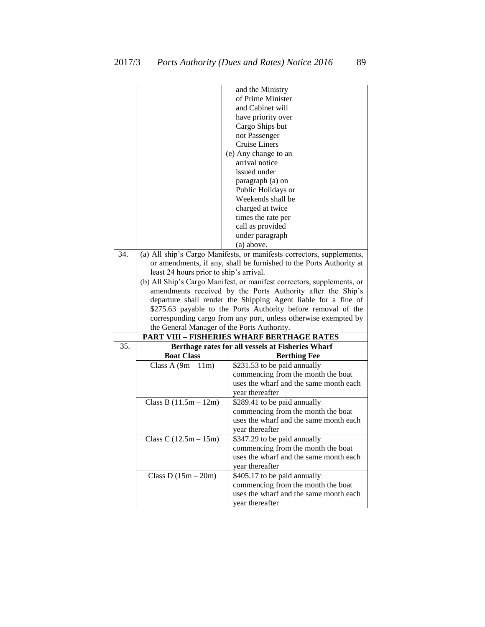| and the Ministry<br>of Prime Minister<br>and Cabinet will<br>have priority over<br>Cargo Ships but<br>not Passenger<br>Cruise Liners<br>(e) Any change to an<br>arrival notice<br>issued under<br>paragraph (a) on |
|--------------------------------------------------------------------------------------------------------------------------------------------------------------------------------------------------------------------|
|                                                                                                                                                                                                                    |
|                                                                                                                                                                                                                    |
|                                                                                                                                                                                                                    |
|                                                                                                                                                                                                                    |
|                                                                                                                                                                                                                    |
|                                                                                                                                                                                                                    |
|                                                                                                                                                                                                                    |
|                                                                                                                                                                                                                    |
|                                                                                                                                                                                                                    |
|                                                                                                                                                                                                                    |
|                                                                                                                                                                                                                    |
| Public Holidays or                                                                                                                                                                                                 |
| Weekends shall be                                                                                                                                                                                                  |
| charged at twice                                                                                                                                                                                                   |
|                                                                                                                                                                                                                    |
| times the rate per                                                                                                                                                                                                 |
| call as provided                                                                                                                                                                                                   |
| under paragraph                                                                                                                                                                                                    |
| (a) above.                                                                                                                                                                                                         |
| 34.<br>(a) All ship's Cargo Manifests, or manifests correctors, supplements,                                                                                                                                       |
| or amendments, if any, shall be furnished to the Ports Authority at                                                                                                                                                |
| least 24 hours prior to ship's arrival.                                                                                                                                                                            |
| (b) All Ship's Cargo Manifest, or manifest correctors, supplements, or                                                                                                                                             |
| amendments received by the Ports Authority after the Ship's                                                                                                                                                        |
| departure shall render the Shipping Agent liable for a fine of                                                                                                                                                     |
| \$275.63 payable to the Ports Authority before removal of the                                                                                                                                                      |
| corresponding cargo from any port, unless otherwise exempted by                                                                                                                                                    |
| the General Manager of the Ports Authority.                                                                                                                                                                        |
| <b>PART VIII - FISHERIES WHARF BERTHAGE RATES</b>                                                                                                                                                                  |
| 35.<br>Berthage rates for all vessels at Fisheries Wharf                                                                                                                                                           |
| <b>Boat Class</b><br><b>Berthing Fee</b>                                                                                                                                                                           |
| Class A $(9m - 11m)$<br>\$231.53 to be paid annually                                                                                                                                                               |
| commencing from the month the boat                                                                                                                                                                                 |
| uses the wharf and the same month each                                                                                                                                                                             |
| year thereafter                                                                                                                                                                                                    |
| Class B $(11.5m - 12m)$<br>\$289.41 to be paid annually                                                                                                                                                            |
| commencing from the month the boat                                                                                                                                                                                 |
| uses the wharf and the same month each                                                                                                                                                                             |
| year thereafter                                                                                                                                                                                                    |
| \$347.29 to be paid annually<br>Class C $(12.5m - 15m)$                                                                                                                                                            |
| commencing from the month the boat                                                                                                                                                                                 |
| uses the wharf and the same month each                                                                                                                                                                             |
| year thereafter                                                                                                                                                                                                    |
| \$405.17 to be paid annually<br>Class D $(15m - 20m)$                                                                                                                                                              |
| commencing from the month the boat                                                                                                                                                                                 |
| uses the wharf and the same month each                                                                                                                                                                             |
| year thereafter                                                                                                                                                                                                    |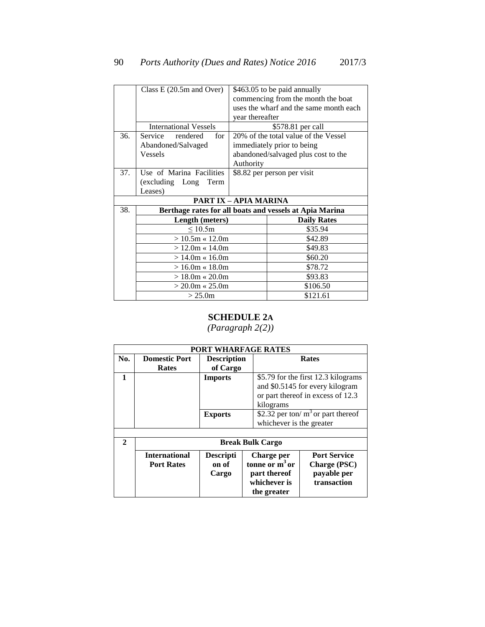|     | Class $E(20.5m$ and Over)    | \$463.05 to be paid annually                            |
|-----|------------------------------|---------------------------------------------------------|
|     |                              | commencing from the month the boat                      |
|     |                              | uses the wharf and the same month each                  |
|     |                              | year thereafter                                         |
|     | <b>International Vessels</b> | \$578.81 per call                                       |
| 36. | Service<br>rendered<br>for   | 20% of the total value of the Vessel                    |
|     | Abandoned/Salvaged           | immediately prior to being                              |
|     | <b>Vessels</b>               | abandoned/salvaged plus cost to the                     |
|     |                              | Authority                                               |
| 37. | Use of Marina Facilities     | \$8.82 per person per visit                             |
|     | (excluding Long Term         |                                                         |
|     | Leases)                      |                                                         |
|     |                              | <b>PART IX – APIA MARINA</b>                            |
| 38. |                              | Berthage rates for all boats and vessels at Apia Marina |
|     | Length (meters)              | <b>Daily Rates</b>                                      |
|     | $\leq 10.5m$                 | \$35.94                                                 |
|     | $> 10.5m \times 12.0m$       | \$42.89                                                 |
|     | $> 12.0$ m « 14.0m           | \$49.83                                                 |
|     | $>14.0m \times 16.0m$        | \$60.20                                                 |
|     | $>16.0m \times 18.0m$        | \$78.72                                                 |
|     | $> 18.0m \times 20.0m$       | \$93.83                                                 |
|     | $>$ 20.0m « 25.0m            | \$106.50                                                |
|     | > 25.0m                      | \$121.61                                                |

### **SCHEDULE 2A**

|                       | <b>PORT WHARFAGE RATES</b> |                    |                             |                                      |  |  |
|-----------------------|----------------------------|--------------------|-----------------------------|--------------------------------------|--|--|
| No.                   | <b>Domestic Port</b>       | <b>Description</b> |                             | <b>Rates</b>                         |  |  |
|                       | Rates                      | of Cargo           |                             |                                      |  |  |
| 1                     |                            | <b>Imports</b>     |                             | \$5.79 for the first 12.3 kilograms  |  |  |
|                       |                            |                    |                             | and \$0.5145 for every kilogram      |  |  |
|                       |                            |                    |                             | or part thereof in excess of 12.3    |  |  |
|                       |                            |                    | kilograms                   |                                      |  |  |
|                       |                            | <b>Exports</b>     |                             | \$2.32 per ton/ $m3$ or part thereof |  |  |
|                       |                            |                    | whichever is the greater    |                                      |  |  |
|                       |                            |                    |                             |                                      |  |  |
| $\mathcal{D}_{\cdot}$ | <b>Break Bulk Cargo</b>    |                    |                             |                                      |  |  |
|                       | <b>International</b>       | <b>Descripti</b>   | Charge per                  | <b>Port Service</b>                  |  |  |
|                       | <b>Port Rates</b>          | on of              | tonne or $m3$ or            | <b>Charge (PSC)</b>                  |  |  |
|                       |                            | Cargo              | part thereof                | payable per                          |  |  |
|                       |                            |                    | whichever is<br>the greater | transaction                          |  |  |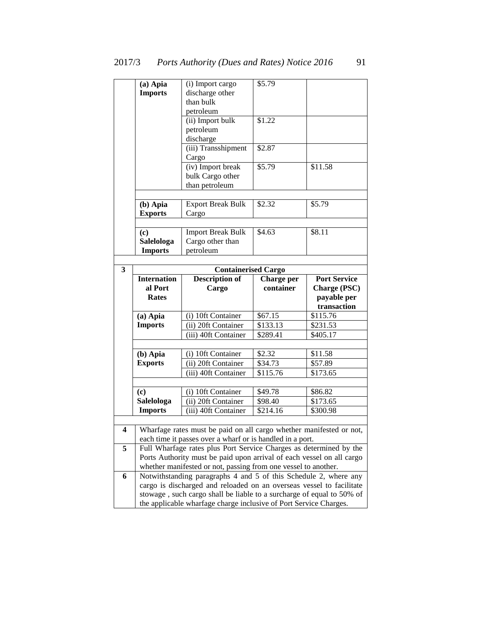|                         | (a) Apia                    | (i) Import cargo                                                                                                                           | \$5.79     |                     |
|-------------------------|-----------------------------|--------------------------------------------------------------------------------------------------------------------------------------------|------------|---------------------|
|                         | <b>Imports</b>              | discharge other                                                                                                                            |            |                     |
|                         |                             | than bulk                                                                                                                                  |            |                     |
|                         |                             |                                                                                                                                            |            |                     |
|                         |                             | petroleum                                                                                                                                  |            |                     |
|                         |                             | (ii) Import bulk                                                                                                                           | \$1.22     |                     |
|                         |                             | petroleum                                                                                                                                  |            |                     |
|                         |                             | discharge                                                                                                                                  |            |                     |
|                         |                             | (iii) Transshipment                                                                                                                        | \$2.87     |                     |
|                         |                             | Cargo                                                                                                                                      |            |                     |
|                         |                             | (iv) Import break                                                                                                                          | \$5.79     | \$11.58             |
|                         |                             | bulk Cargo other                                                                                                                           |            |                     |
|                         |                             | than petroleum                                                                                                                             |            |                     |
|                         |                             |                                                                                                                                            |            |                     |
|                         | $(b)$ Apia                  | <b>Export Break Bulk</b>                                                                                                                   | \$2.32     | \$5.79              |
|                         | <b>Exports</b>              | Cargo                                                                                                                                      |            |                     |
|                         |                             |                                                                                                                                            |            |                     |
|                         | $\left( \mathbf{c} \right)$ | <b>Import Break Bulk</b>                                                                                                                   | \$4.63     | \$8.11              |
|                         | Salelologa                  | Cargo other than                                                                                                                           |            |                     |
|                         | <b>Imports</b>              | petroleum                                                                                                                                  |            |                     |
|                         |                             |                                                                                                                                            |            |                     |
| $\overline{\mathbf{3}}$ |                             | <b>Containerised Cargo</b>                                                                                                                 |            |                     |
|                         | <b>Internation</b>          | <b>Description of</b>                                                                                                                      | Charge per | <b>Port Service</b> |
|                         | al Port                     | Cargo                                                                                                                                      | container  | Charge (PSC)        |
|                         |                             |                                                                                                                                            |            | payable per         |
|                         | <b>Rates</b>                |                                                                                                                                            |            |                     |
|                         |                             |                                                                                                                                            |            | transaction         |
|                         | (a) Apia                    | (i) 10ft Container                                                                                                                         | \$67.15    | \$115.76            |
|                         | <b>Imports</b>              | (ii) 20ft Container                                                                                                                        | \$133.13   | \$231.53            |
|                         |                             | (iii) 40ft Container                                                                                                                       | \$289.41   | \$405.17            |
|                         |                             |                                                                                                                                            |            |                     |
|                         | (b) Apia                    | (i) 10ft Container                                                                                                                         | \$2.32     | \$11.58             |
|                         | <b>Exports</b>              | (ii) 20ft Container                                                                                                                        | \$34.73    | \$57.89             |
|                         |                             | (iii) 40ft Container                                                                                                                       | \$115.76   | \$173.65            |
|                         |                             |                                                                                                                                            |            |                     |
|                         | $\left( \mathbf{c} \right)$ | (i) 10ft Container                                                                                                                         | \$49.78    | \$86.82             |
|                         | Salelologa                  | (ii) 20ft Container                                                                                                                        | \$98.40    | \$173.65            |
|                         | <b>Imports</b>              | (iii) 40ft Container                                                                                                                       | \$214.16   | \$300.98            |
|                         |                             |                                                                                                                                            |            |                     |
| 4                       |                             | Wharfage rates must be paid on all cargo whether manifested or not,                                                                        |            |                     |
|                         |                             | each time it passes over a wharf or is handled in a port.                                                                                  |            |                     |
| 5                       |                             | Full Wharfage rates plus Port Service Charges as determined by the                                                                         |            |                     |
|                         |                             | Ports Authority must be paid upon arrival of each vessel on all cargo                                                                      |            |                     |
|                         |                             | whether manifested or not, passing from one vessel to another.                                                                             |            |                     |
| 6                       |                             | Notwithstanding paragraphs 4 and 5 of this Schedule 2, where any                                                                           |            |                     |
|                         |                             | cargo is discharged and reloaded on an overseas vessel to facilitate                                                                       |            |                     |
|                         |                             | stowage, such cargo shall be liable to a surcharge of equal to 50% of<br>the applicable wharfage charge inclusive of Port Service Charges. |            |                     |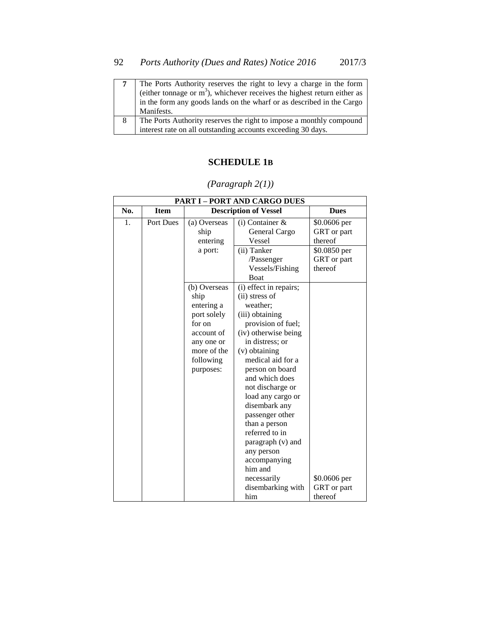| The Ports Authority reserves the right to levy a charge in the form        |
|----------------------------------------------------------------------------|
| (either tonnage or $m3$ ), whichever receives the highest return either as |
| in the form any goods lands on the wharf or as described in the Cargo      |
| Manifests.                                                                 |
| The Ports Authority reserves the right to impose a monthly compound        |
| interest rate on all outstanding accounts exceeding 30 days.               |

### **SCHEDULE 1B**

|     |                  |                                                                                                                                  | <b>PART I - PORT AND CARGO DUES</b>                                                                                                                                                                                                                                                                                                                                                                                                          |                                                        |
|-----|------------------|----------------------------------------------------------------------------------------------------------------------------------|----------------------------------------------------------------------------------------------------------------------------------------------------------------------------------------------------------------------------------------------------------------------------------------------------------------------------------------------------------------------------------------------------------------------------------------------|--------------------------------------------------------|
| No. | <b>Item</b>      |                                                                                                                                  | <b>Description of Vessel</b>                                                                                                                                                                                                                                                                                                                                                                                                                 | <b>Dues</b>                                            |
| 1.  | <b>Port Dues</b> | (a) Overseas<br>ship<br>entering<br>a port:                                                                                      | $(i)$ Container &<br>General Cargo<br>Vessel<br>(ii) Tanker                                                                                                                                                                                                                                                                                                                                                                                  | \$0.0606 per<br>GRT or part<br>thereof<br>\$0.0850 per |
|     |                  |                                                                                                                                  | /Passenger<br>Vessels/Fishing<br><b>Boat</b>                                                                                                                                                                                                                                                                                                                                                                                                 | GRT or part<br>thereof                                 |
|     |                  | (b) Overseas<br>ship<br>entering a<br>port solely<br>for on<br>account of<br>any one or<br>more of the<br>following<br>purposes: | (i) effect in repairs;<br>(ii) stress of<br>weather;<br>(iii) obtaining<br>provision of fuel;<br>(iv) otherwise being<br>in distress; or<br>(v) obtaining<br>medical aid for a<br>person on board<br>and which does<br>not discharge or<br>load any cargo or<br>disembark any<br>passenger other<br>than a person<br>referred to in<br>paragraph (v) and<br>any person<br>accompanying<br>him and<br>necessarily<br>disembarking with<br>him | \$0.0606 per<br>GRT or part<br>thereof                 |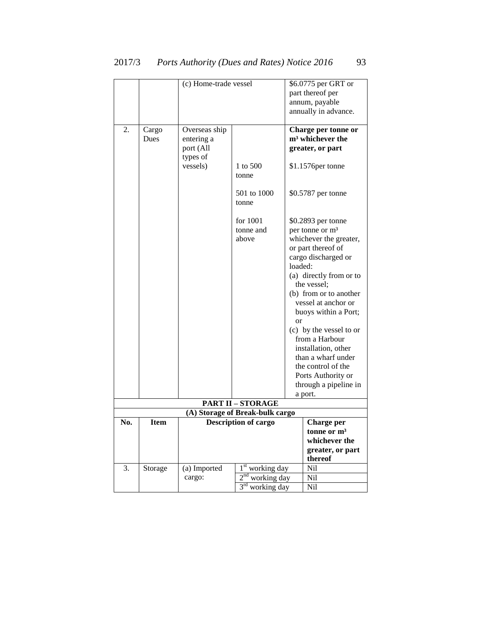|     |             | (c) Home-trade vessel |                                                  |               | \$6.0775 per GRT or          |
|-----|-------------|-----------------------|--------------------------------------------------|---------------|------------------------------|
|     |             |                       |                                                  |               | part thereof per             |
|     |             |                       |                                                  |               | annum, payable               |
|     |             |                       |                                                  |               | annually in advance.         |
|     |             |                       |                                                  |               |                              |
| 2.  | Cargo       | Overseas ship         |                                                  |               | Charge per tonne or          |
|     | Dues        | entering a            |                                                  |               | m <sup>3</sup> whichever the |
|     |             | port (All             |                                                  |               | greater, or part             |
|     |             | types of              |                                                  |               |                              |
|     |             | vessels)              | 1 to 500                                         |               | \$1.1576per tonne            |
|     |             |                       | tonne                                            |               |                              |
|     |             |                       | 501 to 1000                                      |               | \$0.5787 per tonne           |
|     |             |                       | tonne                                            |               |                              |
|     |             |                       |                                                  |               |                              |
|     |             |                       | for 1001                                         |               | \$0.2893 per tonne           |
|     |             |                       | tonne and                                        |               | per tonne or m <sup>3</sup>  |
|     |             |                       | above                                            |               | whichever the greater,       |
|     |             |                       |                                                  |               | or part thereof of           |
|     |             |                       |                                                  |               | cargo discharged or          |
|     |             |                       |                                                  | loaded:       |                              |
|     |             |                       |                                                  |               | (a) directly from or to      |
|     |             |                       |                                                  |               | the vessel;                  |
|     |             |                       |                                                  |               | (b) from or to another       |
|     |             |                       |                                                  |               | vessel at anchor or          |
|     |             |                       |                                                  |               | buoys within a Port;         |
|     |             |                       |                                                  | <sub>or</sub> | (c) by the vessel to or      |
|     |             |                       |                                                  |               | from a Harbour               |
|     |             |                       |                                                  |               | installation, other          |
|     |             |                       |                                                  |               | than a wharf under           |
|     |             |                       |                                                  |               | the control of the           |
|     |             |                       |                                                  |               | Ports Authority or           |
|     |             |                       |                                                  |               | through a pipeline in        |
|     |             |                       |                                                  |               | a port.                      |
|     |             |                       | <b>PART II - STORAGE</b>                         |               |                              |
|     |             |                       | (A) Storage of Break-bulk cargo                  |               |                              |
| No. | <b>Item</b> |                       | <b>Description of cargo</b>                      |               | Charge per                   |
|     |             |                       |                                                  |               | tonne or m <sup>3</sup>      |
|     |             |                       |                                                  |               | whichever the                |
|     |             |                       |                                                  |               | greater, or part             |
| 3.  |             |                       |                                                  |               | thereof<br>Ni1               |
|     | Storage     | (a) Imported          | 1 <sup>st</sup> working day<br>$2nd$ working day |               |                              |
|     |             | cargo:                |                                                  |               | Nil                          |
|     |             |                       | 3 <sup>rd</sup> working day                      |               | Nil                          |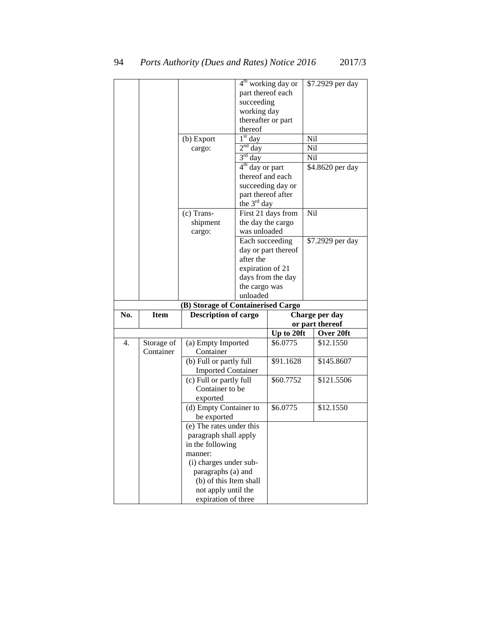|     |             |                                            |                    | $4th$ working day or | \$7.2929 per day                  |
|-----|-------------|--------------------------------------------|--------------------|----------------------|-----------------------------------|
|     |             |                                            | part thereof each  |                      |                                   |
|     |             |                                            | succeeding         |                      |                                   |
|     |             |                                            | working day        |                      |                                   |
|     |             |                                            | thereafter or part |                      |                                   |
|     |             |                                            | thereof            |                      |                                   |
|     |             | (b) Export                                 | $1st$ day          |                      | Nil                               |
|     |             | cargo:                                     | $2nd$ day          |                      | Nil                               |
|     |             |                                            | $3rd$ day          |                      | Nil                               |
|     |             |                                            | $4th$ day or part  |                      | \$4.8620 per day                  |
|     |             |                                            | thereof and each   |                      |                                   |
|     |             |                                            |                    | succeeding day or    |                                   |
|     |             |                                            | part thereof after |                      |                                   |
|     |             |                                            | the $3rd$ day      |                      |                                   |
|     |             | $(c)$ Trans-                               |                    | First 21 days from   | Nil                               |
|     |             | shipment                                   | the day the cargo  |                      |                                   |
|     |             | cargo:                                     | was unloaded       |                      |                                   |
|     |             |                                            | Each succeeding    |                      | \$7.2929 per day                  |
|     |             |                                            |                    | day or part thereof  |                                   |
|     |             |                                            | after the          |                      |                                   |
|     |             |                                            | expiration of 21   |                      |                                   |
|     |             |                                            |                    |                      |                                   |
|     |             |                                            |                    | days from the day    |                                   |
|     |             |                                            | the cargo was      |                      |                                   |
|     |             |                                            | unloaded           |                      |                                   |
|     |             | (B) Storage of Containerised Cargo         |                    |                      |                                   |
| No. | <b>Item</b> | <b>Description of cargo</b>                |                    |                      | Charge per day<br>or part thereof |
|     |             |                                            |                    | Up to 20ft           |                                   |
|     |             |                                            |                    |                      |                                   |
|     |             |                                            |                    |                      | Over 20ft                         |
| 4.  | Storage of  | (a) Empty Imported                         |                    | \$6.0775             | \$12.1550                         |
|     | Container   | Container                                  |                    |                      |                                   |
|     |             | (b) Full or partly full                    |                    | \$91.1628            | \$145.8607                        |
|     |             | <b>Imported Container</b>                  |                    |                      |                                   |
|     |             | (c) Full or partly full                    |                    | \$60,7752            | \$121.5506                        |
|     |             | Container to be                            |                    |                      |                                   |
|     |             | exported                                   |                    |                      |                                   |
|     |             | (d) Empty Container to                     |                    | \$6.0775             | \$12.1550                         |
|     |             | be exported                                |                    |                      |                                   |
|     |             | (e) The rates under this                   |                    |                      |                                   |
|     |             | paragraph shall apply                      |                    |                      |                                   |
|     |             | in the following                           |                    |                      |                                   |
|     |             | manner:                                    |                    |                      |                                   |
|     |             | (i) charges under sub-                     |                    |                      |                                   |
|     |             | paragraphs (a) and                         |                    |                      |                                   |
|     |             | (b) of this Item shall                     |                    |                      |                                   |
|     |             | not apply until the<br>expiration of three |                    |                      |                                   |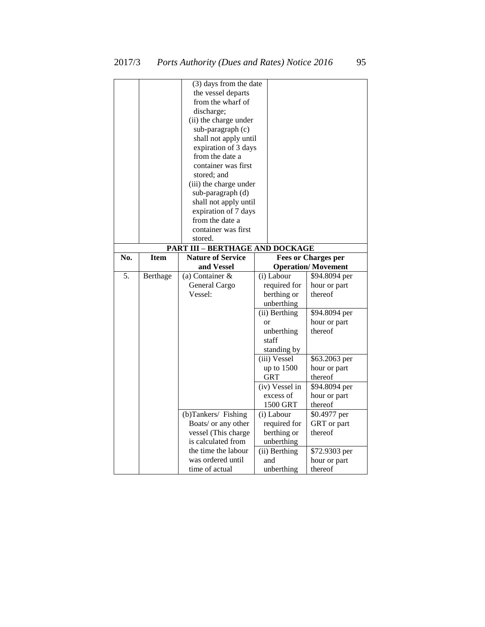|     |             | (3) days from the date          |                |                            |
|-----|-------------|---------------------------------|----------------|----------------------------|
|     |             | the vessel departs              |                |                            |
|     |             | from the wharf of               |                |                            |
|     |             | discharge;                      |                |                            |
|     |             | (ii) the charge under           |                |                            |
|     |             | sub-paragraph (c)               |                |                            |
|     |             | shall not apply until           |                |                            |
|     |             | expiration of 3 days            |                |                            |
|     |             | from the date a                 |                |                            |
|     |             | container was first             |                |                            |
|     |             | stored; and                     |                |                            |
|     |             | (iii) the charge under          |                |                            |
|     |             | sub-paragraph (d)               |                |                            |
|     |             | shall not apply until           |                |                            |
|     |             | expiration of 7 days            |                |                            |
|     |             | from the date a                 |                |                            |
|     |             | container was first             |                |                            |
|     |             | stored.                         |                |                            |
|     |             | PART III - BERTHAGE AND DOCKAGE |                |                            |
| No. | <b>Item</b> | <b>Nature of Service</b>        |                | <b>Fees or Charges per</b> |
|     |             | and Vessel                      |                | <b>Operation/Movement</b>  |
| 5.  | Berthage    | (a) Container $\&$              | (i) Labour     | \$94.8094 per              |
|     |             | General Cargo                   | required for   | hour or part               |
|     |             | Vessel:                         | berthing or    | thereof                    |
|     |             |                                 | unberthing     |                            |
|     |             |                                 | (ii) Berthing  | \$94.8094 per              |
|     |             |                                 | <b>or</b>      | hour or part               |
|     |             |                                 | unberthing     | thereof                    |
|     |             |                                 | staff          |                            |
|     |             |                                 | standing by    |                            |
|     |             |                                 | (iii) Vessel   | \$63.2063 per              |
|     |             |                                 | up to 1500     | hour or part               |
|     |             |                                 | GRT            | thereof                    |
|     |             |                                 | (iv) Vessel in | \$94.8094 per              |
|     |             |                                 | excess of      | hour or part               |
|     |             |                                 | 1500 GRT       | thereof                    |
|     |             | (b)Tankers/ Fishing             | (i) Labour     | \$0.4977 per               |
|     |             | Boats/ or any other             | required for   | GRT or part                |
|     |             | vessel (This charge             | berthing or    | thereof                    |
|     |             | is calculated from              | unberthing     |                            |
|     |             | the time the labour             | (ii) Berthing  | \$72.9303 per              |
|     |             | was ordered until               | and            | hour or part               |
|     |             | time of actual                  | unberthing     | thereof                    |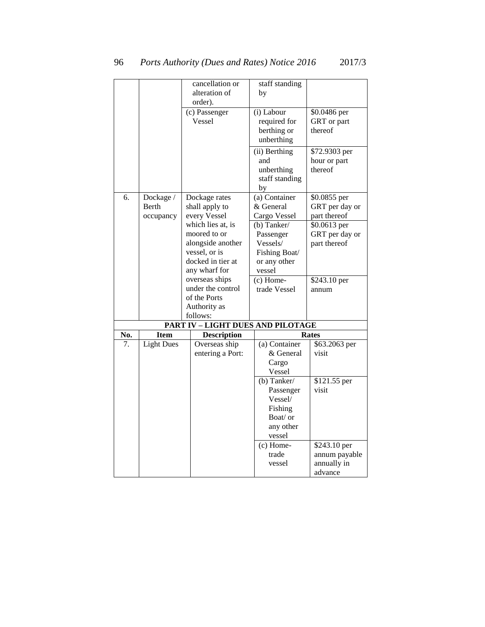| cancellation or<br>staff standing                         |                              |
|-----------------------------------------------------------|------------------------------|
|                                                           |                              |
| alteration of<br>by                                       |                              |
| order).                                                   |                              |
| (c) Passenger<br>(i) Labour                               | \$0.0486 per                 |
| <b>Vessel</b><br>required for                             | GRT or part                  |
| berthing or<br>thereof                                    |                              |
| unberthing                                                |                              |
|                                                           |                              |
| (ii) Berthing                                             | \$72.9303 per                |
| and                                                       | hour or part                 |
| thereof<br>unberthing                                     |                              |
| staff standing                                            |                              |
| by                                                        |                              |
| (a) Container<br>6.<br>Dockage /<br>Dockage rates         | \$0.0855 per                 |
| Berth<br>& General<br>shall apply to                      | GRT per day or               |
| every Vessel<br>Cargo Vessel<br>occupancy                 | part thereof                 |
| which lies at, is<br>(b) Tanker/                          | \$0.0613 per                 |
| moored to or<br>Passenger                                 | GRT per day or               |
| alongside another<br>Vessels/                             | part thereof                 |
| vessel, or is<br>Fishing Boat/                            |                              |
| docked in tier at<br>or any other                         |                              |
| any wharf for<br>vessel                                   |                              |
| overseas ships<br>$(c)$ Home-                             | \$243.10 per                 |
| under the control<br>trade Vessel<br>annum                |                              |
| of the Ports                                              |                              |
| Authority as                                              |                              |
| follows:                                                  |                              |
| <b>PART IV - LIGHT DUES AND PILOTAGE</b>                  |                              |
| No.<br><b>Item</b><br><b>Description</b><br><b>Rates</b>  |                              |
| <b>Light Dues</b><br>7.<br>Overseas ship<br>(a) Container | \$63.2063 per                |
| entering a Port:<br>& General<br>visit                    |                              |
| Cargo                                                     |                              |
| Vessel                                                    |                              |
| $(b)$ Tanker/                                             | \$121.55 per                 |
| visit<br>Passenger                                        |                              |
| Vessel/                                                   |                              |
|                                                           |                              |
|                                                           |                              |
| Fishing<br>Boat/ or                                       |                              |
|                                                           |                              |
| any other<br>vessel                                       |                              |
|                                                           |                              |
| $(c)$ Home-<br>trade                                      | \$243.10 per                 |
| vessel                                                    | annum payable<br>annually in |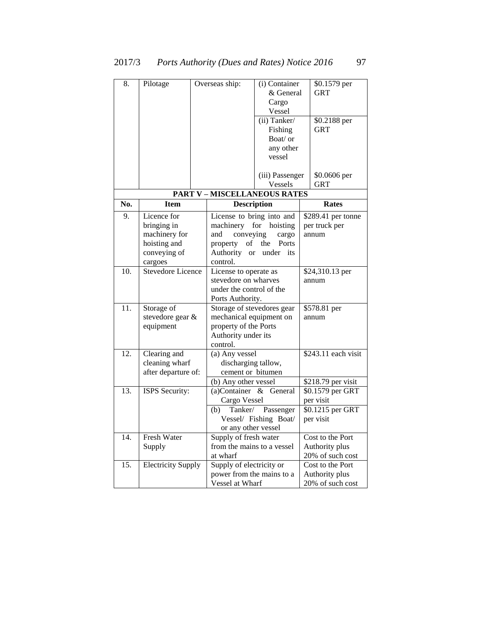| 8.  | Pilotage                                                                               | Overseas ship:                                                                                | (i) Container<br>& General<br>Cargo<br>Vessel<br>(ii) Tanker/<br>Fishing<br>Boat/ or         | \$0.1579 per<br><b>GRT</b><br>\$0.2188 per<br><b>GRT</b>       |
|-----|----------------------------------------------------------------------------------------|-----------------------------------------------------------------------------------------------|----------------------------------------------------------------------------------------------|----------------------------------------------------------------|
|     |                                                                                        |                                                                                               | any other<br>vessel<br>(iii) Passenger<br>Vessels                                            | \$0.0606 per<br>GRT                                            |
|     |                                                                                        | <b>PART V-MISCELLANEOUS RATES</b>                                                             |                                                                                              |                                                                |
| No. | <b>Item</b>                                                                            |                                                                                               | <b>Description</b>                                                                           | Rates                                                          |
| 9.  | Licence for<br>bringing in<br>machinery for<br>hoisting and<br>conveying of<br>cargoes | conveying<br>and<br>of<br>property<br>Authority<br><b>or</b><br>control.                      | License to bring into and<br>machinery for hoisting<br>cargo<br>the<br>Ports<br>under<br>its | \$289.41 per tonne<br>per truck per<br>annum                   |
| 10. | <b>Stevedore Licence</b>                                                               | License to operate as<br>stevedore on wharves<br>under the control of the<br>Ports Authority. |                                                                                              | \$24,310.13 per<br>annum                                       |
| 11. | Storage of<br>stevedore gear &<br>equipment                                            | mechanical equipment on<br>property of the Ports<br>Authority under its<br>control.           | Storage of stevedores gear                                                                   | \$578.81 per<br>annum                                          |
| 12. | Clearing and<br>cleaning wharf<br>after departure of:                                  | (a) Any vessel<br>discharging tallow,<br>cement or bitumen<br>(b) Any other vessel            |                                                                                              | \$243.11 each visit<br>$\sqrt{$2}18.79$ per visit              |
| 13. | ISPS Security:                                                                         | (a)Container<br>Cargo Vessel<br>Tanker/<br>(b)<br>or any other vessel                         | & General<br>Passenger<br>Vessel/ Fishing Boat/                                              | \$0.1579 per GRT<br>per visit<br>\$0.1215 per GRT<br>per visit |
| 14. | <b>Fresh Water</b>                                                                     | Supply of fresh water                                                                         |                                                                                              | Cost to the Port                                               |

from the mains to a vessel

power from the mains to a

Authority plus 20% of such cost

Cost to the Port Authority plus 20% of such cost

at wharf

Vessel at Wharf

15. Electricity Supply Supply of electricity or

Supply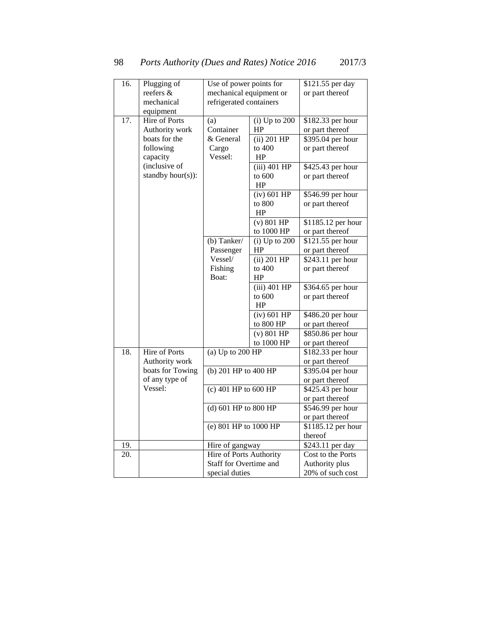| 16. | Plugging of       | Use of power points for |                   | \$121.55 per day           |
|-----|-------------------|-------------------------|-------------------|----------------------------|
|     | reefers &         | mechanical equipment or |                   | or part thereof            |
|     | mechanical        | refrigerated containers |                   |                            |
|     | equipment         |                         |                   |                            |
| 17. | Hire of Ports     | (a)                     | $(i)$ Up to $200$ | \$182.33 per hour          |
|     | Authority work    | Container               | HP                | or part thereof            |
|     | boats for the     | & General               | $(ii)$ 201 HP     | \$395.04 per hour          |
|     | following         | Cargo                   | to 400            | or part thereof            |
|     | capacity          | Vessel:                 | HP                |                            |
|     | (inclusive of     |                         | $(iii)$ 401 HP    | \$425.43 per hour          |
|     | standby hour(s)): |                         | to 600            | or part thereof            |
|     |                   |                         | HP                |                            |
|     |                   |                         | $(iv)$ 601 HP     | \$546.99 per hour          |
|     |                   |                         | to 800            | or part thereof            |
|     |                   |                         | HP                |                            |
|     |                   |                         | $(v)$ 801 HP      | \$1185.12 per hour         |
|     |                   |                         | to 1000 HP        | or part thereof            |
|     |                   | $(b)$ Tanker/           | $(i)$ Up to 200   | \$121.55 per hour          |
|     |                   | Passenger               | HP                | or part thereof            |
|     |                   | Vessel/                 | $(ii)$ 201 HP     | $\sqrt{$243.1}$ 1 per hour |
|     |                   | Fishing                 | to 400            | or part thereof            |
|     |                   | Boat:                   | HP                |                            |
|     |                   |                         | (iii) 401 HP      | \$364.65 per hour          |
|     |                   |                         | to 600            | or part thereof            |
|     |                   |                         | HP                |                            |
|     |                   |                         | $(iv)$ 601 HP     | \$486.20 per hour          |
|     |                   |                         | to 800 HP         | or part thereof            |
|     |                   |                         | $(v)$ 801 HP      | $$850.86$ per hour         |
|     |                   |                         | to 1000 HP        | or part thereof            |
| 18. | Hire of Ports     | (a) $Up$ to $200$ HP    |                   | \$182.33 per hour          |
|     | Authority work    |                         |                   | or part thereof            |
|     | boats for Towing  | (b) 201 HP to 400 HP    |                   | \$395.04 per hour          |
|     | of any type of    |                         |                   | or part thereof            |
|     | Vessel:           | $(c)$ 401 HP to 600 HP  |                   | \$425.43 per hour          |
|     |                   |                         |                   | or part thereof            |
|     |                   | (d) 601 HP to 800 HP    |                   | \$546.99 per hour          |
|     |                   |                         |                   | or part thereof            |
|     |                   | (e) 801 HP to 1000 HP   |                   | \$1185.12 per hour         |
|     |                   |                         |                   | thereof                    |
| 19. |                   | Hire of gangway         |                   | \$243.11 per day           |
| 20. |                   | Hire of Ports Authority |                   | Cost to the Ports          |
|     |                   | Staff for Overtime and  |                   | Authority plus             |
|     |                   | special duties          |                   | 20% of such cost           |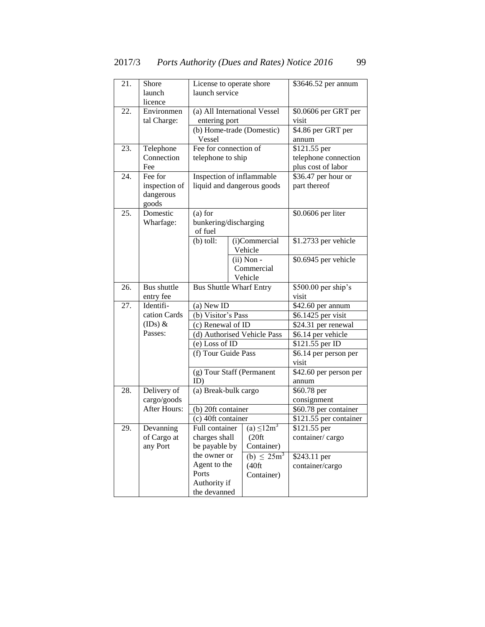| 21. | Shore         | License to operate shore         |                              | \$3646.52 per annum    |
|-----|---------------|----------------------------------|------------------------------|------------------------|
|     | launch        | launch service                   |                              |                        |
|     | licence       |                                  |                              |                        |
| 22. | Environmen    |                                  | (a) All International Vessel | \$0.0606 per GRT per   |
|     | tal Charge:   | entering port                    |                              | visit                  |
|     |               |                                  | (b) Home-trade (Domestic)    | \$4.86 per GRT per     |
|     |               | Vessel                           |                              | annum                  |
| 23. | Telephone     | Fee for connection of            |                              | \$121.55 per           |
|     | Connection    | telephone to ship                |                              | telephone connection   |
|     | Fee           |                                  |                              | plus cost of labor     |
| 24. | Fee for       | Inspection of inflammable        |                              | \$36.47 per hour or    |
|     | inspection of |                                  | liquid and dangerous goods   | part thereof           |
|     | dangerous     |                                  |                              |                        |
|     | goods         |                                  |                              |                        |
| 25. | Domestic      | $(a)$ for                        |                              | \$0.0606 per liter     |
|     | Wharfage:     | bunkering/discharging<br>of fuel |                              |                        |
|     |               | $(b)$ toll:                      | (i)Commercial                | \$1.2733 per vehicle   |
|     |               |                                  | Vehicle                      |                        |
|     |               |                                  | $(ii)$ Non -                 | \$0.6945 per vehicle   |
|     |               |                                  | Commercial                   |                        |
|     |               |                                  | Vehicle                      |                        |
| 26. | Bus shuttle   | <b>Bus Shuttle Wharf Entry</b>   |                              | \$500.00 per ship's    |
|     | entry fee     |                                  |                              | visit                  |
| 27. | Identifi-     | (a) New ID                       |                              | \$42.60 per annum      |
|     | cation Cards  | (b) Visitor's Pass               |                              | \$6.1425 per visit     |
|     | $(IDs)$ &     | (c) Renewal of ID                |                              | \$24.31 per renewal    |
|     | Passes:       |                                  | (d) Authorised Vehicle Pass  | \$6.14 per vehicle     |
|     |               | (e) Loss of ID                   |                              | \$121.55 per ID        |
|     |               | (f) Tour Guide Pass              |                              | \$6.14 per person per  |
|     |               |                                  |                              | visit                  |
|     |               |                                  | (g) Tour Staff (Permanent    | \$42.60 per person per |
|     |               | ID)                              |                              | annum                  |
| 28. | Delivery of   | (a) Break-bulk cargo             |                              | \$60.78 per            |
|     | cargo/goods   |                                  |                              | consignment            |
|     | After Hours:  | (b) 20ft container               |                              | \$60.78 per container  |
|     |               | (c) 40ft container               |                              | \$121.55 per container |
| 29. | Devanning     | Full container                   | (a) $\leq 12m^3$             | \$121.55 per           |
|     | of Cargo at   | charges shall                    | (20 <sup>ft</sup> )          | container/cargo        |
|     | any Port      | be payable by                    | Container)                   |                        |
|     |               | the owner or                     | (b) $\leq 25m^3$             | \$243.11 per           |
|     |               | Agent to the<br>Ports            | (40 ft)                      | container/cargo        |
|     |               |                                  | Container)                   |                        |
|     |               | Authority if<br>the devanned     |                              |                        |
|     |               |                                  |                              |                        |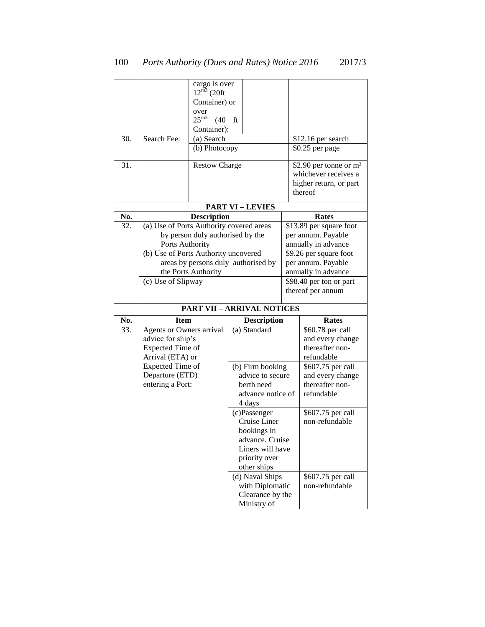|            |                                          | cargo is over<br>$12^{\overline{m3}}$ (20ft<br>Container) or<br>over<br>$25^{\mathrm{m}3}$<br>$(40)$ ft |                                                          |                                                                                      |
|------------|------------------------------------------|---------------------------------------------------------------------------------------------------------|----------------------------------------------------------|--------------------------------------------------------------------------------------|
|            |                                          | Container):                                                                                             |                                                          |                                                                                      |
| 30.        | Search Fee:                              | $(a)$ Search                                                                                            |                                                          | \$12.16 per search                                                                   |
|            |                                          | (b) Photocopy                                                                                           |                                                          | \$0.25 per page                                                                      |
| 31.        |                                          | <b>Restow Charge</b>                                                                                    |                                                          | \$2.90 per tonne or m <sup>3</sup><br>whichever receives a<br>higher return, or part |
|            |                                          |                                                                                                         |                                                          | thereof                                                                              |
|            |                                          |                                                                                                         | <b>PART VI-LEVIES</b>                                    |                                                                                      |
| No.        |                                          | <b>Description</b>                                                                                      |                                                          | Rates                                                                                |
| 32.        | (a) Use of Ports Authority covered areas |                                                                                                         |                                                          | \$13.89 per square foot                                                              |
|            |                                          | by person duly authorised by the                                                                        |                                                          | per annum. Payable                                                                   |
|            | Ports Authority                          |                                                                                                         |                                                          | annually in advance                                                                  |
|            | (b) Use of Ports Authority uncovered     |                                                                                                         |                                                          | $\sqrt{$9.26}$$ per square foot                                                      |
|            |                                          |                                                                                                         | areas by persons duly authorised by                      | per annum. Payable                                                                   |
|            |                                          | the Ports Authority                                                                                     |                                                          | annually in advance                                                                  |
|            | (c) Use of Slipway                       |                                                                                                         |                                                          | \$98.40 per ton or part                                                              |
|            |                                          |                                                                                                         |                                                          | thereof per annum                                                                    |
|            |                                          |                                                                                                         |                                                          |                                                                                      |
|            |                                          |                                                                                                         | <b>PART VII - ARRIVAL NOTICES</b>                        |                                                                                      |
|            | <b>Item</b>                              |                                                                                                         |                                                          | <b>Rates</b>                                                                         |
| No.<br>33. | Agents or Owners arrival                 |                                                                                                         | <b>Description</b><br>$\overline{(\mathbf{a})}$ Standard | \$60.78 per call                                                                     |
|            | advice for ship's                        |                                                                                                         |                                                          | and every change                                                                     |
|            | Expected Time of                         |                                                                                                         |                                                          | thereafter non-                                                                      |
|            | Arrival (ETA) or                         |                                                                                                         |                                                          | refundable                                                                           |
|            | Expected Time of                         |                                                                                                         | (b) Firm booking                                         | \$607.75 per call                                                                    |
|            | Departure (ETD)                          |                                                                                                         | advice to secure                                         | and every change                                                                     |
|            | entering a Port:                         |                                                                                                         | berth need                                               | thereafter non-                                                                      |
|            |                                          |                                                                                                         | advance notice of                                        | refundable                                                                           |
|            |                                          |                                                                                                         | 4 days                                                   |                                                                                      |
|            |                                          |                                                                                                         | (c)Passenger                                             | \$607.75 per call                                                                    |
|            |                                          |                                                                                                         | Cruise Liner                                             | non-refundable                                                                       |
|            |                                          |                                                                                                         | bookings in<br>advance. Cruise                           |                                                                                      |
|            |                                          |                                                                                                         | Liners will have                                         |                                                                                      |
|            |                                          |                                                                                                         | priority over                                            |                                                                                      |
|            |                                          |                                                                                                         | other ships                                              |                                                                                      |
|            |                                          |                                                                                                         | (d) Naval Ships                                          | \$607.75 per call                                                                    |
|            |                                          |                                                                                                         | with Diplomatic                                          | non-refundable                                                                       |
|            |                                          |                                                                                                         | Clearance by the<br>Ministry of                          |                                                                                      |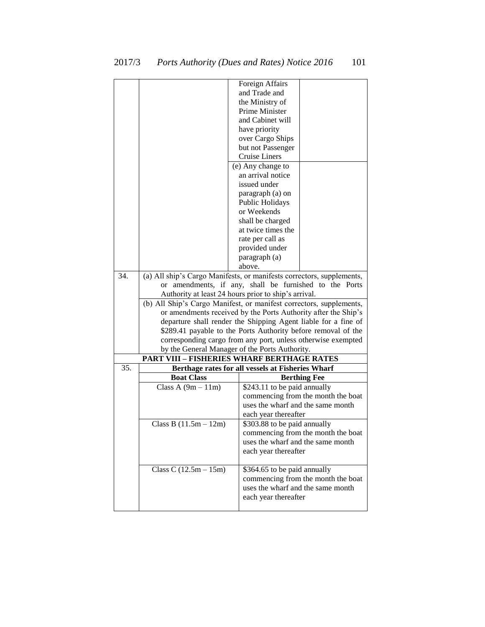|     |                                                                       | Foreign Affairs                                                     |  |  |  |
|-----|-----------------------------------------------------------------------|---------------------------------------------------------------------|--|--|--|
|     |                                                                       | and Trade and                                                       |  |  |  |
|     |                                                                       | the Ministry of                                                     |  |  |  |
|     |                                                                       | Prime Minister                                                      |  |  |  |
|     |                                                                       | and Cabinet will                                                    |  |  |  |
|     |                                                                       | have priority                                                       |  |  |  |
|     |                                                                       | over Cargo Ships                                                    |  |  |  |
|     |                                                                       | but not Passenger                                                   |  |  |  |
|     |                                                                       | <b>Cruise Liners</b>                                                |  |  |  |
|     |                                                                       | (e) Any change to                                                   |  |  |  |
|     |                                                                       | an arrival notice                                                   |  |  |  |
|     |                                                                       | issued under                                                        |  |  |  |
|     |                                                                       | paragraph (a) on                                                    |  |  |  |
|     |                                                                       | Public Holidays                                                     |  |  |  |
|     |                                                                       | or Weekends                                                         |  |  |  |
|     |                                                                       | shall be charged                                                    |  |  |  |
|     |                                                                       | at twice times the                                                  |  |  |  |
|     |                                                                       | rate per call as<br>provided under                                  |  |  |  |
|     |                                                                       | paragraph (a)                                                       |  |  |  |
|     |                                                                       | above.                                                              |  |  |  |
| 34. | (a) All ship's Cargo Manifests, or manifests correctors, supplements, |                                                                     |  |  |  |
|     | amendments, if any, shall be furnished to the Ports<br>or             |                                                                     |  |  |  |
|     |                                                                       | Authority at least 24 hours prior to ship's arrival.                |  |  |  |
|     |                                                                       | (b) All Ship's Cargo Manifest, or manifest correctors, supplements, |  |  |  |
|     |                                                                       | or amendments received by the Ports Authority after the Ship's      |  |  |  |
|     |                                                                       | departure shall render the Shipping Agent liable for a fine of      |  |  |  |
|     |                                                                       | \$289.41 payable to the Ports Authority before removal of the       |  |  |  |
|     |                                                                       | corresponding cargo from any port, unless otherwise exempted        |  |  |  |
|     |                                                                       | by the General Manager of the Ports Authority.                      |  |  |  |
|     |                                                                       | <b>PART VIII - FISHERIES WHARF BERTHAGE RATES</b>                   |  |  |  |
| 35. |                                                                       | Berthage rates for all vessels at Fisheries Wharf                   |  |  |  |
|     | <b>Boat Class</b>                                                     | <b>Berthing Fee</b>                                                 |  |  |  |
|     | Class A $(9m - 11m)$                                                  | \$243.11 to be paid annually                                        |  |  |  |
|     |                                                                       | commencing from the month the boat                                  |  |  |  |
|     |                                                                       | uses the wharf and the same month                                   |  |  |  |
|     |                                                                       | each year thereafter                                                |  |  |  |
|     | Class B $(11.5m - 12m)$                                               | \$303.88 to be paid annually                                        |  |  |  |
|     |                                                                       | commencing from the month the boat                                  |  |  |  |
|     |                                                                       | uses the wharf and the same month                                   |  |  |  |
|     |                                                                       | each year thereafter                                                |  |  |  |
|     | Class C $(12.5m - 15m)$                                               | \$364.65 to be paid annually                                        |  |  |  |
|     |                                                                       | commencing from the month the boat                                  |  |  |  |
|     |                                                                       | uses the wharf and the same month                                   |  |  |  |
|     |                                                                       |                                                                     |  |  |  |
|     |                                                                       | each year thereafter                                                |  |  |  |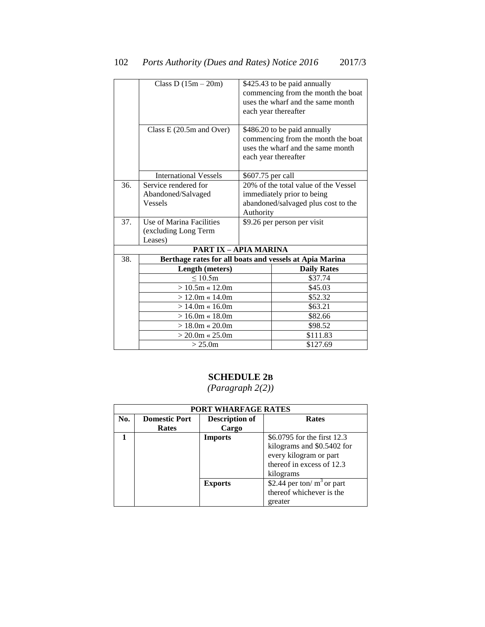|     | Class D $(15m - 20m)$<br>Class $E(20.5m$ and Over)      |                                      | \$425.43 to be paid annually<br>commencing from the month the boat<br>uses the wharf and the same month<br>each year thereafter<br>\$486.20 to be paid annually<br>commencing from the month the boat<br>uses the wharf and the same month<br>each year thereafter |  |
|-----|---------------------------------------------------------|--------------------------------------|--------------------------------------------------------------------------------------------------------------------------------------------------------------------------------------------------------------------------------------------------------------------|--|
|     |                                                         |                                      |                                                                                                                                                                                                                                                                    |  |
|     | <b>International Vessels</b>                            | \$607.75 per call                    |                                                                                                                                                                                                                                                                    |  |
| 36. | Service rendered for                                    | 20% of the total value of the Vessel |                                                                                                                                                                                                                                                                    |  |
|     | Abandoned/Salvaged                                      |                                      | immediately prior to being                                                                                                                                                                                                                                         |  |
|     | <b>Vessels</b>                                          | abandoned/salvaged plus cost to the  |                                                                                                                                                                                                                                                                    |  |
|     |                                                         | Authority                            |                                                                                                                                                                                                                                                                    |  |
| 37. | Use of Marina Facilities                                |                                      | \$9.26 per person per visit                                                                                                                                                                                                                                        |  |
|     | (excluding Long Term                                    |                                      |                                                                                                                                                                                                                                                                    |  |
|     | Leases)                                                 |                                      |                                                                                                                                                                                                                                                                    |  |
|     | <b>PART IX - APIA MARINA</b>                            |                                      |                                                                                                                                                                                                                                                                    |  |
| 38. | Berthage rates for all boats and vessels at Apia Marina |                                      |                                                                                                                                                                                                                                                                    |  |
|     | Length (meters)                                         |                                      | <b>Daily Rates</b>                                                                                                                                                                                                                                                 |  |
|     | $\leq 10.5m$                                            |                                      | \$37.74                                                                                                                                                                                                                                                            |  |
|     | $> 10.5$ m « 12.0m                                      |                                      | \$45.03                                                                                                                                                                                                                                                            |  |
|     | $> 12.0m \times 14.0m$                                  |                                      | \$52.32                                                                                                                                                                                                                                                            |  |
|     | $>14.0m \times 16.0m$                                   |                                      | \$63.21                                                                                                                                                                                                                                                            |  |
|     | $> 16.0m \times 18.0m$                                  |                                      | \$82.66                                                                                                                                                                                                                                                            |  |
|     | $> 18.0m \times 20.0m$                                  |                                      | \$98.52                                                                                                                                                                                                                                                            |  |
|     | $> 20.0$ m « 25.0m                                      |                                      | \$111.83                                                                                                                                                                                                                                                           |  |
|     | > 25.0m                                                 |                                      | \$127.69                                                                                                                                                                                                                                                           |  |

## **SCHEDULE 2B**

|                                                      | PORT WHARFAGE RATES |                |                              |  |  |  |
|------------------------------------------------------|---------------------|----------------|------------------------------|--|--|--|
| No.<br><b>Domestic Port</b><br><b>Description of</b> |                     | <b>Rates</b>   |                              |  |  |  |
|                                                      | Rates               | Cargo          |                              |  |  |  |
|                                                      | <b>Imports</b>      |                | \$6.0795 for the first 12.3  |  |  |  |
|                                                      |                     |                | kilograms and \$0.5402 for   |  |  |  |
|                                                      |                     |                | every kilogram or part       |  |  |  |
|                                                      |                     |                | thereof in excess of 12.3    |  |  |  |
|                                                      |                     | kilograms      |                              |  |  |  |
|                                                      |                     | <b>Exports</b> | \$2.44 per ton/ $m3$ or part |  |  |  |
|                                                      |                     |                | thereof whichever is the     |  |  |  |
|                                                      |                     |                | greater                      |  |  |  |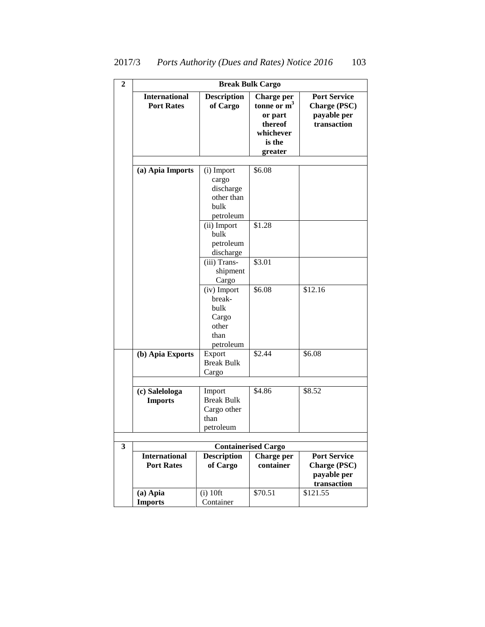| $\overline{2}$ |                                           |                                                                            | <b>Break Bulk Cargo</b>                                                                              |                                                                          |
|----------------|-------------------------------------------|----------------------------------------------------------------------------|------------------------------------------------------------------------------------------------------|--------------------------------------------------------------------------|
|                | <b>International</b><br><b>Port Rates</b> | <b>Description</b><br>of Cargo                                             | <b>Charge per</b><br>tonne or $\mathbf{m}^3$<br>or part<br>thereof<br>whichever<br>is the<br>greater | <b>Port Service</b><br><b>Charge (PSC)</b><br>payable per<br>transaction |
|                | (a) Apia Imports                          | (i) Import<br>cargo<br>discharge<br>other than<br>bulk                     | \$6.08                                                                                               |                                                                          |
|                |                                           | petroleum<br>(ii) Import<br>bulk<br>petroleum<br>discharge<br>(iii) Trans- | \$1.28<br>\$3.01                                                                                     |                                                                          |
|                |                                           | shipment<br>Cargo                                                          |                                                                                                      |                                                                          |
|                |                                           | (iv) Import<br>break-<br>bulk<br>Cargo<br>other<br>than<br>petroleum       | \$6.08                                                                                               | \$12.16                                                                  |
|                | (b) Apia Exports                          | Export<br><b>Break Bulk</b><br>Cargo                                       | \$2.44                                                                                               | \$6.08                                                                   |
|                | (c) Salelologa<br><b>Imports</b>          | Import<br><b>Break Bulk</b><br>Cargo other<br>than<br>petroleum            | \$4.86                                                                                               | \$8.52                                                                   |
| 3              |                                           |                                                                            | <b>Containerised Cargo</b>                                                                           |                                                                          |
|                | <b>International</b><br><b>Port Rates</b> | <b>Description</b><br>of Cargo                                             | Charge per<br>container                                                                              | <b>Port Service</b><br><b>Charge (PSC)</b><br>payable per<br>transaction |
|                | (a) Apia<br><b>Imports</b>                | $(i)$ 10ft<br>Container                                                    | \$70.51                                                                                              | \$121.55                                                                 |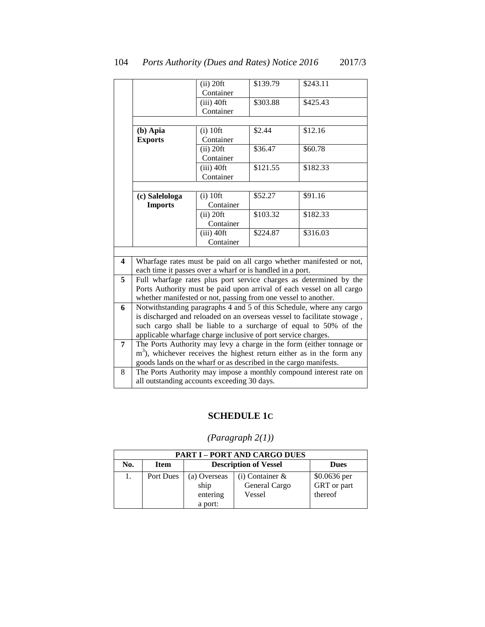|                         | $(ii)$ 20ft                                                                                                                                 |                                  | \$139.79 | \$243.11                                                                |  |  |
|-------------------------|---------------------------------------------------------------------------------------------------------------------------------------------|----------------------------------|----------|-------------------------------------------------------------------------|--|--|
|                         |                                                                                                                                             | Container                        |          |                                                                         |  |  |
|                         |                                                                                                                                             | $(iii)$ 40ft                     | \$303.88 | \$425.43                                                                |  |  |
|                         |                                                                                                                                             | Container                        |          |                                                                         |  |  |
|                         |                                                                                                                                             |                                  |          |                                                                         |  |  |
|                         | (b) Apia                                                                                                                                    | $(i)$ 10ft                       | \$2.44   | \$12.16                                                                 |  |  |
|                         | <b>Exports</b>                                                                                                                              | Container                        |          |                                                                         |  |  |
|                         |                                                                                                                                             | $(ii)$ 20ft                      | \$36.47  | \$60.78                                                                 |  |  |
|                         |                                                                                                                                             | Container                        |          |                                                                         |  |  |
|                         |                                                                                                                                             | $\overline{(\mathrm{iii})}$ 40ft | \$121.55 | \$182.33                                                                |  |  |
|                         |                                                                                                                                             | Container                        |          |                                                                         |  |  |
|                         |                                                                                                                                             |                                  |          |                                                                         |  |  |
|                         | (c) Salelologa                                                                                                                              | $(i)$ 10ft                       | \$52.27  | \$91.16                                                                 |  |  |
|                         | <b>Imports</b>                                                                                                                              | Container                        |          |                                                                         |  |  |
|                         |                                                                                                                                             | $(ii)$ 20ft                      | \$103.32 | \$182.33                                                                |  |  |
|                         |                                                                                                                                             | Container                        |          |                                                                         |  |  |
|                         |                                                                                                                                             | $(iii)$ 40ft                     | \$224.87 | \$316.03                                                                |  |  |
|                         |                                                                                                                                             | Container                        |          |                                                                         |  |  |
|                         |                                                                                                                                             |                                  |          |                                                                         |  |  |
| $\overline{\mathbf{4}}$ |                                                                                                                                             |                                  |          | Wharfage rates must be paid on all cargo whether manifested or not,     |  |  |
|                         | each time it passes over a wharf or is handled in a port.                                                                                   |                                  |          |                                                                         |  |  |
| 5                       |                                                                                                                                             |                                  |          | Full wharfage rates plus port service charges as determined by the      |  |  |
|                         |                                                                                                                                             |                                  |          | Ports Authority must be paid upon arrival of each vessel on all cargo   |  |  |
|                         | whether manifested or not, passing from one vessel to another.                                                                              |                                  |          |                                                                         |  |  |
| 6                       |                                                                                                                                             |                                  |          | Notwithstanding paragraphs 4 and 5 of this Schedule, where any cargo    |  |  |
|                         |                                                                                                                                             |                                  |          | is discharged and reloaded on an overseas vessel to facilitate stowage, |  |  |
|                         | such cargo shall be liable to a surcharge of equal to 50% of the                                                                            |                                  |          |                                                                         |  |  |
|                         | applicable wharfage charge inclusive of port service charges.                                                                               |                                  |          |                                                                         |  |  |
| 7                       |                                                                                                                                             |                                  |          | The Ports Authority may levy a charge in the form (either tonnage or    |  |  |
|                         | $m3$ ), whichever receives the highest return either as in the form any<br>goods lands on the wharf or as described in the cargo manifests. |                                  |          |                                                                         |  |  |
|                         |                                                                                                                                             |                                  |          |                                                                         |  |  |
| 8                       |                                                                                                                                             |                                  |          | The Ports Authority may impose a monthly compound interest rate on      |  |  |
|                         | all outstanding accounts exceeding 30 days.                                                                                                 |                                  |          |                                                                         |  |  |

## **SCHEDULE 1C**

|     | <b>PART I - PORT AND CARGO DUES</b> |                                             |                   |              |  |  |
|-----|-------------------------------------|---------------------------------------------|-------------------|--------------|--|--|
| No. | <b>Item</b>                         | <b>Description of Vessel</b><br><b>Dues</b> |                   |              |  |  |
|     | Port Dues                           | (a) Overseas                                | $(i)$ Container & | \$0.0636 per |  |  |
|     |                                     | ship                                        | General Cargo     | GRT or part  |  |  |
|     |                                     | entering                                    | Vessel            | thereof      |  |  |
|     |                                     | a port:                                     |                   |              |  |  |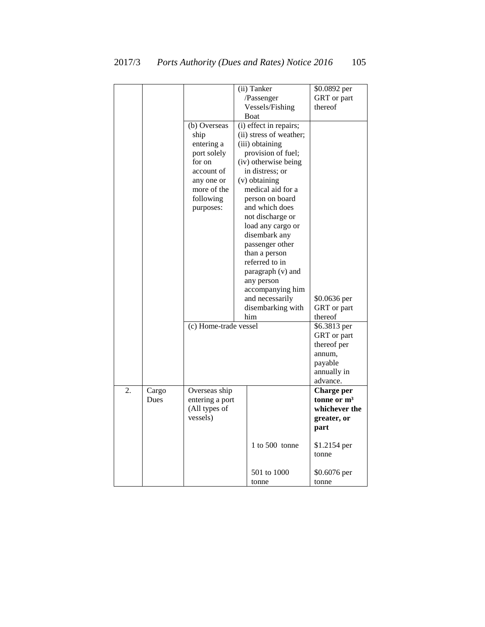|    |               |                                                                                                                                  | (ii) Tanker<br>/Passenger<br>Vessels/Fishing<br>Boat                                                                                                                                                                                                                                                                                                                                                       | \$0.0892 per<br>GRT or part<br>thereof                                                     |
|----|---------------|----------------------------------------------------------------------------------------------------------------------------------|------------------------------------------------------------------------------------------------------------------------------------------------------------------------------------------------------------------------------------------------------------------------------------------------------------------------------------------------------------------------------------------------------------|--------------------------------------------------------------------------------------------|
|    |               | (b) Overseas<br>ship<br>entering a<br>port solely<br>for on<br>account of<br>any one or<br>more of the<br>following<br>purposes: | (i) effect in repairs;<br>(ii) stress of weather;<br>(iii) obtaining<br>provision of fuel;<br>(iv) otherwise being<br>in distress; or<br>(v) obtaining<br>medical aid for a<br>person on board<br>and which does<br>not discharge or<br>load any cargo or<br>disembark any<br>passenger other<br>than a person<br>referred to in<br>paragraph (v) and<br>any person<br>accompanying him<br>and necessarily | \$0.0636 per                                                                               |
|    |               |                                                                                                                                  | disembarking with<br>him                                                                                                                                                                                                                                                                                                                                                                                   | GRT or part<br>thereof                                                                     |
|    |               | (c) Home-trade vessel                                                                                                            |                                                                                                                                                                                                                                                                                                                                                                                                            | \$6.3813 per<br>GRT or part<br>thereof per<br>annum,<br>payable<br>annually in<br>advance. |
| 2. | Cargo<br>Dues | Overseas ship<br>entering a port<br>(All types of<br>vessels)                                                                    |                                                                                                                                                                                                                                                                                                                                                                                                            | <b>Charge per</b><br>tonne or $m3$<br>whichever the<br>greater, or<br>part                 |
|    |               |                                                                                                                                  | $1$ to $500$ tonne                                                                                                                                                                                                                                                                                                                                                                                         | \$1.2154 per<br>tonne                                                                      |
|    |               |                                                                                                                                  | 501 to 1000<br>tonne                                                                                                                                                                                                                                                                                                                                                                                       | \$0.6076 per<br>tonne                                                                      |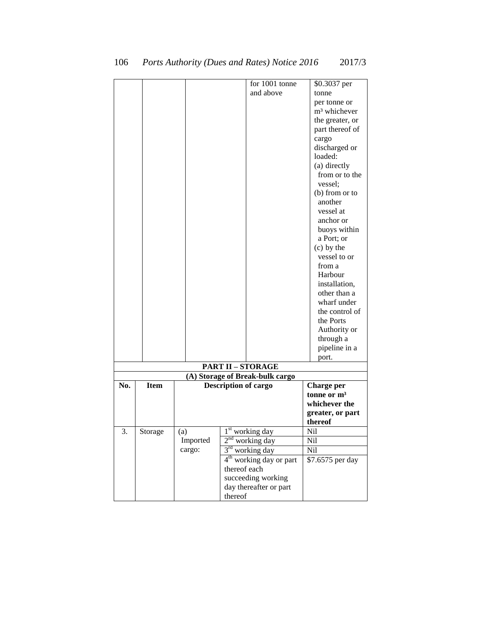|     |             |          | for 1001 tonne                  | \$0.3037 per             |
|-----|-------------|----------|---------------------------------|--------------------------|
|     |             |          | and above                       | tonne                    |
|     |             |          |                                 | per tonne or             |
|     |             |          |                                 | m <sup>3</sup> whichever |
|     |             |          |                                 | the greater, or          |
|     |             |          |                                 |                          |
|     |             |          |                                 | part thereof of          |
|     |             |          |                                 | cargo                    |
|     |             |          |                                 | discharged or<br>loaded: |
|     |             |          |                                 |                          |
|     |             |          |                                 | (a) directly             |
|     |             |          |                                 | from or to the           |
|     |             |          |                                 | vessel;                  |
|     |             |          |                                 | (b) from or to           |
|     |             |          |                                 | another                  |
|     |             |          |                                 | vessel at                |
|     |             |          |                                 | anchor or                |
|     |             |          |                                 | buoys within             |
|     |             |          |                                 | a Port; or               |
|     |             |          |                                 | $(c)$ by the             |
|     |             |          |                                 | vessel to or             |
|     |             |          |                                 | from a                   |
|     |             |          |                                 | Harbour                  |
|     |             |          |                                 | installation,            |
|     |             |          |                                 | other than a             |
|     |             |          |                                 | wharf under              |
|     |             |          |                                 | the control of           |
|     |             |          |                                 | the Ports                |
|     |             |          |                                 | Authority or             |
|     |             |          |                                 | through a                |
|     |             |          |                                 | pipeline in a            |
|     |             |          |                                 | port.                    |
|     |             |          | <b>PART II - STORAGE</b>        |                          |
|     |             |          | (A) Storage of Break-bulk cargo |                          |
| No. | <b>Item</b> |          | <b>Description of cargo</b>     | <b>Charge per</b>        |
|     |             |          |                                 | tonne or m <sup>3</sup>  |
|     |             |          |                                 | whichever the            |
|     |             |          |                                 | greater, or part         |
|     |             |          |                                 | thereof                  |
| 3.  | Storage     | (a)      | $1st$ working day               | Nil                      |
|     |             | Imported | $2nd$ working day               | <b>Nil</b>               |
|     |             | cargo:   | $3rd$ working day               | Nil                      |
|     |             |          | $4th$ working day or part       | \$7.6575 per day         |
|     |             |          | thereof each                    |                          |
|     |             |          | succeeding working              |                          |
|     |             |          | day thereafter or part          |                          |
|     |             |          | thereof                         |                          |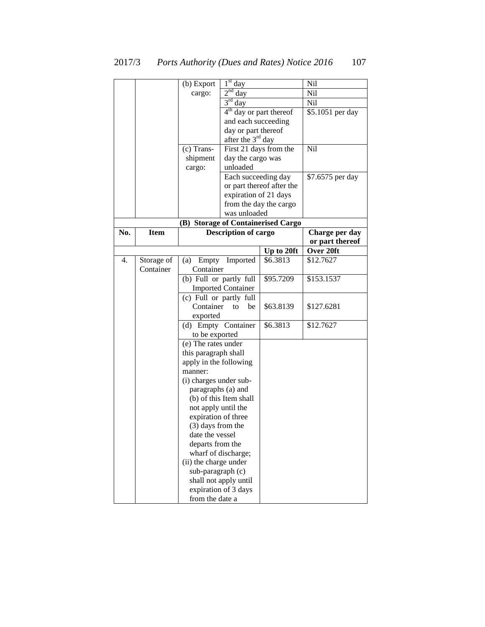|     |             | (b) Export                        | 1 <sup>st</sup><br>day        |                                    | Nil              |
|-----|-------------|-----------------------------------|-------------------------------|------------------------------------|------------------|
|     |             | cargo:                            | $2nd$ day                     |                                    | Nil              |
|     |             |                                   | $3rd$ day                     |                                    | Nil              |
|     |             |                                   | 4 <sup>th</sup>               | day or part thereof                | \$5.1051 per day |
|     |             |                                   | and each succeeding           |                                    |                  |
|     |             |                                   | day or part thereof           |                                    |                  |
|     |             |                                   | after the 3 <sup>rd</sup> day |                                    |                  |
|     |             | (c) Trans-                        | First 21 days from the        |                                    | Nil              |
|     |             | shipment                          | day the cargo was             |                                    |                  |
|     |             | cargo:                            | unloaded                      |                                    |                  |
|     |             |                                   | Each succeeding day           |                                    | \$7.6575 per day |
|     |             |                                   |                               | or part thereof after the          |                  |
|     |             |                                   | expiration of 21 days         |                                    |                  |
|     |             |                                   |                               | from the day the cargo             |                  |
|     |             |                                   | was unloaded                  |                                    |                  |
|     |             |                                   |                               | (B) Storage of Containerised Cargo |                  |
| No. | <b>Item</b> |                                   | <b>Description of cargo</b>   |                                    | Charge per day   |
|     |             |                                   |                               |                                    | or part thereof  |
|     |             |                                   |                               | Up to 20ft                         | Over 20ft        |
| 4.  | Storage of  | Empty<br>(a)                      | Imported                      | \$6.3813                           | \$12.7627        |
|     | Container   | Container                         |                               |                                    |                  |
|     |             | (b) Full or partly full           |                               | \$95.7209                          | \$153.1537       |
|     |             |                                   | <b>Imported Container</b>     |                                    |                  |
|     |             | (c) Full or partly full           |                               |                                    |                  |
|     |             | Container                         | be<br>to                      | \$63.8139                          | \$127.6281       |
|     |             | exported                          |                               |                                    |                  |
|     |             | (d) Empty Container               |                               | \$6.3813                           | \$12.7627        |
|     |             | to be exported                    |                               |                                    |                  |
|     |             | (e) The rates under               |                               |                                    |                  |
|     |             | this paragraph shall              |                               |                                    |                  |
|     |             | apply in the following<br>manner: |                               |                                    |                  |
|     |             | (i) charges under sub-            |                               |                                    |                  |
|     |             | paragraphs (a) and                |                               |                                    |                  |
|     |             |                                   | (b) of this Item shall        |                                    |                  |
|     |             | not apply until the               |                               |                                    |                  |
|     |             | expiration of three               |                               |                                    |                  |
|     |             | (3) days from the                 |                               |                                    |                  |
|     |             | date the vessel                   |                               |                                    |                  |
|     |             | departs from the                  |                               |                                    |                  |
|     |             |                                   | wharf of discharge;           |                                    |                  |
|     |             | (ii) the charge under             |                               |                                    |                  |
|     |             | sub-paragraph (c)                 |                               |                                    |                  |
|     |             |                                   | shall not apply until         |                                    |                  |
|     |             |                                   | expiration of 3 days          |                                    |                  |
|     |             | from the date a                   |                               |                                    |                  |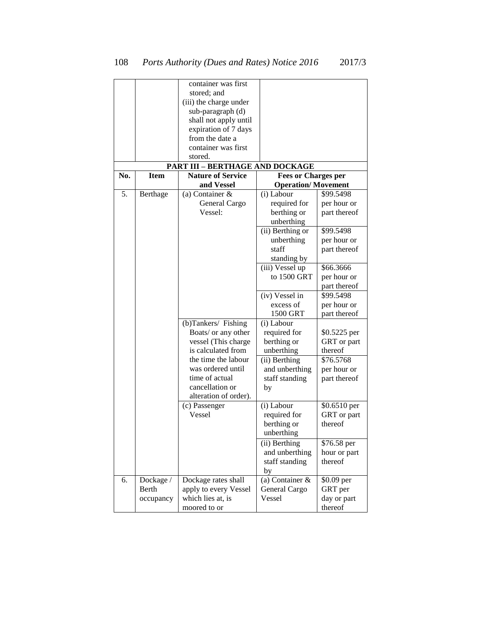|     |             | container was first                    |                            |              |
|-----|-------------|----------------------------------------|----------------------------|--------------|
|     |             | stored; and                            |                            |              |
|     |             | (iii) the charge under                 |                            |              |
|     |             | sub-paragraph (d)                      |                            |              |
|     |             | shall not apply until                  |                            |              |
|     |             | expiration of 7 days                   |                            |              |
|     |             | from the date a                        |                            |              |
|     |             | container was first                    |                            |              |
|     |             | stored.                                |                            |              |
|     |             | <b>PART III - BERTHAGE AND DOCKAGE</b> |                            |              |
| No. | <b>Item</b> | <b>Nature of Service</b>               | <b>Fees or Charges per</b> |              |
|     |             | and Vessel                             | <b>Operation/Movement</b>  |              |
| 5.  | Berthage    | (a) Container $\&$                     | (i) Labour                 | \$99.5498    |
|     |             | General Cargo                          | required for               | per hour or  |
|     |             | Vessel:                                | berthing or                | part thereof |
|     |             |                                        | unberthing                 |              |
|     |             |                                        | (ii) Berthing or           | \$99.5498    |
|     |             |                                        | unberthing                 | per hour or  |
|     |             |                                        | staff                      | part thereof |
|     |             |                                        | standing by                |              |
|     |             |                                        | (iii) Vessel up            | \$66.3666    |
|     |             |                                        | to 1500 GRT                | per hour or  |
|     |             |                                        |                            | part thereof |
|     |             |                                        | (iv) Vessel in             | \$99.5498    |
|     |             |                                        | excess of                  | per hour or  |
|     |             |                                        | 1500 GRT                   | part thereof |
|     |             | (b)Tankers/ Fishing                    | (i) Labour                 |              |
|     |             | Boats/ or any other                    | required for               | \$0.5225 per |
|     |             | vessel (This charge                    | berthing or                | GRT or part  |
|     |             | is calculated from                     | unberthing                 | thereof      |
|     |             | the time the labour                    | (ii) Berthing              | \$76.5768    |
|     |             | was ordered until                      | and unberthing             | per hour or  |
|     |             | time of actual                         | staff standing             | part thereof |
|     |             | cancellation or                        | by                         |              |
|     |             | alteration of order).                  |                            |              |
|     |             | (c) Passenger                          | (i) Labour                 | \$0.6510 per |
|     |             | Vessel                                 | required for               | GRT or part  |
|     |             |                                        | berthing or                | thereof      |
|     |             |                                        | unberthing                 |              |
|     |             |                                        | (ii) Berthing              | \$76.58 per  |
|     |             |                                        | and unberthing             | hour or part |
|     |             |                                        | staff standing             | thereof      |
|     |             |                                        | by                         |              |
| 6.  | Dockage /   | Dockage rates shall                    | (a) Container &            | \$0.09 per   |
|     | Berth       | apply to every Vessel                  | General Cargo              | GRT per      |
|     | occupancy   | which lies at, is                      | Vessel                     | day or part  |
|     |             | moored to or                           |                            | thereof      |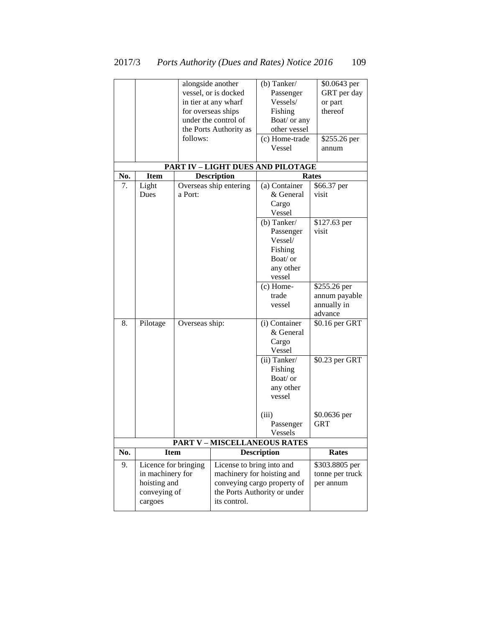|     |                                          |                | alongside another         | (b) Tanker/                         | \$0.0643 per                      |  |  |
|-----|------------------------------------------|----------------|---------------------------|-------------------------------------|-----------------------------------|--|--|
|     |                                          |                | vessel, or is docked      | Passenger                           | GRT per day                       |  |  |
|     |                                          |                | in tier at any wharf      | Vessels/                            | or part                           |  |  |
|     |                                          |                | for overseas ships        | Fishing                             | thereof                           |  |  |
|     |                                          |                | under the control of      | Boat/ or any                        |                                   |  |  |
|     |                                          |                | the Ports Authority as    | other vessel                        |                                   |  |  |
|     |                                          | follows:       |                           | (c) Home-trade                      | \$255.26 per                      |  |  |
|     |                                          |                |                           | Vessel                              | annum                             |  |  |
|     |                                          |                |                           |                                     |                                   |  |  |
|     | PART IV - LIGHT DUES AND PILOTAGE        |                |                           |                                     |                                   |  |  |
| No. | <b>Item</b>                              |                | <b>Description</b>        |                                     | <b>Rates</b>                      |  |  |
| 7.  | Light                                    |                | Overseas ship entering    | (a) Container                       | \$66.37 per                       |  |  |
|     | Dues                                     | a Port:        |                           | & General                           | visit                             |  |  |
|     |                                          |                |                           | Cargo                               |                                   |  |  |
|     |                                          |                |                           | Vessel                              |                                   |  |  |
|     |                                          |                |                           | (b) Tanker/                         | \$127.63 per                      |  |  |
|     |                                          |                |                           | Passenger                           | visit                             |  |  |
|     |                                          |                |                           | Vessel/                             |                                   |  |  |
|     |                                          |                |                           | Fishing                             |                                   |  |  |
|     |                                          |                |                           | Boat/ or                            |                                   |  |  |
|     |                                          |                |                           | any other                           |                                   |  |  |
|     |                                          |                |                           | vessel                              |                                   |  |  |
|     |                                          |                |                           | $(c)$ Home-                         | \$255.26 per                      |  |  |
|     |                                          |                |                           | trade                               | annum payable                     |  |  |
|     |                                          |                |                           | vessel                              | annually in                       |  |  |
|     |                                          |                |                           |                                     | advance                           |  |  |
| 8.  | Pilotage                                 | Overseas ship: |                           | (i) Container                       | \$0.16 per GRT                    |  |  |
|     |                                          |                |                           | & General                           |                                   |  |  |
|     |                                          |                |                           | Cargo                               |                                   |  |  |
|     |                                          |                |                           | Vessel                              |                                   |  |  |
|     |                                          |                |                           | (ii) Tanker/                        | \$0.23 per GRT                    |  |  |
|     |                                          |                |                           | Fishing                             |                                   |  |  |
|     |                                          |                |                           | Boat/ or                            |                                   |  |  |
|     |                                          |                |                           | any other                           |                                   |  |  |
|     |                                          |                |                           | vessel                              |                                   |  |  |
|     |                                          |                |                           | (iii)                               | \$0.0636 per                      |  |  |
|     |                                          |                |                           | Passenger                           | <b>GRT</b>                        |  |  |
|     |                                          |                |                           | Vessels                             |                                   |  |  |
|     |                                          |                |                           | <b>PART V - MISCELLANEOUS RATES</b> |                                   |  |  |
| No. | <b>Item</b>                              |                |                           | <b>Description</b>                  | <b>Rates</b>                      |  |  |
| 9.  |                                          |                |                           |                                     |                                   |  |  |
|     | Licence for bringing<br>in machinery for |                | License to bring into and | machinery for hoisting and          | \$303.8805 per<br>tonne per truck |  |  |
|     | hoisting and                             |                |                           | conveying cargo property of         | per annum                         |  |  |
|     | conveying of                             |                |                           | the Ports Authority or under        |                                   |  |  |
|     | cargoes                                  |                | its control.              |                                     |                                   |  |  |
|     |                                          |                |                           |                                     |                                   |  |  |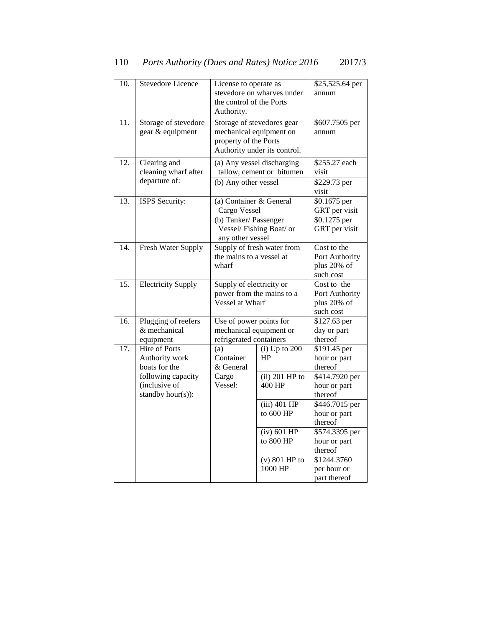| 10.               | <b>Stevedore Licence</b>                                 | License to operate as<br>the control of the Ports<br>Authority.                            | stevedore on wharves under                                 | \$25,525.64 per<br>annum                                        |
|-------------------|----------------------------------------------------------|--------------------------------------------------------------------------------------------|------------------------------------------------------------|-----------------------------------------------------------------|
| $\overline{11}$ . | Storage of stevedore<br>gear & equipment                 | mechanical equipment on<br>property of the Ports                                           | Storage of stevedores gear<br>Authority under its control. | \$607.7505 per<br>annum                                         |
| 12.               | Clearing and<br>cleaning wharf after<br>departure of:    | (b) Any other vessel                                                                       | (a) Any vessel discharging<br>tallow, cement or bitumen    | \$255.27 each<br>visit                                          |
|                   |                                                          |                                                                                            |                                                            | \$229.73 per<br>visit                                           |
| $\overline{13}$ . | ISPS Security:                                           | (a) Container & General<br>Cargo Vessel<br>(b) Tanker/Passenger<br>Vessel/Fishing Boat/ or |                                                            | \$0.1675 per<br>GRT per visit<br>$$0.1275$ per<br>GRT per visit |
| $\overline{14}$ . | Fresh Water Supply                                       | any other vessel<br>Supply of fresh water from<br>the mains to a vessel at<br>wharf        |                                                            | Cost to the<br>Port Authority<br>plus 20% of<br>such cost       |
| 15.               | <b>Electricity Supply</b>                                | Supply of electricity or<br>power from the mains to a<br>Vessel at Wharf                   |                                                            | Cost to the<br>Port Authority<br>plus 20% of<br>such cost       |
| 16.               | Plugging of reefers<br>& mechanical<br>equipment         | Use of power points for<br>mechanical equipment or<br>refrigerated containers              |                                                            | \$127.63 per<br>day or part<br>thereof                          |
| $\overline{17}$ . | Hire of Ports<br>Authority work<br>boats for the         | (a)<br>Container<br>& General                                                              | $(i)$ Up to $200$<br>HP                                    | \$191.45 per<br>hour or part<br>thereof                         |
|                   | following capacity<br>(inclusive of<br>standby hour(s)): | Cargo<br>Vessel:                                                                           | $(ii)$ 201 HP to<br>400 HP                                 | \$414.7920 per<br>hour or part<br>thereof                       |
|                   |                                                          |                                                                                            | (iii) 401 HP<br>to 600 HP                                  | \$446.7015 per<br>hour or part<br>thereof                       |
|                   |                                                          |                                                                                            | $(iv)$ 601 HP<br>to 800 HP                                 | \$574.3395 per<br>hour or part<br>thereof                       |
|                   |                                                          |                                                                                            | $(v)$ 801 HP to<br>1000 HP                                 | \$1244.3760<br>per hour or<br>part thereof                      |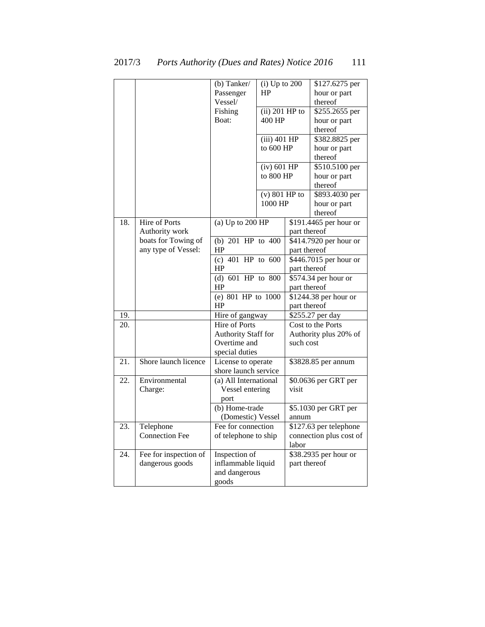|     |                                                        | (b) Tanker/<br>Passenger<br>Vessel/<br>Fishing<br>Boat:       | $(i)$ Up to 200<br>HP<br>$(ii)$ 201 HP to<br>400 HP<br>$(iii)$ 401 HP<br>to 600 HP |                               | \$127.6275 per<br>hour or part<br>thereof<br>\$255.2655 per<br>hour or part<br>thereof<br>\$382.8825 per<br>hour or part |
|-----|--------------------------------------------------------|---------------------------------------------------------------|------------------------------------------------------------------------------------|-------------------------------|--------------------------------------------------------------------------------------------------------------------------|
|     |                                                        |                                                               | $(iv)$ 601 HP<br>to 800 HP<br>$(v)$ 801 HP to                                      |                               | thereof<br>\$510.5100 per<br>hour or part<br>thereof<br>\$893.4030 per                                                   |
|     |                                                        |                                                               | 1000 HP                                                                            |                               | hour or part<br>thereof                                                                                                  |
| 18. | Hire of Ports<br>Authority work<br>boats for Towing of | (a) $Up$ to $200$ HP<br>(b) $201$ HP to $400$                 |                                                                                    | part thereof                  | \$191.4465 per hour or<br>\$414.7920 per hour or                                                                         |
|     | any type of Vessel:                                    | HP<br>(c) 401 HP to $\frac{600}{ }$<br>HP                     |                                                                                    | part thereof<br>part thereof  | \$446.7015 per hour or                                                                                                   |
|     |                                                        | (d) 601 HP to 800<br>HP<br>(e) 801 HP to $\overline{1000}$    |                                                                                    | part thereof                  | \$574.34 per hour or<br>\$1244.38 per hour or                                                                            |
|     |                                                        | HP                                                            |                                                                                    | part thereof                  |                                                                                                                          |
| 19. |                                                        | Hire of gangway<br>Hire of Ports                              |                                                                                    |                               | \$255.27 per day                                                                                                         |
| 20. |                                                        | Authority Staff for<br>Overtime and<br>special duties         |                                                                                    | such cost                     | Cost to the Ports<br>Authority plus 20% of                                                                               |
| 21. | Shore launch licence                                   | License to operate<br>shore launch service                    |                                                                                    |                               | \$3828.85 per annum                                                                                                      |
| 22. | Environmental<br>Charge:                               | (a) All International<br>Vessel entering<br>port              |                                                                                    | \$0.0636 per GRT per<br>visit |                                                                                                                          |
|     |                                                        | (b) Home-trade<br>(Domestic) Vessel                           |                                                                                    | annum                         | \$5.1030 per GRT per                                                                                                     |
| 23. | Telephone<br><b>Connection Fee</b>                     | Fee for connection<br>of telephone to ship                    |                                                                                    | labor                         | \$127.63 per telephone<br>connection plus cost of                                                                        |
| 24. | Fee for inspection of<br>dangerous goods               | Inspection of<br>inflammable liquid<br>and dangerous<br>goods |                                                                                    | part thereof                  | \$38.2935 per hour or                                                                                                    |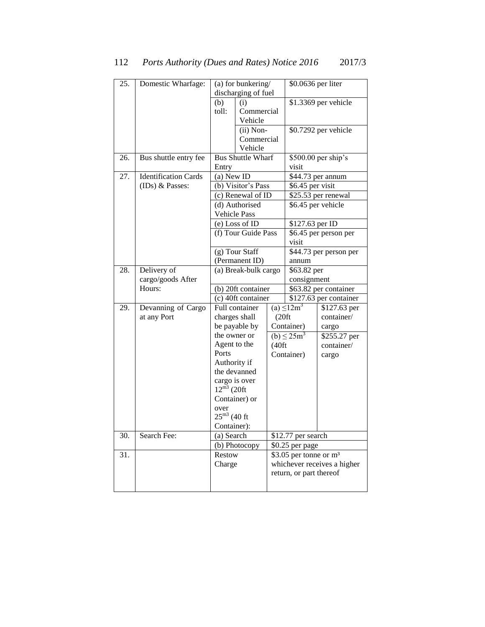| 25. | Domestic Wharfage:          | (a) for bunkering/                       |                            |                            | \$0.0636 per liter                   |                             |
|-----|-----------------------------|------------------------------------------|----------------------------|----------------------------|--------------------------------------|-----------------------------|
|     |                             | discharging of fuel                      |                            |                            |                                      |                             |
|     |                             | (b)<br>(i)                               |                            | \$1.3369 per vehicle       |                                      |                             |
|     |                             | toll:                                    | Commercial                 |                            |                                      |                             |
|     |                             |                                          | Vehicle                    |                            |                                      |                             |
|     |                             |                                          | $(ii)$ Non-                |                            |                                      | \$0.7292 per vehicle        |
|     |                             |                                          | Commercial                 |                            |                                      |                             |
|     |                             |                                          | Vehicle                    |                            |                                      |                             |
| 26. | Bus shuttle entry fee       |                                          | <b>Bus Shuttle Wharf</b>   |                            |                                      | \$500.00 per ship's         |
|     |                             | Entry                                    |                            |                            | visit                                |                             |
| 27. | <b>Identification Cards</b> | $(a)$ New ID                             |                            |                            | \$44.73 per annum                    |                             |
|     | (IDs) & Passes:             |                                          | (b) Visitor's Pass         |                            | \$6.45 per visit                     |                             |
|     |                             |                                          | (c) Renewal of ID          |                            |                                      | \$25.53 per renewal         |
|     |                             |                                          | (d) Authorised             |                            | $\overline{$6.45}$ per vehicle       |                             |
|     |                             |                                          | <b>Vehicle Pass</b>        |                            |                                      |                             |
|     |                             |                                          | (e) Loss of ID             |                            | \$127.63 per ID                      |                             |
|     |                             |                                          | (f) Tour Guide Pass        |                            | \$6.45 per person per                |                             |
|     |                             |                                          |                            |                            | visit                                |                             |
|     |                             |                                          | (g) Tour Staff             |                            | \$44.73 per person per               |                             |
|     |                             |                                          | (Permanent ID)             |                            | annum                                |                             |
| 28. | Delivery of                 | (a) Break-bulk cargo                     |                            | \$63.82 per<br>consignment |                                      |                             |
|     | cargo/goods After<br>Hours: |                                          |                            | \$63.82 per container      |                                      |                             |
|     |                             | (b) 20ft container<br>(c) 40ft container |                            | \$127.63 per container     |                                      |                             |
| 29. | Devanning of Cargo          |                                          | Full container             |                            | $(a) \leq 12m^3$                     | \$127.63 per                |
|     | at any Port                 |                                          | charges shall              | (20 ft)                    |                                      | container/                  |
|     |                             |                                          | be payable by              |                            | Container)                           | cargo                       |
|     |                             | the owner or                             |                            |                            | (b) $\leq 25m^3$                     | \$255.27 per                |
|     |                             | Agent to the                             |                            | (40 ft)                    |                                      | container/                  |
|     |                             | Ports                                    |                            |                            | Container)                           | cargo                       |
|     |                             | Authority if                             |                            |                            |                                      |                             |
|     |                             |                                          | the devanned               |                            |                                      |                             |
|     |                             | cargo is over                            |                            |                            |                                      |                             |
|     |                             | $12^{\overline{m3}}$ (20ft               |                            |                            |                                      |                             |
|     |                             |                                          | Container) or              |                            |                                      |                             |
|     |                             | over                                     |                            |                            |                                      |                             |
|     |                             | $25^{\rm m3}$ (40 ft                     |                            |                            |                                      |                             |
|     |                             | Container):                              |                            |                            |                                      |                             |
| 30. | Search Fee:                 | (a) Search                               |                            | \$12.77 per search         |                                      |                             |
|     |                             |                                          | $\overline{(b)}$ Photocopy |                            | \$0.25 per page                      |                             |
| 31. |                             | Restow                                   |                            |                            | \$3.05 per tonne or $\overline{m^3}$ |                             |
|     |                             | Charge                                   |                            |                            |                                      | whichever receives a higher |
|     |                             |                                          |                            |                            | return, or part thereof              |                             |
|     |                             |                                          |                            |                            |                                      |                             |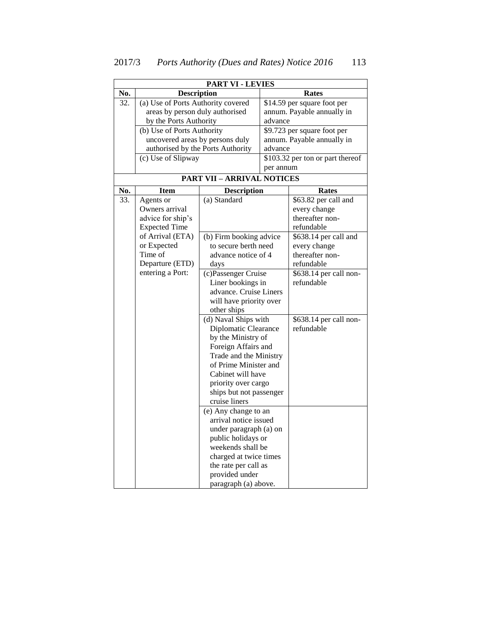| <b>PART VI - LEVIES</b> |                                     |                                   |         |                                  |  |  |
|-------------------------|-------------------------------------|-----------------------------------|---------|----------------------------------|--|--|
| No.                     | <b>Description</b>                  |                                   |         | Rates                            |  |  |
| 32.                     | (a) Use of Ports Authority covered  |                                   |         | \$14.59 per square foot per      |  |  |
|                         | areas by person duly authorised     |                                   |         | annum. Payable annually in       |  |  |
|                         | by the Ports Authority              |                                   |         | advance                          |  |  |
|                         | (b) Use of Ports Authority          |                                   |         | \$9.723 per square foot per      |  |  |
|                         | uncovered areas by persons duly     |                                   |         | annum. Payable annually in       |  |  |
|                         |                                     | authorised by the Ports Authority | advance |                                  |  |  |
|                         | (c) Use of Slipway                  |                                   |         | \$103.32 per ton or part thereof |  |  |
|                         |                                     |                                   |         | per annum                        |  |  |
|                         | <b>PART VII - ARRIVAL NOTICES</b>   |                                   |         |                                  |  |  |
| No.                     | <b>Item</b>                         | <b>Description</b>                |         | <b>Rates</b>                     |  |  |
| 33.                     | Agents or                           | (a) Standard                      |         | \$63.82 per call and             |  |  |
|                         | Owners arrival                      |                                   |         | every change                     |  |  |
|                         | advice for ship's                   |                                   |         | thereafter non-                  |  |  |
|                         | <b>Expected Time</b>                |                                   |         | refundable                       |  |  |
|                         | of Arrival (ETA)                    | (b) Firm booking advice           |         | \$638.14 per call and            |  |  |
|                         | or Expected                         | to secure berth need              |         | every change                     |  |  |
|                         | Time of                             | advance notice of 4               |         | thereafter non-                  |  |  |
|                         | Departure (ETD)<br>entering a Port: | days                              |         | refundable                       |  |  |
|                         |                                     | (c)Passenger Cruise               |         | \$638.14 per call non-           |  |  |

Liner bookings in advance. Cruise Liners will have priority over

(d) Naval Ships with Diplomatic Clearance by the Ministry of Foreign Affairs and Trade and the Ministry of Prime Minister and Cabinet will have priority over cargo ships but not passenger refundable

refundable

\$638.14 per call non-

other ships

cruise liners

(e) Any change to an arrival notice issued under paragraph (a) on public holidays or weekends shall be charged at twice times the rate per call as provided under paragraph (a) above.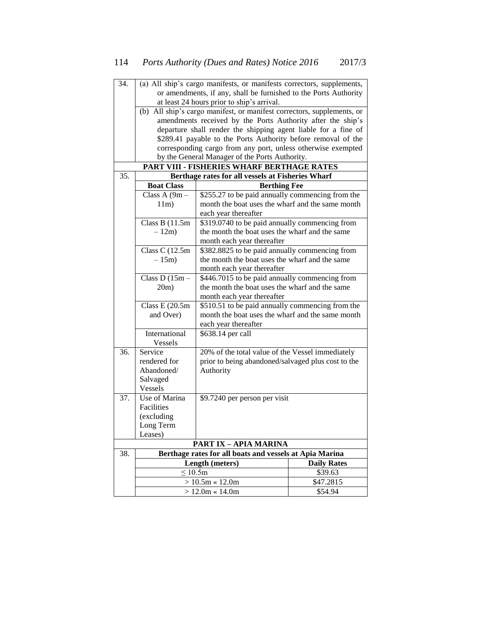| 34. | (a) All ship's cargo manifests, or manifests correctors, supplements,  |                                                              |                    |  |  |  |
|-----|------------------------------------------------------------------------|--------------------------------------------------------------|--------------------|--|--|--|
|     | or amendments, if any, shall be furnished to the Ports Authority       |                                                              |                    |  |  |  |
|     | at least 24 hours prior to ship's arrival.                             |                                                              |                    |  |  |  |
|     | (b) All ship's cargo manifest, or manifest correctors, supplements, or |                                                              |                    |  |  |  |
|     | amendments received by the Ports Authority after the ship's            |                                                              |                    |  |  |  |
|     | departure shall render the shipping agent liable for a fine of         |                                                              |                    |  |  |  |
|     | \$289.41 payable to the Ports Authority before removal of the          |                                                              |                    |  |  |  |
|     |                                                                        | corresponding cargo from any port, unless otherwise exempted |                    |  |  |  |
|     |                                                                        | by the General Manager of the Ports Authority.               |                    |  |  |  |
|     |                                                                        | PART VIII - FISHERIES WHARF BERTHAGE RATES                   |                    |  |  |  |
| 35. |                                                                        | Berthage rates for all vessels at Fisheries Wharf            |                    |  |  |  |
|     | <b>Boat Class</b><br><b>Berthing Fee</b>                               |                                                              |                    |  |  |  |
|     | Class A (9m -                                                          | \$255.27 to be paid annually commencing from the             |                    |  |  |  |
|     | 11m)                                                                   | month the boat uses the wharf and the same month             |                    |  |  |  |
|     |                                                                        | each year thereafter                                         |                    |  |  |  |
|     | Class B $(11.5m)$                                                      | \$319.0740 to be paid annually commencing from               |                    |  |  |  |
|     | $-12m$ )                                                               | the month the boat uses the wharf and the same               |                    |  |  |  |
|     |                                                                        | month each year thereafter                                   |                    |  |  |  |
|     | \$382.8825 to be paid annually commencing from<br>Class C $(12.5m)$    |                                                              |                    |  |  |  |
|     | the month the boat uses the wharf and the same<br>$-15m$ )             |                                                              |                    |  |  |  |
|     | month each year thereafter                                             |                                                              |                    |  |  |  |
|     | Class D $(15m -$                                                       | \$446.7015 to be paid annually commencing from               |                    |  |  |  |
|     | 20m)                                                                   | the month the boat uses the wharf and the same               |                    |  |  |  |
|     |                                                                        | month each year thereafter                                   |                    |  |  |  |
|     | Class E $(20.5m)$                                                      | \$510.51 to be paid annually commencing from the             |                    |  |  |  |
|     | and Over)                                                              | month the boat uses the wharf and the same month             |                    |  |  |  |
|     |                                                                        | each year thereafter                                         |                    |  |  |  |
|     | International                                                          | \$638.14 per call                                            |                    |  |  |  |
|     | Vessels                                                                |                                                              |                    |  |  |  |
| 36. | Service                                                                | 20% of the total value of the Vessel immediately             |                    |  |  |  |
|     | rendered for                                                           | prior to being abandoned/salvaged plus cost to the           |                    |  |  |  |
|     | Abandoned/                                                             | Authority                                                    |                    |  |  |  |
|     | Salvaged                                                               |                                                              |                    |  |  |  |
|     | Vessels                                                                |                                                              |                    |  |  |  |
| 37. | Use of Marina                                                          | \$9.7240 per person per visit                                |                    |  |  |  |
|     | Facilities                                                             |                                                              |                    |  |  |  |
|     | (excluding                                                             |                                                              |                    |  |  |  |
|     |                                                                        | Long Term                                                    |                    |  |  |  |
|     | Leases)                                                                |                                                              |                    |  |  |  |
|     |                                                                        | <b>PART IX - APIA MARINA</b>                                 |                    |  |  |  |
| 38. |                                                                        | Berthage rates for all boats and vessels at Apia Marina      |                    |  |  |  |
|     |                                                                        | Length (meters)                                              | <b>Daily Rates</b> |  |  |  |
|     | $\leq 10.5m$                                                           |                                                              | \$39.63            |  |  |  |
|     |                                                                        | $> 10.5m \times 12.0m$<br>$> 12.0m \times 14.0m$             | \$47.2815          |  |  |  |
|     |                                                                        | \$54.94                                                      |                    |  |  |  |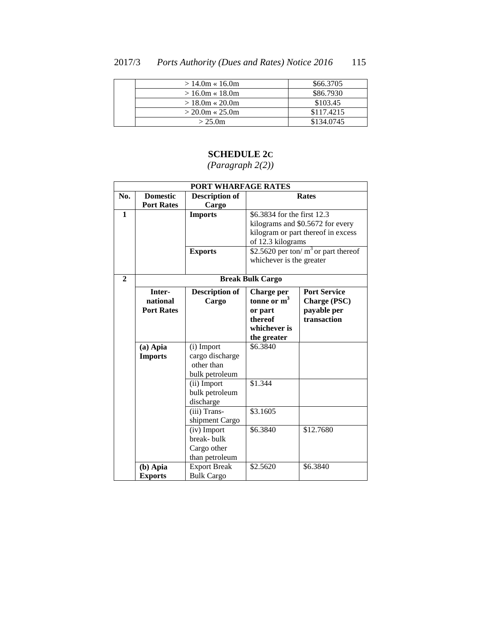### 2017/3 *Ports Authority (Dues and Rates) Notice 2016* 115

| $>14.0m \times 16.0m$ | \$66,3705  |
|-----------------------|------------|
| $>16.0m \times 18.0m$ | \$86,7930  |
| $>18.0$ m « 20.0m     | \$103.45   |
| $>$ 20.0m « 25.0m     | \$117.4215 |
| > 25.0m               | \$134,0745 |

# **SCHEDULE 2C**

| PORT WHARFAGE RATES |                   |                       |                                        |                                    |  |  |
|---------------------|-------------------|-----------------------|----------------------------------------|------------------------------------|--|--|
| No.                 | <b>Domestic</b>   | <b>Description of</b> | <b>Rates</b>                           |                                    |  |  |
|                     | <b>Port Rates</b> | Cargo                 |                                        |                                    |  |  |
| $\mathbf{1}$        |                   | <b>Imports</b>        | \$6.3834 for the first 12.3            |                                    |  |  |
|                     |                   |                       |                                        | kilograms and \$0.5672 for every   |  |  |
|                     |                   |                       |                                        | kilogram or part thereof in excess |  |  |
|                     |                   |                       | of 12.3 kilograms                      |                                    |  |  |
|                     |                   | <b>Exports</b>        | \$2.5620 per ton/ $m3$ or part thereof |                                    |  |  |
|                     |                   |                       | whichever is the greater               |                                    |  |  |
|                     |                   |                       |                                        |                                    |  |  |
| $\overline{2}$      |                   |                       | <b>Break Bulk Cargo</b>                |                                    |  |  |
|                     | Inter-            | <b>Description of</b> | <b>Charge per</b>                      | <b>Port Service</b>                |  |  |
|                     | national          | Cargo                 | tonne or $m3$                          | Charge (PSC)                       |  |  |
|                     | <b>Port Rates</b> |                       | or part                                | payable per                        |  |  |
|                     |                   |                       | thereof                                | transaction                        |  |  |
|                     |                   |                       | whichever is                           |                                    |  |  |
|                     |                   |                       | the greater                            |                                    |  |  |
|                     | $(a)$ Apia        | (i) Import            | \$6.3840                               |                                    |  |  |
|                     | <b>Imports</b>    | cargo discharge       |                                        |                                    |  |  |
|                     |                   | other than            |                                        |                                    |  |  |
|                     |                   | bulk petroleum        |                                        |                                    |  |  |
|                     |                   | (ii) Import           | \$1.344                                |                                    |  |  |
|                     |                   | bulk petroleum        |                                        |                                    |  |  |
|                     | discharge         |                       |                                        |                                    |  |  |
|                     |                   | (iii) Trans-          | \$3.1605                               |                                    |  |  |
|                     |                   | shipment Cargo        |                                        |                                    |  |  |
|                     |                   | (iv) Import           | \$6.3840                               | \$12.7680                          |  |  |
|                     |                   | break-bulk            |                                        |                                    |  |  |
|                     |                   | Cargo other           |                                        |                                    |  |  |
|                     |                   | than petroleum        |                                        |                                    |  |  |
|                     | $(b)$ Apia        | <b>Export Break</b>   | \$2.5620                               | \$6.3840                           |  |  |
|                     | <b>Exports</b>    | <b>Bulk Cargo</b>     |                                        |                                    |  |  |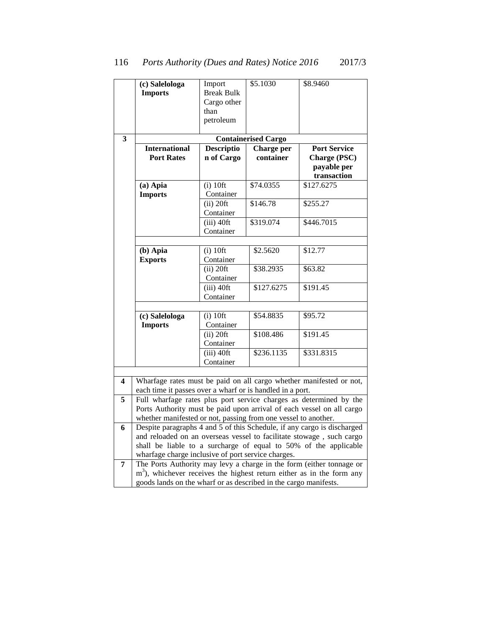|   | (c) Salelologa                                                                                                                              | Import            | \$5.1030                   | \$8.9460                                                                |  |
|---|---------------------------------------------------------------------------------------------------------------------------------------------|-------------------|----------------------------|-------------------------------------------------------------------------|--|
|   | <b>Imports</b>                                                                                                                              | <b>Break Bulk</b> |                            |                                                                         |  |
|   |                                                                                                                                             | Cargo other       |                            |                                                                         |  |
|   |                                                                                                                                             | than              |                            |                                                                         |  |
|   |                                                                                                                                             | petroleum         |                            |                                                                         |  |
|   |                                                                                                                                             |                   |                            |                                                                         |  |
| 3 |                                                                                                                                             |                   | <b>Containerised Cargo</b> |                                                                         |  |
|   | <b>International</b>                                                                                                                        | <b>Descriptio</b> | Charge per                 | <b>Port Service</b>                                                     |  |
|   | <b>Port Rates</b>                                                                                                                           | n of Cargo        | container                  | Charge (PSC)<br>payable per                                             |  |
|   |                                                                                                                                             |                   |                            | transaction                                                             |  |
|   | (a) Apia                                                                                                                                    | $(i)$ 10ft        | \$74.0355                  | \$127.6275                                                              |  |
|   | <b>Imports</b>                                                                                                                              | Container         |                            |                                                                         |  |
|   |                                                                                                                                             | $(ii)$ 20ft       | \$146.78                   | \$255.27                                                                |  |
|   |                                                                                                                                             | Container         |                            |                                                                         |  |
|   |                                                                                                                                             | $(iii)$ 40ft      | \$319.074                  | \$446.7015                                                              |  |
|   |                                                                                                                                             | Container         |                            |                                                                         |  |
|   |                                                                                                                                             |                   |                            |                                                                         |  |
|   | (b) Apia                                                                                                                                    | $(i)$ 10ft        | \$2.5620                   | \$12.77                                                                 |  |
|   | <b>Exports</b>                                                                                                                              | Container         |                            |                                                                         |  |
|   |                                                                                                                                             | $(ii)$ 20ft       | \$38.2935                  | \$63.82                                                                 |  |
|   |                                                                                                                                             | Container         |                            |                                                                         |  |
|   |                                                                                                                                             | $(iii)$ 40ft      | \$127.6275                 | \$191.45                                                                |  |
|   |                                                                                                                                             | Container         |                            |                                                                         |  |
|   |                                                                                                                                             |                   |                            |                                                                         |  |
|   | (c) Salelologa                                                                                                                              | $(i)$ 10ft        | \$54.8835                  | \$95.72                                                                 |  |
|   | <b>Imports</b>                                                                                                                              | Container         |                            |                                                                         |  |
|   |                                                                                                                                             | $(ii)$ 20ft       | \$108.486                  | \$191.45                                                                |  |
|   |                                                                                                                                             | Container         |                            |                                                                         |  |
|   |                                                                                                                                             | $(iii)$ 40ft      | \$236.1135                 | \$331.8315                                                              |  |
|   |                                                                                                                                             | Container         |                            |                                                                         |  |
|   |                                                                                                                                             |                   |                            |                                                                         |  |
| 4 | Wharfage rates must be paid on all cargo whether manifested or not,                                                                         |                   |                            |                                                                         |  |
| 5 | each time it passes over a wharf or is handled in a port.                                                                                   |                   |                            |                                                                         |  |
|   | Full wharfage rates plus port service charges as determined by the<br>Ports Authority must be paid upon arrival of each vessel on all cargo |                   |                            |                                                                         |  |
|   | whether manifested or not, passing from one vessel to another.                                                                              |                   |                            |                                                                         |  |
| 6 | Despite paragraphs 4 and 5 of this Schedule, if any cargo is discharged                                                                     |                   |                            |                                                                         |  |
|   | and reloaded on an overseas vessel to facilitate stowage, such cargo                                                                        |                   |                            |                                                                         |  |
|   | shall be liable to a surcharge of equal to 50% of the applicable                                                                            |                   |                            |                                                                         |  |
|   | wharfage charge inclusive of port service charges.                                                                                          |                   |                            |                                                                         |  |
| 7 |                                                                                                                                             |                   |                            | The Ports Authority may levy a charge in the form (either tonnage or    |  |
|   |                                                                                                                                             |                   |                            | $m3$ ), whichever receives the highest return either as in the form any |  |
|   | goods lands on the wharf or as described in the cargo manifests.                                                                            |                   |                            |                                                                         |  |